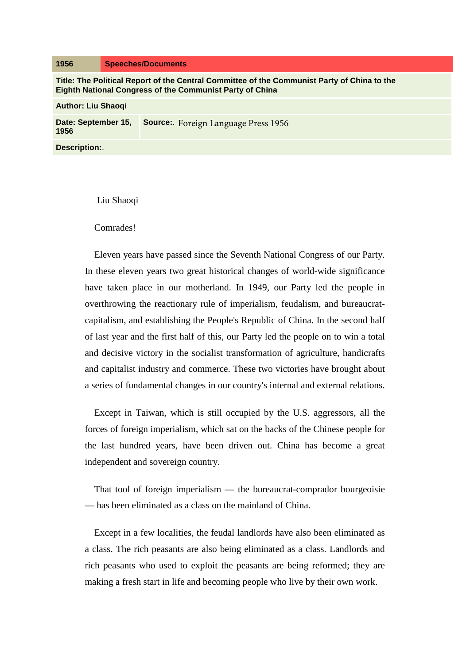#### **1956 Speeches/Documents**

**Title: The Political Report of the Central Committee of the Communist Party of China to the Eighth National Congress of the Communist Party of China**

**Author: Liu Shaoqi**

**Date: September 15, 1956 Source:**. Foreign Language Press 1956

**Description:**.

Liu Shaoqi

Comrades!

Eleven years have passed since the Seventh National Congress of our Party. In these eleven years two great historical changes of world-wide significance have taken place in our motherland. In 1949, our Party led the people in overthrowing the reactionary rule of imperialism, feudalism, and bureaucratcapitalism, and establishing the People's Republic of China. In the second half of last year and the first half of this, our Party led the people on to win a total and decisive victory in the socialist transformation of agriculture, handicrafts and capitalist industry and commerce. These two victories have brought about a series of fundamental changes in our country's internal and external relations.

Except in Taiwan, which is still occupied by the U.S. aggressors, all the forces of foreign imperialism, which sat on the backs of the Chinese people for the last hundred years, have been driven out. China has become a great independent and sovereign country.

That tool of foreign imperialism — the bureaucrat-comprador bourgeoisie — has been eliminated as a class on the mainland of China.

Except in a few localities, the feudal landlords have also been eliminated as a class. The rich peasants are also being eliminated as a class. Landlords and rich peasants who used to exploit the peasants are being reformed; they are making a fresh start in life and becoming people who live by their own work.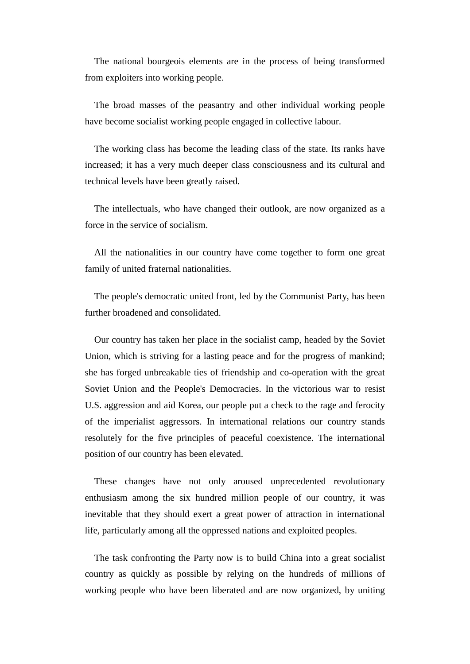The national bourgeois elements are in the process of being transformed from exploiters into working people.

The broad masses of the peasantry and other individual working people have become socialist working people engaged in collective labour.

The working class has become the leading class of the state. Its ranks have increased; it has a very much deeper class consciousness and its cultural and technical levels have been greatly raised.

The intellectuals, who have changed their outlook, are now organized as a force in the service of socialism.

All the nationalities in our country have come together to form one great family of united fraternal nationalities.

The people's democratic united front, led by the Communist Party, has been further broadened and consolidated.

Our country has taken her place in the socialist camp, headed by the Soviet Union, which is striving for a lasting peace and for the progress of mankind; she has forged unbreakable ties of friendship and co-operation with the great Soviet Union and the People's Democracies. In the victorious war to resist U.S. aggression and aid Korea, our people put a check to the rage and ferocity of the imperialist aggressors. In international relations our country stands resolutely for the five principles of peaceful coexistence. The international position of our country has been elevated.

These changes have not only aroused unprecedented revolutionary enthusiasm among the six hundred million people of our country, it was inevitable that they should exert a great power of attraction in international life, particularly among all the oppressed nations and exploited peoples.

The task confronting the Party now is to build China into a great socialist country as quickly as possible by relying on the hundreds of millions of working people who have been liberated and are now organized, by uniting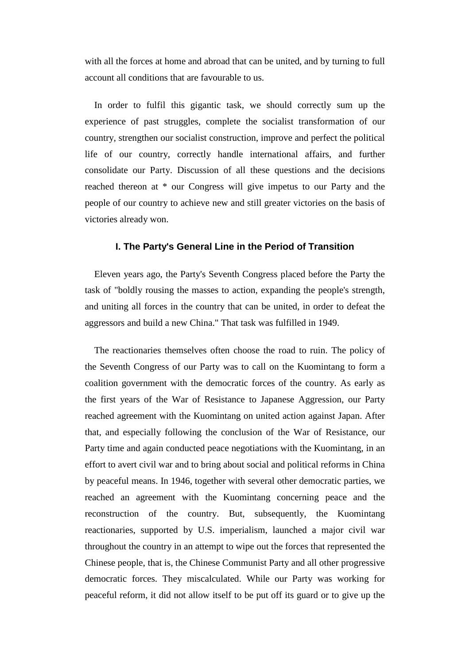with all the forces at home and abroad that can be united, and by turning to full account all conditions that are favourable to us.

In order to fulfil this gigantic task, we should correctly sum up the experience of past struggles, complete the socialist transformation of our country, strengthen our socialist construction, improve and perfect the political life of our country, correctly handle international affairs, and further consolidate our Party. Discussion of all these questions and the decisions reached thereon at \* our Congress will give impetus to our Party and the people of our country to achieve new and still greater victories on the basis of victories already won.

## **I. The Party's General Line in the Period of Transition**

Eleven years ago, the Party's Seventh Congress placed before the Party the task of "boldly rousing the masses to action, expanding the people's strength, and uniting all forces in the country that can be united, in order to defeat the aggressors and build a new China." That task was fulfilled in 1949.

The reactionaries themselves often choose the road to ruin. The policy of the Seventh Congress of our Party was to call on the Kuomintang to form a coalition government with the democratic forces of the country. As early as the first years of the War of Resistance to Japanese Aggression, our Party reached agreement with the Kuomintang on united action against Japan. After that, and especially following the conclusion of the War of Resistance, our Party time and again conducted peace negotiations with the Kuomintang, in an effort to avert civil war and to bring about social and political reforms in China by peaceful means. In 1946, together with several other democratic parties, we reached an agreement with the Kuomintang concerning peace and the reconstruction of the country. But, subsequently, the Kuomintang reactionaries, supported by U.S. imperialism, launched a major civil war throughout the country in an attempt to wipe out the forces that represented the Chinese people, that is, the Chinese Communist Party and all other progressive democratic forces. They miscalculated. While our Party was working for peaceful reform, it did not allow itself to be put off its guard or to give up the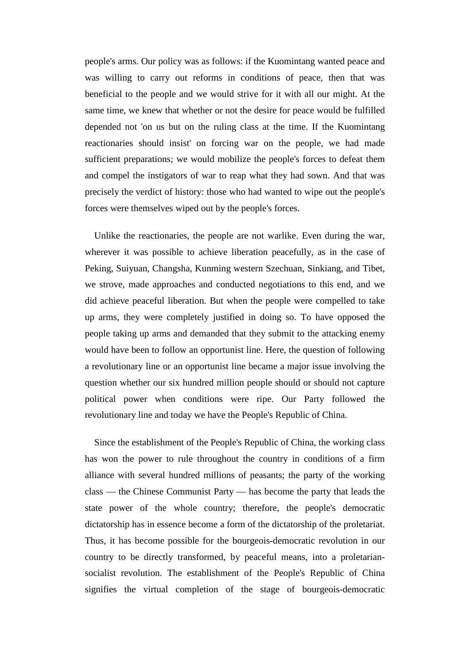people's arms. Our policy was as follows: if the Kuomintang wanted peace and was willing to carry out reforms in conditions of peace, then that was beneficial to the people and we would strive for it with all our might. At the same time, we knew that whether or not the desire for peace would be fulfilled depended not 'on us but on the ruling class at the time. If the Kuomintang reactionaries should insist' on forcing war on the people, we had made sufficient preparations; we would mobilize the people's forces to defeat them and compel the instigators of war to reap what they had sown. And that was precisely the verdict of history: those who had wanted to wipe out the people's forces were themselves wiped out by the people's forces.

Unlike the reactionaries, the people are not warlike. Even during the war, wherever it was possible to achieve liberation peacefully, as in the case of Peking, Suiyuan, Changsha, Kunming western Szechuan, Sinkiang, and Tibet, we strove, made approaches and conducted negotiations to this end, and we did achieve peaceful liberation. But when the people were compelled to take up arms, they were completely justified in doing so. To have opposed the people taking up arms and demanded that they submit to the attacking enemy would have been to follow an opportunist line. Here, the question of following a revolutionary line or an opportunist line became a major issue involving the question whether our six hundred million people should or should not capture political power when conditions were ripe. Our Party followed the revolutionary line and today we have the People's Republic of China.

Since the establishment of the People's Republic of China, the working class has won the power to rule throughout the country in conditions of a firm alliance with several hundred millions of peasants; the party of the working class — the Chinese Communist Party — has become the party that leads the state power of the whole country; therefore, the people's democratic dictatorship has in essence become a form of the dictatorship of the proletariat. Thus, it has become possible for the bourgeois-democratic revolution in our country to be directly transformed, by peaceful means, into a proletariansocialist revolution. The establishment of the People's Republic of China signifies the virtual completion of the stage of bourgeois-democratic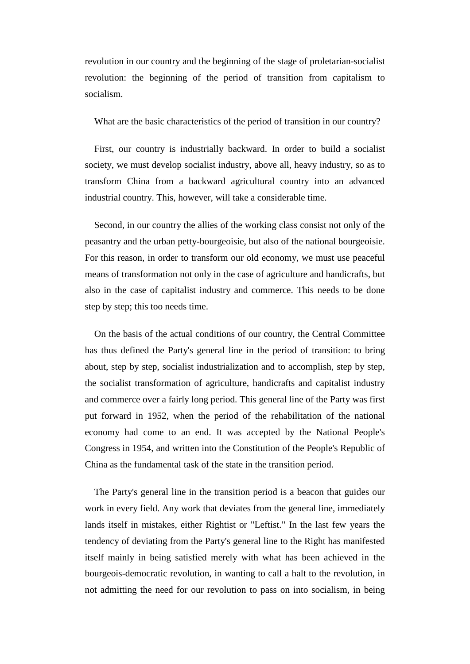revolution in our country and the beginning of the stage of proletarian-socialist revolution: the beginning of the period of transition from capitalism to socialism.

What are the basic characteristics of the period of transition in our country?

First, our country is industrially backward. In order to build a socialist society, we must develop socialist industry, above all, heavy industry, so as to transform China from a backward agricultural country into an advanced industrial country. This, however, will take a considerable time.

Second, in our country the allies of the working class consist not only of the peasantry and the urban petty-bourgeoisie, but also of the national bourgeoisie. For this reason, in order to transform our old economy, we must use peaceful means of transformation not only in the case of agriculture and handicrafts, but also in the case of capitalist industry and commerce. This needs to be done step by step; this too needs time.

On the basis of the actual conditions of our country, the Central Committee has thus defined the Party's general line in the period of transition: to bring about, step by step, socialist industrialization and to accomplish, step by step, the socialist transformation of agriculture, handicrafts and capitalist industry and commerce over a fairly long period. This general line of the Party was first put forward in 1952, when the period of the rehabilitation of the national economy had come to an end. It was accepted by the National People's Congress in 1954, and written into the Constitution of the People's Republic of China as the fundamental task of the state in the transition period.

The Party's general line in the transition period is a beacon that guides our work in every field. Any work that deviates from the general line, immediately lands itself in mistakes, either Rightist or "Leftist." In the last few years the tendency of deviating from the Party's general line to the Right has manifested itself mainly in being satisfied merely with what has been achieved in the bourgeois-democratic revolution, in wanting to call a halt to the revolution, in not admitting the need for our revolution to pass on into socialism, in being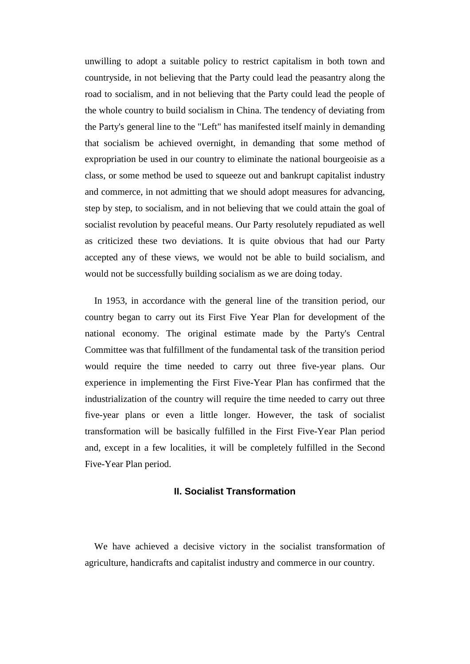unwilling to adopt a suitable policy to restrict capitalism in both town and countryside, in not believing that the Party could lead the peasantry along the road to socialism, and in not believing that the Party could lead the people of the whole country to build socialism in China. The tendency of deviating from the Party's general line to the "Left" has manifested itself mainly in demanding that socialism be achieved overnight, in demanding that some method of expropriation be used in our country to eliminate the national bourgeoisie as a class, or some method be used to squeeze out and bankrupt capitalist industry and commerce, in not admitting that we should adopt measures for advancing, step by step, to socialism, and in not believing that we could attain the goal of socialist revolution by peaceful means. Our Party resolutely repudiated as well as criticized these two deviations. It is quite obvious that had our Party accepted any of these views, we would not be able to build socialism, and would not be successfully building socialism as we are doing today.

In 1953, in accordance with the general line of the transition period, our country began to carry out its First Five Year Plan for development of the national economy. The original estimate made by the Party's Central Committee was that fulfillment of the fundamental task of the transition period would require the time needed to carry out three five-year plans. Our experience in implementing the First Five-Year Plan has confirmed that the industrialization of the country will require the time needed to carry out three five-year plans or even a little longer. However, the task of socialist transformation will be basically fulfilled in the First Five-Year Plan period and, except in a few localities, it will be completely fulfilled in the Second Five-Year Plan period.

## **II. Socialist Transformation**

We have achieved a decisive victory in the socialist transformation of agriculture, handicrafts and capitalist industry and commerce in our country.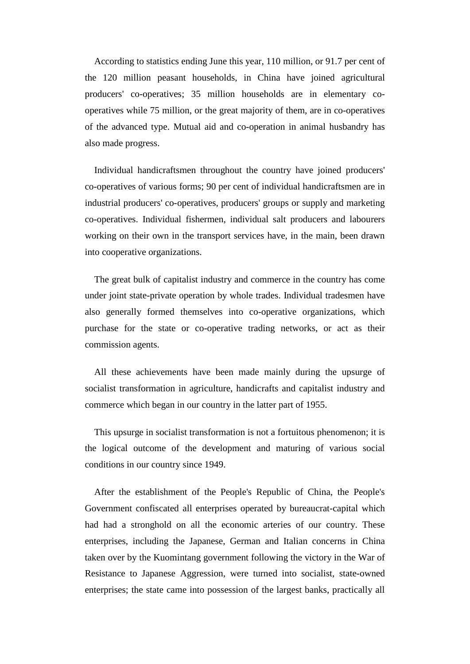According to statistics ending June this year, 110 million, or 91.7 per cent of the 120 million peasant households, in China have joined agricultural producers' co-operatives; 35 million households are in elementary cooperatives while 75 million, or the great majority of them, are in co-operatives of the advanced type. Mutual aid and co-operation in animal husbandry has also made progress.

Individual handicraftsmen throughout the country have joined producers' co-operatives of various forms; 90 per cent of individual handicraftsmen are in industrial producers' co-operatives, producers' groups or supply and marketing co-operatives. Individual fishermen, individual salt producers and labourers working on their own in the transport services have, in the main, been drawn into cooperative organizations.

The great bulk of capitalist industry and commerce in the country has come under joint state-private operation by whole trades. Individual tradesmen have also generally formed themselves into co-operative organizations, which purchase for the state or co-operative trading networks, or act as their commission agents.

All these achievements have been made mainly during the upsurge of socialist transformation in agriculture, handicrafts and capitalist industry and commerce which began in our country in the latter part of 1955.

This upsurge in socialist transformation is not a fortuitous phenomenon; it is the logical outcome of the development and maturing of various social conditions in our country since 1949.

After the establishment of the People's Republic of China, the People's Government confiscated all enterprises operated by bureaucrat-capital which had had a stronghold on all the economic arteries of our country. These enterprises, including the Japanese, German and Italian concerns in China taken over by the Kuomintang government following the victory in the War of Resistance to Japanese Aggression, were turned into socialist, state-owned enterprises; the state came into possession of the largest banks, practically all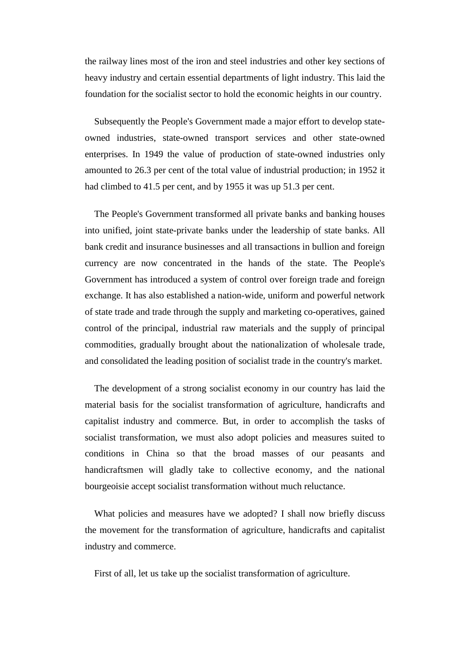the railway lines most of the iron and steel industries and other key sections of heavy industry and certain essential departments of light industry. This laid the foundation for the socialist sector to hold the economic heights in our country.

Subsequently the People's Government made a major effort to develop stateowned industries, state-owned transport services and other state-owned enterprises. In 1949 the value of production of state-owned industries only amounted to 26.3 per cent of the total value of industrial production; in 1952 it had climbed to 41.5 per cent, and by 1955 it was up 51.3 per cent.

The People's Government transformed all private banks and banking houses into unified, joint state-private banks under the leadership of state banks. All bank credit and insurance businesses and all transactions in bullion and foreign currency are now concentrated in the hands of the state. The People's Government has introduced a system of control over foreign trade and foreign exchange. It has also established a nation-wide, uniform and powerful network of state trade and trade through the supply and marketing co-operatives, gained control of the principal, industrial raw materials and the supply of principal commodities, gradually brought about the nationalization of wholesale trade, and consolidated the leading position of socialist trade in the country's market.

The development of a strong socialist economy in our country has laid the material basis for the socialist transformation of agriculture, handicrafts and capitalist industry and commerce. But, in order to accomplish the tasks of socialist transformation, we must also adopt policies and measures suited to conditions in China so that the broad masses of our peasants and handicraftsmen will gladly take to collective economy, and the national bourgeoisie accept socialist transformation without much reluctance.

What policies and measures have we adopted? I shall now briefly discuss the movement for the transformation of agriculture, handicrafts and capitalist industry and commerce.

First of all, let us take up the socialist transformation of agriculture.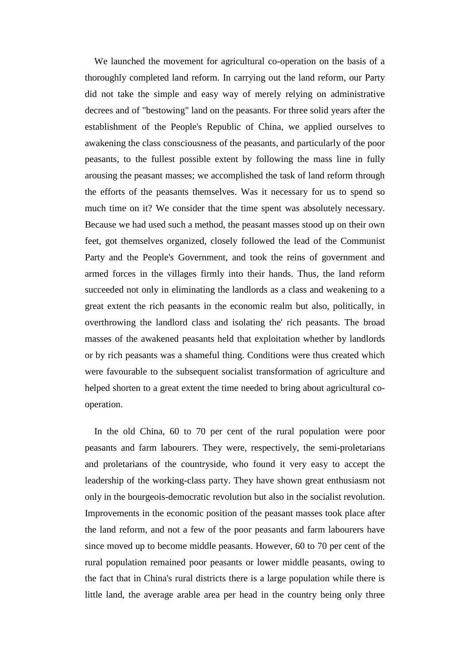We launched the movement for agricultural co-operation on the basis of a thoroughly completed land reform. In carrying out the land reform, our Party did not take the simple and easy way of merely relying on administrative decrees and of "bestowing" land on the peasants. For three solid years after the establishment of the People's Republic of China, we applied ourselves to awakening the class consciousness of the peasants, and particularly of the poor peasants, to the fullest possible extent by following the mass line in fully arousing the peasant masses; we accomplished the task of land reform through the efforts of the peasants themselves. Was it necessary for us to spend so much time on it? We consider that the time spent was absolutely necessary. Because we had used such a method, the peasant masses stood up on their own feet, got themselves organized, closely followed the lead of the Communist Party and the People's Government, and took the reins of government and armed forces in the villages firmly into their hands. Thus, the land reform succeeded not only in eliminating the landlords as a class and weakening to a great extent the rich peasants in the economic realm but also, politically, in overthrowing the landlord class and isolating the' rich peasants. The broad masses of the awakened peasants held that exploitation whether by landlords or by rich peasants was a shameful thing. Conditions were thus created which were favourable to the subsequent socialist transformation of agriculture and helped shorten to a great extent the time needed to bring about agricultural cooperation.

In the old China, 60 to 70 per cent of the rural population were poor peasants and farm labourers. They were, respectively, the semi-proletarians and proletarians of the countryside, who found it very easy to accept the leadership of the working-class party. They have shown great enthusiasm not only in the bourgeois-democratic revolution but also in the socialist revolution. Improvements in the economic position of the peasant masses took place after the land reform, and not a few of the poor peasants and farm labourers have since moved up to become middle peasants. However, 60 to 70 per cent of the rural population remained poor peasants or lower middle peasants, owing to the fact that in China's rural districts there is a large population while there is little land, the average arable area per head in the country being only three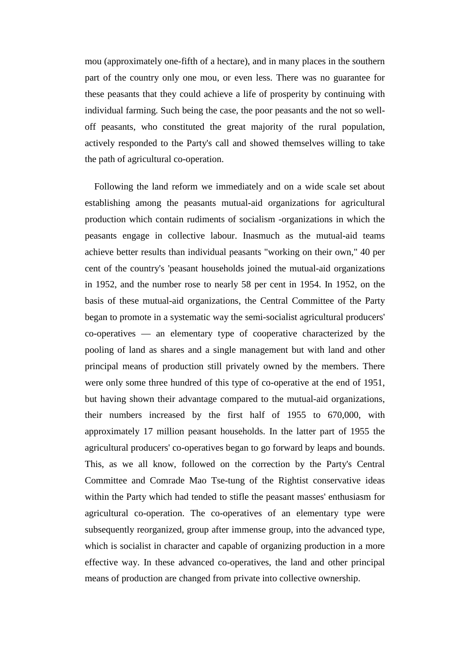mou (approximately one-fifth of a hectare), and in many places in the southern part of the country only one mou, or even less. There was no guarantee for these peasants that they could achieve a life of prosperity by continuing with individual farming. Such being the case, the poor peasants and the not so welloff peasants, who constituted the great majority of the rural population, actively responded to the Party's call and showed themselves willing to take the path of agricultural co-operation.

Following the land reform we immediately and on a wide scale set about establishing among the peasants mutual-aid organizations for agricultural production which contain rudiments of socialism -organizations in which the peasants engage in collective labour. Inasmuch as the mutual-aid teams achieve better results than individual peasants "working on their own," 40 per cent of the country's 'peasant households joined the mutual-aid organizations in 1952, and the number rose to nearly 58 per cent in 1954. In 1952, on the basis of these mutual-aid organizations, the Central Committee of the Party began to promote in a systematic way the semi-socialist agricultural producers' co-operatives — an elementary type of cooperative characterized by the pooling of land as shares and a single management but with land and other principal means of production still privately owned by the members. There were only some three hundred of this type of co-operative at the end of 1951, but having shown their advantage compared to the mutual-aid organizations, their numbers increased by the first half of 1955 to 670,000, with approximately 17 million peasant households. In the latter part of 1955 the agricultural producers' co-operatives began to go forward by leaps and bounds. This, as we all know, followed on the correction by the Party's Central Committee and Comrade Mao Tse-tung of the Rightist conservative ideas within the Party which had tended to stifle the peasant masses' enthusiasm for agricultural co-operation. The co-operatives of an elementary type were subsequently reorganized, group after immense group, into the advanced type, which is socialist in character and capable of organizing production in a more effective way. In these advanced co-operatives, the land and other principal means of production are changed from private into collective ownership.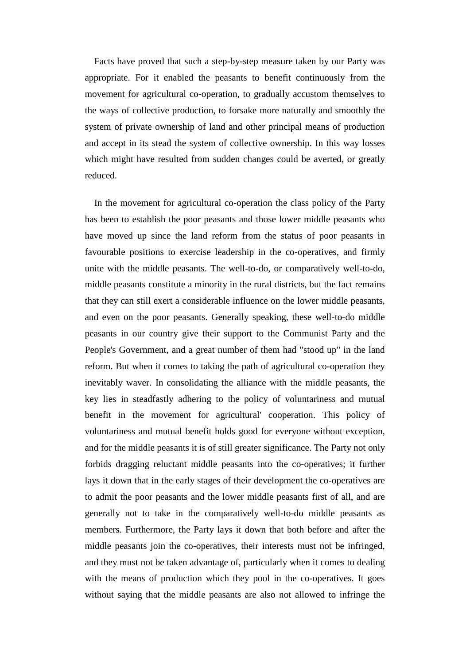Facts have proved that such a step-by-step measure taken by our Party was appropriate. For it enabled the peasants to benefit continuously from the movement for agricultural co-operation, to gradually accustom themselves to the ways of collective production, to forsake more naturally and smoothly the system of private ownership of land and other principal means of production and accept in its stead the system of collective ownership. In this way losses which might have resulted from sudden changes could be averted, or greatly reduced.

In the movement for agricultural co-operation the class policy of the Party has been to establish the poor peasants and those lower middle peasants who have moved up since the land reform from the status of poor peasants in favourable positions to exercise leadership in the co-operatives, and firmly unite with the middle peasants. The well-to-do, or comparatively well-to-do, middle peasants constitute a minority in the rural districts, but the fact remains that they can still exert a considerable influence on the lower middle peasants, and even on the poor peasants. Generally speaking, these well-to-do middle peasants in our country give their support to the Communist Party and the People's Government, and a great number of them had "stood up" in the land reform. But when it comes to taking the path of agricultural co-operation they inevitably waver. In consolidating the alliance with the middle peasants, the key lies in steadfastly adhering to the policy of voluntariness and mutual benefit in the movement for agricultural' cooperation. This policy of voluntariness and mutual benefit holds good for everyone without exception, and for the middle peasants it is of still greater significance. The Party not only forbids dragging reluctant middle peasants into the co-operatives; it further lays it down that in the early stages of their development the co-operatives are to admit the poor peasants and the lower middle peasants first of all, and are generally not to take in the comparatively well-to-do middle peasants as members. Furthermore, the Party lays it down that both before and after the middle peasants join the co-operatives, their interests must not be infringed, and they must not be taken advantage of, particularly when it comes to dealing with the means of production which they pool in the co-operatives. It goes without saying that the middle peasants are also not allowed to infringe the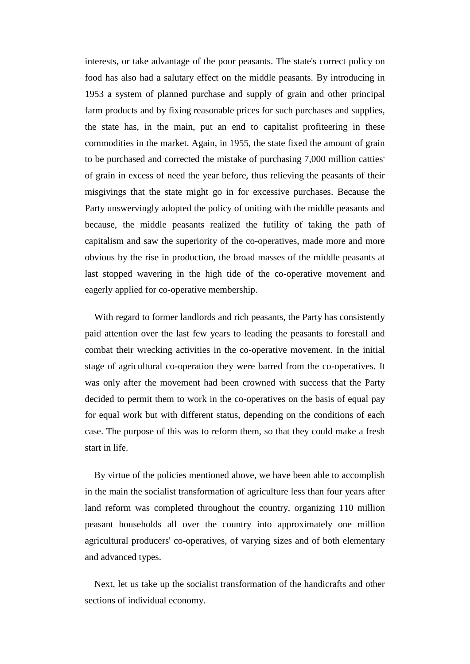interests, or take advantage of the poor peasants. The state's correct policy on food has also had a salutary effect on the middle peasants. By introducing in 1953 a system of planned purchase and supply of grain and other principal farm products and by fixing reasonable prices for such purchases and supplies, the state has, in the main, put an end to capitalist profiteering in these commodities in the market. Again, in 1955, the state fixed the amount of grain to be purchased and corrected the mistake of purchasing 7,000 million catties\* of grain in excess of need the year before, thus relieving the peasants of their misgivings that the state might go in for excessive purchases. Because the Party unswervingly adopted the policy of uniting with the middle peasants and because, the middle peasants realized the futility of taking the path of capitalism and saw the superiority of the co-operatives, made more and more obvious by the rise in production, the broad masses of the middle peasants at last stopped wavering in the high tide of the co-operative movement and eagerly applied for co-operative membership.

With regard to former landlords and rich peasants, the Party has consistently paid attention over the last few years to leading the peasants to forestall and combat their wrecking activities in the co-operative movement. In the initial stage of agricultural co-operation they were barred from the co-operatives. It was only after the movement had been crowned with success that the Party decided to permit them to work in the co-operatives on the basis of equal pay for equal work but with different status, depending on the conditions of each case. The purpose of this was to reform them, so that they could make a fresh start in life.

By virtue of the policies mentioned above, we have been able to accomplish in the main the socialist transformation of agriculture less than four years after land reform was completed throughout the country, organizing 110 million peasant households all over the country into approximately one million agricultural producers' co-operatives, of varying sizes and of both elementary and advanced types.

Next, let us take up the socialist transformation of the handicrafts and other sections of individual economy.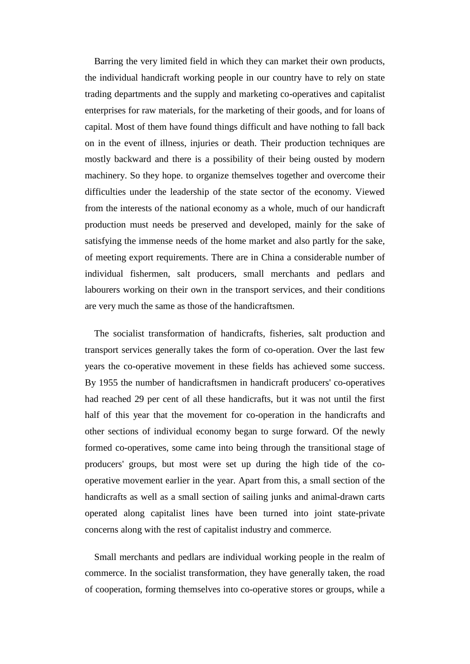Barring the very limited field in which they can market their own products, the individual handicraft working people in our country have to rely on state trading departments and the supply and marketing co-operatives and capitalist enterprises for raw materials, for the marketing of their goods, and for loans of capital. Most of them have found things difficult and have nothing to fall back on in the event of illness, injuries or death. Their production techniques are mostly backward and there is a possibility of their being ousted by modern machinery. So they hope. to organize themselves together and overcome their difficulties under the leadership of the state sector of the economy. Viewed from the interests of the national economy as a whole, much of our handicraft production must needs be preserved and developed, mainly for the sake of satisfying the immense needs of the home market and also partly for the sake, of meeting export requirements. There are in China a considerable number of individual fishermen, salt producers, small merchants and pedlars and labourers working on their own in the transport services, and their conditions are very much the same as those of the handicraftsmen.

The socialist transformation of handicrafts, fisheries, salt production and transport services generally takes the form of co-operation. Over the last few years the co-operative movement in these fields has achieved some success. By 1955 the number of handicraftsmen in handicraft producers' co-operatives had reached 29 per cent of all these handicrafts, but it was not until the first half of this year that the movement for co-operation in the handicrafts and other sections of individual economy began to surge forward. Of the newly formed co-operatives, some came into being through the transitional stage of producers' groups, but most were set up during the high tide of the cooperative movement earlier in the year. Apart from this, a small section of the handicrafts as well as a small section of sailing junks and animal-drawn carts operated along capitalist lines have been turned into joint state-private concerns along with the rest of capitalist industry and commerce.

Small merchants and pedlars are individual working people in the realm of commerce. In the socialist transformation, they have generally taken, the road of cooperation, forming themselves into co-operative stores or groups, while a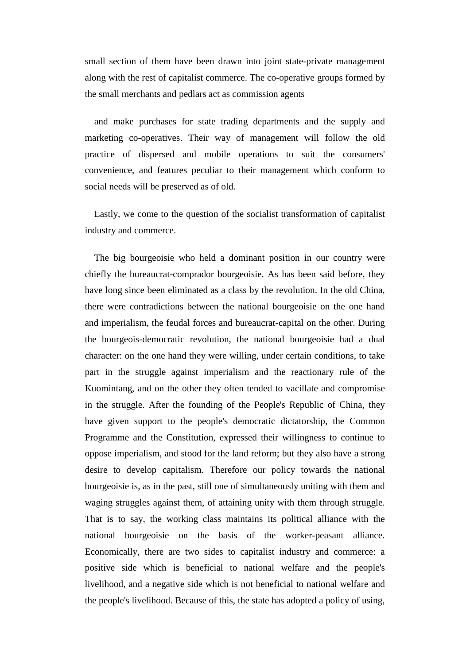small section of them have been drawn into joint state-private management along with the rest of capitalist commerce. The co-operative groups formed by the small merchants and pedlars act as commission agents

and make purchases for state trading departments and the supply and marketing co-operatives. Their way of management will follow the old practice of dispersed and mobile operations to suit the consumers' convenience, and features peculiar to their management which conform to social needs will be preserved as of old.

Lastly, we come to the question of the socialist transformation of capitalist industry and commerce.

The big bourgeoisie who held a dominant position in our country were chiefly the bureaucrat-comprador bourgeoisie. As has been said before, they have long since been eliminated as a class by the revolution. In the old China, there were contradictions between the national bourgeoisie on the one hand and imperialism, the feudal forces and bureaucrat-capital on the other. During the bourgeois-democratic revolution, the national bourgeoisie had a dual character: on the one hand they were willing, under certain conditions, to take part in the struggle against imperialism and the reactionary rule of the Kuomintang, and on the other they often tended to vacillate and compromise in the struggle. After the founding of the People's Republic of China, they have given support to the people's democratic dictatorship, the Common Programme and the Constitution, expressed their willingness to continue to oppose imperialism, and stood for the land reform; but they also have a strong desire to develop capitalism. Therefore our policy towards the national bourgeoisie is, as in the past, still one of simultaneously uniting with them and waging struggles against them, of attaining unity with them through struggle. That is to say, the working class maintains its political alliance with the national bourgeoisie on the basis of the worker-peasant alliance. Economically, there are two sides to capitalist industry and commerce: a positive side which is beneficial to national welfare and the people's livelihood, and a negative side which is not beneficial to national welfare and the people's livelihood. Because of this, the state has adopted a policy of using,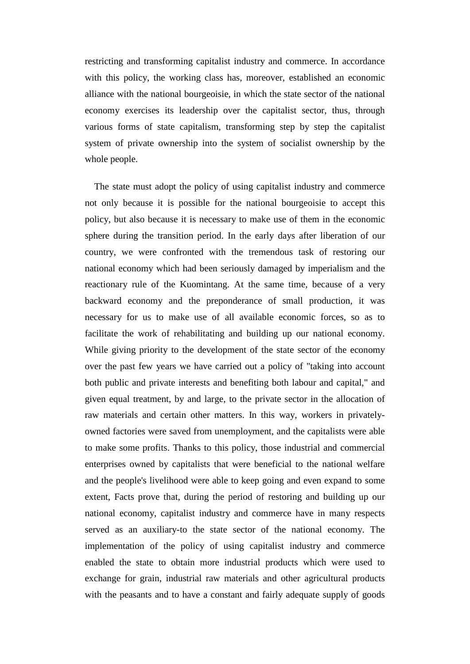restricting and transforming capitalist industry and commerce. In accordance with this policy, the working class has, moreover, established an economic alliance with the national bourgeoisie, in which the state sector of the national economy exercises its leadership over the capitalist sector, thus, through various forms of state capitalism, transforming step by step the capitalist system of private ownership into the system of socialist ownership by the whole people.

The state must adopt the policy of using capitalist industry and commerce not only because it is possible for the national bourgeoisie to accept this policy, but also because it is necessary to make use of them in the economic sphere during the transition period. In the early days after liberation of our country, we were confronted with the tremendous task of restoring our national economy which had been seriously damaged by imperialism and the reactionary rule of the Kuomintang. At the same time, because of a very backward economy and the preponderance of small production, it was necessary for us to make use of all available economic forces, so as to facilitate the work of rehabilitating and building up our national economy. While giving priority to the development of the state sector of the economy over the past few years we have carried out a policy of "taking into account both public and private interests and benefiting both labour and capital," and given equal treatment, by and large, to the private sector in the allocation of raw materials and certain other matters. In this way, workers in privatelyowned factories were saved from unemployment, and the capitalists were able to make some profits. Thanks to this policy, those industrial and commercial enterprises owned by capitalists that were beneficial to the national welfare and the people's livelihood were able to keep going and even expand to some extent, Facts prove that, during the period of restoring and building up our national economy, capitalist industry and commerce have in many respects served as an auxiliary-to the state sector of the national economy. The implementation of the policy of using capitalist industry and commerce enabled the state to obtain more industrial products which were used to exchange for grain, industrial raw materials and other agricultural products with the peasants and to have a constant and fairly adequate supply of goods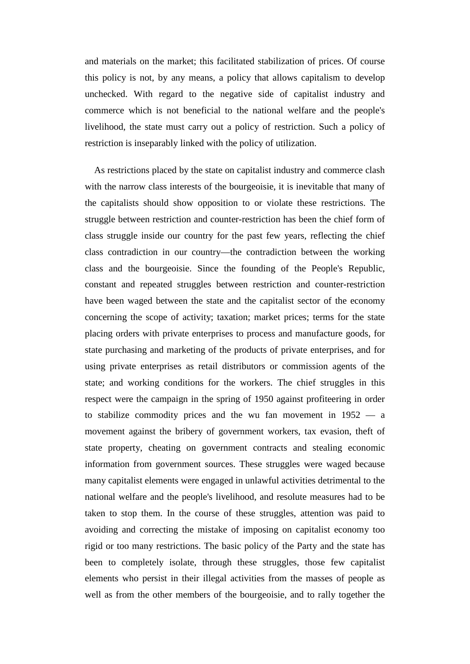and materials on the market; this facilitated stabilization of prices. Of course this policy is not, by any means, a policy that allows capitalism to develop unchecked. With regard to the negative side of capitalist industry and commerce which is not beneficial to the national welfare and the people's livelihood, the state must carry out a policy of restriction. Such a policy of restriction is inseparably linked with the policy of utilization.

As restrictions placed by the state on capitalist industry and commerce clash with the narrow class interests of the bourgeoisie, it is inevitable that many of the capitalists should show opposition to or violate these restrictions. The struggle between restriction and counter-restriction has been the chief form of class struggle inside our country for the past few years, reflecting the chief class contradiction in our country—the contradiction between the working class and the bourgeoisie. Since the founding of the People's Republic, constant and repeated struggles between restriction and counter-restriction have been waged between the state and the capitalist sector of the economy concerning the scope of activity; taxation; market prices; terms for the state placing orders with private enterprises to process and manufacture goods, for state purchasing and marketing of the products of private enterprises, and for using private enterprises as retail distributors or commission agents of the state; and working conditions for the workers. The chief struggles in this respect were the campaign in the spring of 1950 against profiteering in order to stabilize commodity prices and the wu fan movement in 1952 — a movement against the bribery of government workers, tax evasion, theft of state property, cheating on government contracts and stealing economic information from government sources. These struggles were waged because many capitalist elements were engaged in unlawful activities detrimental to the national welfare and the people's livelihood, and resolute measures had to be taken to stop them. In the course of these struggles, attention was paid to avoiding and correcting the mistake of imposing on capitalist economy too rigid or too many restrictions. The basic policy of the Party and the state has been to completely isolate, through these struggles, those few capitalist elements who persist in their illegal activities from the masses of people as well as from the other members of the bourgeoisie, and to rally together the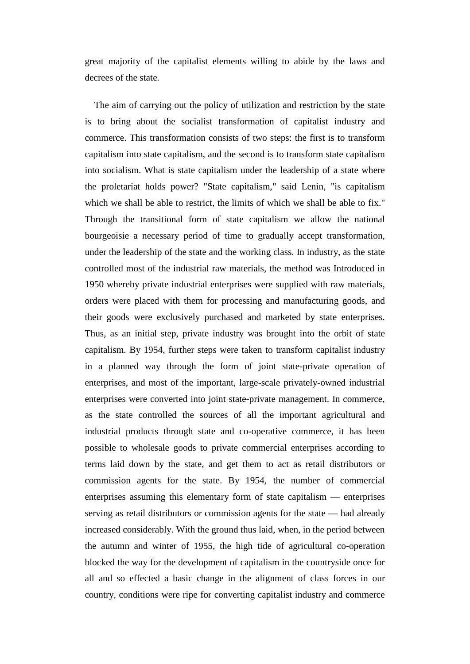great majority of the capitalist elements willing to abide by the laws and decrees of the state.

The aim of carrying out the policy of utilization and restriction by the state is to bring about the socialist transformation of capitalist industry and commerce. This transformation consists of two steps: the first is to transform capitalism into state capitalism, and the second is to transform state capitalism into socialism. What is state capitalism under the leadership of a state where the proletariat holds power? "State capitalism," said Lenin, "is capitalism which we shall be able to restrict, the limits of which we shall be able to fix." Through the transitional form of state capitalism we allow the national bourgeoisie a necessary period of time to gradually accept transformation, under the leadership of the state and the working class. In industry, as the state controlled most of the industrial raw materials, the method was Introduced in 1950 whereby private industrial enterprises were supplied with raw materials, orders were placed with them for processing and manufacturing goods, and their goods were exclusively purchased and marketed by state enterprises. Thus, as an initial step, private industry was brought into the orbit of state capitalism. By 1954, further steps were taken to transform capitalist industry in a planned way through the form of joint state-private operation of enterprises, and most of the important, large-scale privately-owned industrial enterprises were converted into joint state-private management. In commerce, as the state controlled the sources of all the important agricultural and industrial products through state and co-operative commerce, it has been possible to wholesale goods to private commercial enterprises according to terms laid down by the state, and get them to act as retail distributors or commission agents for the state. By 1954, the number of commercial enterprises assuming this elementary form of state capitalism — enterprises serving as retail distributors or commission agents for the state — had already increased considerably. With the ground thus laid, when, in the period between the autumn and winter of 1955, the high tide of agricultural co-operation blocked the way for the development of capitalism in the countryside once for all and so effected a basic change in the alignment of class forces in our country, conditions were ripe for converting capitalist industry and commerce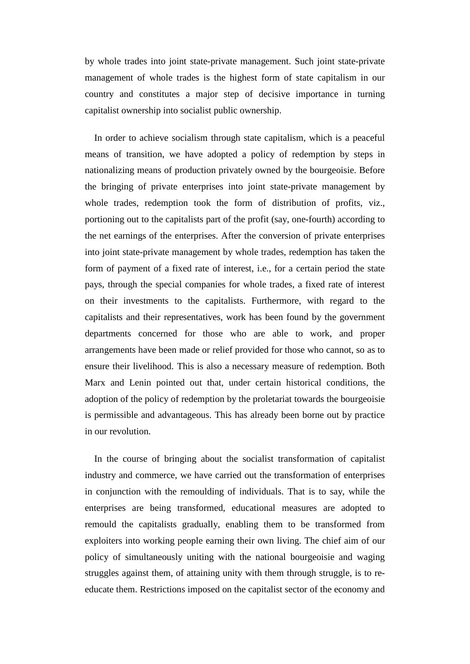by whole trades into joint state-private management. Such joint state-private management of whole trades is the highest form of state capitalism in our country and constitutes a major step of decisive importance in turning capitalist ownership into socialist public ownership.

In order to achieve socialism through state capitalism, which is a peaceful means of transition, we have adopted a policy of redemption by steps in nationalizing means of production privately owned by the bourgeoisie. Before the bringing of private enterprises into joint state-private management by whole trades, redemption took the form of distribution of profits, viz., portioning out to the capitalists part of the profit (say, one-fourth) according to the net earnings of the enterprises. After the conversion of private enterprises into joint state-private management by whole trades, redemption has taken the form of payment of a fixed rate of interest, i.e., for a certain period the state pays, through the special companies for whole trades, a fixed rate of interest on their investments to the capitalists. Furthermore, with regard to the capitalists and their representatives, work has been found by the government departments concerned for those who are able to work, and proper arrangements have been made or relief provided for those who cannot, so as to ensure their livelihood. This is also a necessary measure of redemption. Both Marx and Lenin pointed out that, under certain historical conditions, the adoption of the policy of redemption by the proletariat towards the bourgeoisie is permissible and advantageous. This has already been borne out by practice in our revolution.

In the course of bringing about the socialist transformation of capitalist industry and commerce, we have carried out the transformation of enterprises in conjunction with the remoulding of individuals. That is to say, while the enterprises are being transformed, educational measures are adopted to remould the capitalists gradually, enabling them to be transformed from exploiters into working people earning their own living. The chief aim of our policy of simultaneously uniting with the national bourgeoisie and waging struggles against them, of attaining unity with them through struggle, is to reeducate them. Restrictions imposed on the capitalist sector of the economy and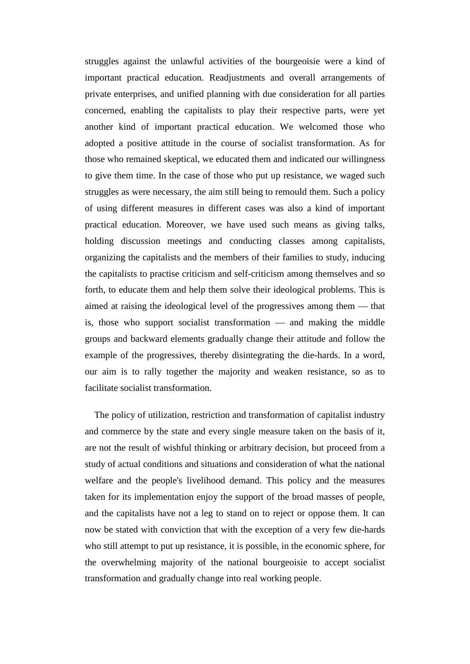struggles against the unlawful activities of the bourgeoisie were a kind of important practical education. Readjustments and overall arrangements of private enterprises, and unified planning with due consideration for all parties concerned, enabling the capitalists to play their respective parts, were yet another kind of important practical education. We welcomed those who adopted a positive attitude in the course of socialist transformation. As for those who remained skeptical, we educated them and indicated our willingness to give them time. In the case of those who put up resistance, we waged such struggles as were necessary, the aim still being to remould them. Such a policy of using different measures in different cases was also a kind of important practical education. Moreover, we have used such means as giving talks, holding discussion meetings and conducting classes among capitalists, organizing the capitalists and the members of their families to study, inducing the capitalists to practise criticism and self-criticism among themselves and so forth, to educate them and help them solve their ideological problems. This is aimed at raising the ideological level of the progressives among them — that is, those who support socialist transformation — and making the middle groups and backward elements gradually change their attitude and follow the example of the progressives, thereby disintegrating the die-hards. In a word, our aim is to rally together the majority and weaken resistance, so as to facilitate socialist transformation.

The policy of utilization, restriction and transformation of capitalist industry and commerce by the state and every single measure taken on the basis of it, are not the result of wishful thinking or arbitrary decision, but proceed from a study of actual conditions and situations and consideration of what the national welfare and the people's livelihood demand. This policy and the measures taken for its implementation enjoy the support of the broad masses of people, and the capitalists have not a leg to stand on to reject or oppose them. It can now be stated with conviction that with the exception of a very few die-hards who still attempt to put up resistance, it is possible, in the economic sphere, for the overwhelming majority of the national bourgeoisie to accept socialist transformation and gradually change into real working people.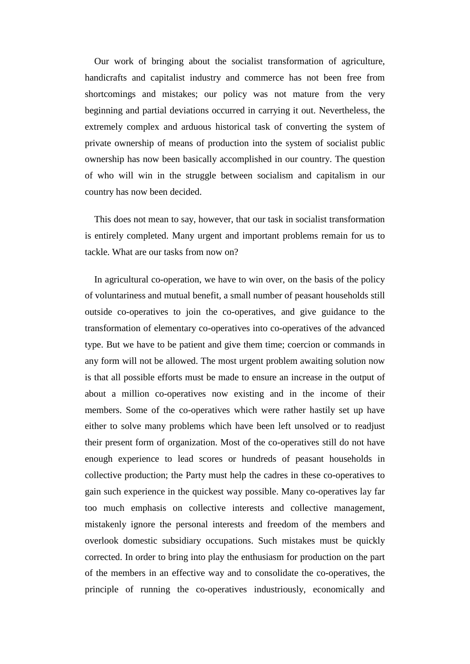Our work of bringing about the socialist transformation of agriculture, handicrafts and capitalist industry and commerce has not been free from shortcomings and mistakes; our policy was not mature from the very beginning and partial deviations occurred in carrying it out. Nevertheless, the extremely complex and arduous historical task of converting the system of private ownership of means of production into the system of socialist public ownership has now been basically accomplished in our country. The question of who will win in the struggle between socialism and capitalism in our country has now been decided.

This does not mean to say, however, that our task in socialist transformation is entirely completed. Many urgent and important problems remain for us to tackle. What are our tasks from now on?

In agricultural co-operation, we have to win over, on the basis of the policy of voluntariness and mutual benefit, a small number of peasant households still outside co-operatives to join the co-operatives, and give guidance to the transformation of elementary co-operatives into co-operatives of the advanced type. But we have to be patient and give them time; coercion or commands in any form will not be allowed. The most urgent problem awaiting solution now is that all possible efforts must be made to ensure an increase in the output of about a million co-operatives now existing and in the income of their members. Some of the co-operatives which were rather hastily set up have either to solve many problems which have been left unsolved or to readjust their present form of organization. Most of the co-operatives still do not have enough experience to lead scores or hundreds of peasant households in collective production; the Party must help the cadres in these co-operatives to gain such experience in the quickest way possible. Many co-operatives lay far too much emphasis on collective interests and collective management, mistakenly ignore the personal interests and freedom of the members and overlook domestic subsidiary occupations. Such mistakes must be quickly corrected. In order to bring into play the enthusiasm for production on the part of the members in an effective way and to consolidate the co-operatives, the principle of running the co-operatives industriously, economically and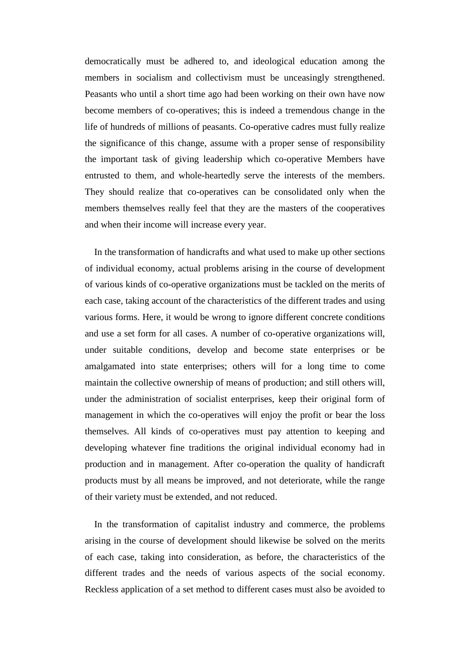democratically must be adhered to, and ideological education among the members in socialism and collectivism must be unceasingly strengthened. Peasants who until a short time ago had been working on their own have now become members of co-operatives; this is indeed a tremendous change in the life of hundreds of millions of peasants. Co-operative cadres must fully realize the significance of this change, assume with a proper sense of responsibility the important task of giving leadership which co-operative Members have entrusted to them, and whole-heartedly serve the interests of the members. They should realize that co-operatives can be consolidated only when the members themselves really feel that they are the masters of the cooperatives and when their income will increase every year.

In the transformation of handicrafts and what used to make up other sections of individual economy, actual problems arising in the course of development of various kinds of co-operative organizations must be tackled on the merits of each case, taking account of the characteristics of the different trades and using various forms. Here, it would be wrong to ignore different concrete conditions and use a set form for all cases. A number of co-operative organizations will, under suitable conditions, develop and become state enterprises or be amalgamated into state enterprises; others will for a long time to come maintain the collective ownership of means of production; and still others will, under the administration of socialist enterprises, keep their original form of management in which the co-operatives will enjoy the profit or bear the loss themselves. All kinds of co-operatives must pay attention to keeping and developing whatever fine traditions the original individual economy had in production and in management. After co-operation the quality of handicraft products must by all means be improved, and not deteriorate, while the range of their variety must be extended, and not reduced.

In the transformation of capitalist industry and commerce, the problems arising in the course of development should likewise be solved on the merits of each case, taking into consideration, as before, the characteristics of the different trades and the needs of various aspects of the social economy. Reckless application of a set method to different cases must also be avoided to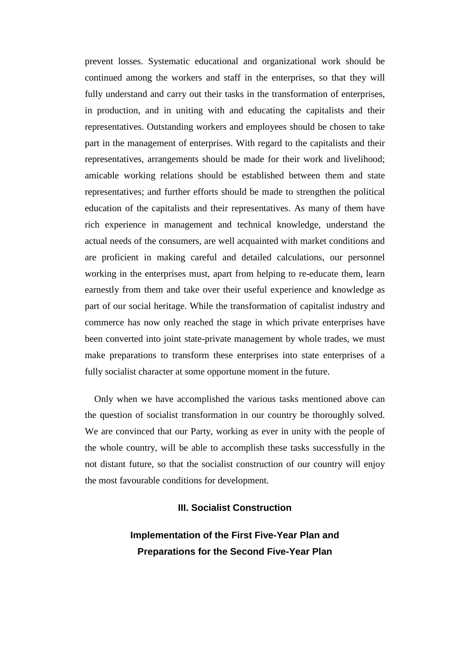prevent losses. Systematic educational and organizational work should be continued among the workers and staff in the enterprises, so that they will fully understand and carry out their tasks in the transformation of enterprises, in production, and in uniting with and educating the capitalists and their representatives. Outstanding workers and employees should be chosen to take part in the management of enterprises. With regard to the capitalists and their representatives, arrangements should be made for their work and livelihood; amicable working relations should be established between them and state representatives; and further efforts should be made to strengthen the political education of the capitalists and their representatives. As many of them have rich experience in management and technical knowledge, understand the actual needs of the consumers, are well acquainted with market conditions and are proficient in making careful and detailed calculations, our personnel working in the enterprises must, apart from helping to re-educate them, learn earnestly from them and take over their useful experience and knowledge as part of our social heritage. While the transformation of capitalist industry and commerce has now only reached the stage in which private enterprises have been converted into joint state-private management by whole trades, we must make preparations to transform these enterprises into state enterprises of a fully socialist character at some opportune moment in the future.

Only when we have accomplished the various tasks mentioned above can the question of socialist transformation in our country be thoroughly solved. We are convinced that our Party, working as ever in unity with the people of the whole country, will be able to accomplish these tasks successfully in the not distant future, so that the socialist construction of our country will enjoy the most favourable conditions for development.

# **III. Socialist Construction**

# **Implementation of the First Five-Year Plan and Preparations for the Second Five-Year Plan**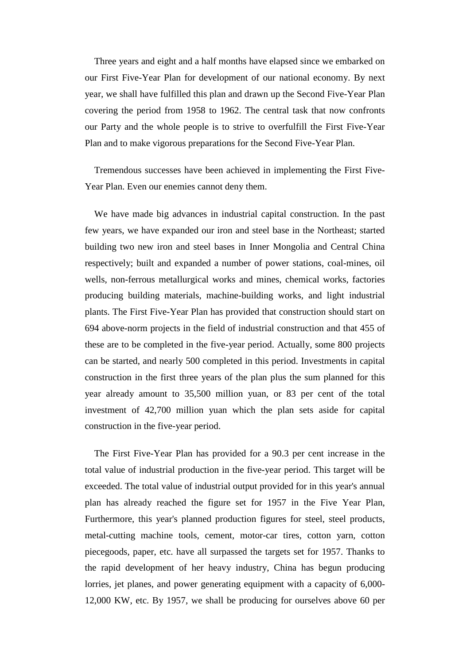Three years and eight and a half months have elapsed since we embarked on our First Five-Year Plan for development of our national economy. By next year, we shall have fulfilled this plan and drawn up the Second Five-Year Plan covering the period from 1958 to 1962. The central task that now confronts our Party and the whole people is to strive to overfulfill the First Five-Year Plan and to make vigorous preparations for the Second Five-Year Plan.

Tremendous successes have been achieved in implementing the First Five-Year Plan. Even our enemies cannot deny them.

We have made big advances in industrial capital construction. In the past few years, we have expanded our iron and steel base in the Northeast; started building two new iron and steel bases in Inner Mongolia and Central China respectively; built and expanded a number of power stations, coal-mines, oil wells, non-ferrous metallurgical works and mines, chemical works, factories producing building materials, machine-building works, and light industrial plants. The First Five-Year Plan has provided that construction should start on 694 above-norm projects in the field of industrial construction and that 455 of these are to be completed in the five-year period. Actually, some 800 projects can be started, and nearly 500 completed in this period. Investments in capital construction in the first three years of the plan plus the sum planned for this year already amount to 35,500 million yuan, or 83 per cent of the total investment of 42,700 million yuan which the plan sets aside for capital construction in the five-year period.

The First Five-Year Plan has provided for a 90.3 per cent increase in the total value of industrial production in the five-year period. This target will be exceeded. The total value of industrial output provided for in this year's annual plan has already reached the figure set for 1957 in the Five Year Plan, Furthermore, this year's planned production figures for steel, steel products, metal-cutting machine tools, cement, motor-car tires, cotton yarn, cotton piecegoods, paper, etc. have all surpassed the targets set for 1957. Thanks to the rapid development of her heavy industry, China has begun producing lorries, jet planes, and power generating equipment with a capacity of 6,000- 12,000 KW, etc. By 1957, we shall be producing for ourselves above 60 per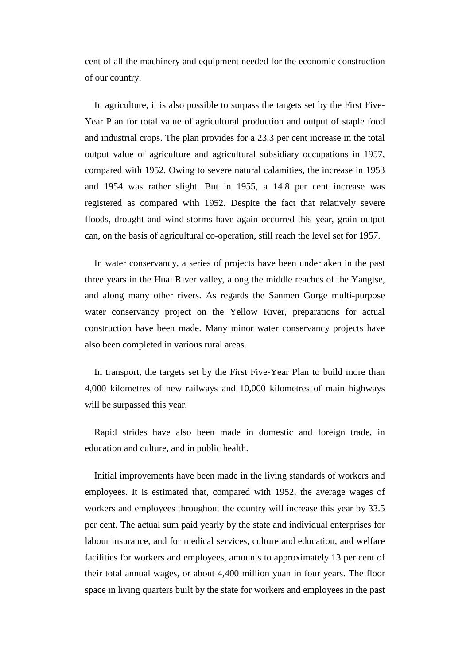cent of all the machinery and equipment needed for the economic construction of our country.

In agriculture, it is also possible to surpass the targets set by the First Five-Year Plan for total value of agricultural production and output of staple food and industrial crops. The plan provides for a 23.3 per cent increase in the total output value of agriculture and agricultural subsidiary occupations in 1957, compared with 1952. Owing to severe natural calamities, the increase in 1953 and 1954 was rather slight. But in 1955, a 14.8 per cent increase was registered as compared with 1952. Despite the fact that relatively severe floods, drought and wind-storms have again occurred this year, grain output can, on the basis of agricultural co-operation, still reach the level set for 1957.

In water conservancy, a series of projects have been undertaken in the past three years in the Huai River valley, along the middle reaches of the Yangtse, and along many other rivers. As regards the Sanmen Gorge multi-purpose water conservancy project on the Yellow River, preparations for actual construction have been made. Many minor water conservancy projects have also been completed in various rural areas.

In transport, the targets set by the First Five-Year Plan to build more than 4,000 kilometres of new railways and 10,000 kilometres of main highways will be surpassed this year.

Rapid strides have also been made in domestic and foreign trade, in education and culture, and in public health.

Initial improvements have been made in the living standards of workers and employees. It is estimated that, compared with 1952, the average wages of workers and employees throughout the country will increase this year by 33.5 per cent. The actual sum paid yearly by the state and individual enterprises for labour insurance, and for medical services, culture and education, and welfare facilities for workers and employees, amounts to approximately 13 per cent of their total annual wages, or about 4,400 million yuan in four years. The floor space in living quarters built by the state for workers and employees in the past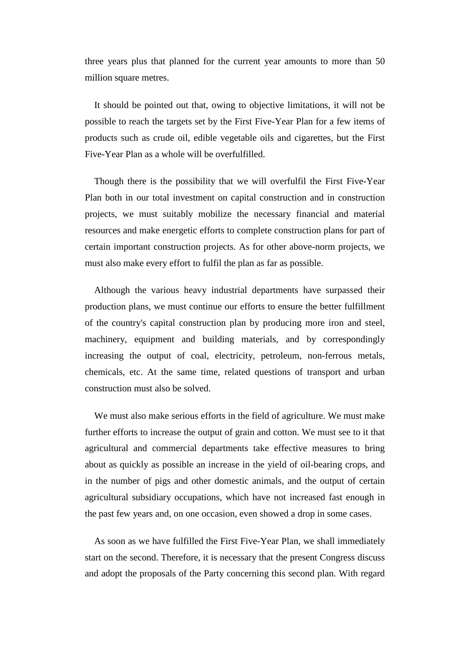three years plus that planned for the current year amounts to more than 50 million square metres.

It should be pointed out that, owing to objective limitations, it will not be possible to reach the targets set by the First Five-Year Plan for a few items of products such as crude oil, edible vegetable oils and cigarettes, but the First Five-Year Plan as a whole will be overfulfilled.

Though there is the possibility that we will overfulfil the First Five-Year Plan both in our total investment on capital construction and in construction projects, we must suitably mobilize the necessary financial and material resources and make energetic efforts to complete construction plans for part of certain important construction projects. As for other above-norm projects, we must also make every effort to fulfil the plan as far as possible.

Although the various heavy industrial departments have surpassed their production plans, we must continue our efforts to ensure the better fulfillment of the country's capital construction plan by producing more iron and steel, machinery, equipment and building materials, and by correspondingly increasing the output of coal, electricity, petroleum, non-ferrous metals, chemicals, etc. At the same time, related questions of transport and urban construction must also be solved.

We must also make serious efforts in the field of agriculture. We must make further efforts to increase the output of grain and cotton. We must see to it that agricultural and commercial departments take effective measures to bring about as quickly as possible an increase in the yield of oil-bearing crops, and in the number of pigs and other domestic animals, and the output of certain agricultural subsidiary occupations, which have not increased fast enough in the past few years and, on one occasion, even showed a drop in some cases.

As soon as we have fulfilled the First Five-Year Plan, we shall immediately start on the second. Therefore, it is necessary that the present Congress discuss and adopt the proposals of the Party concerning this second plan. With regard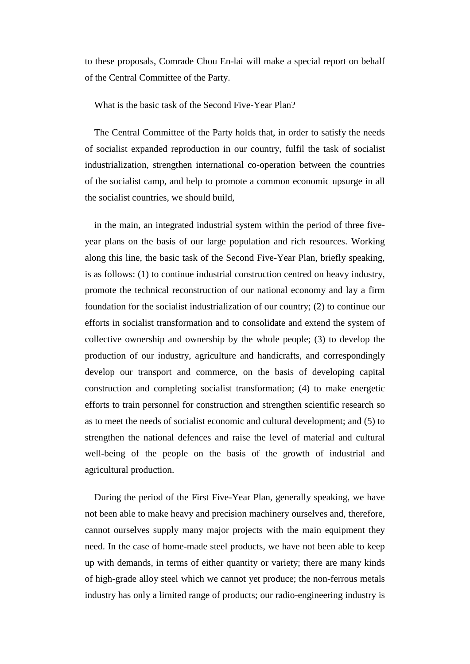to these proposals, Comrade Chou En-lai will make a special report on behalf of the Central Committee of the Party.

What is the basic task of the Second Five-Year Plan?

The Central Committee of the Party holds that, in order to satisfy the needs of socialist expanded reproduction in our country, fulfil the task of socialist industrialization, strengthen international co-operation between the countries of the socialist camp, and help to promote a common economic upsurge in all the socialist countries, we should build,

in the main, an integrated industrial system within the period of three fiveyear plans on the basis of our large population and rich resources. Working along this line, the basic task of the Second Five-Year Plan, briefly speaking, is as follows: (1) to continue industrial construction centred on heavy industry, promote the technical reconstruction of our national economy and lay a firm foundation for the socialist industrialization of our country; (2) to continue our efforts in socialist transformation and to consolidate and extend the system of collective ownership and ownership by the whole people; (3) to develop the production of our industry, agriculture and handicrafts, and correspondingly develop our transport and commerce, on the basis of developing capital construction and completing socialist transformation; (4) to make energetic efforts to train personnel for construction and strengthen scientific research so as to meet the needs of socialist economic and cultural development; and (5) to strengthen the national defences and raise the level of material and cultural well-being of the people on the basis of the growth of industrial and agricultural production.

During the period of the First Five-Year Plan, generally speaking, we have not been able to make heavy and precision machinery ourselves and, therefore, cannot ourselves supply many major projects with the main equipment they need. In the case of home-made steel products, we have not been able to keep up with demands, in terms of either quantity or variety; there are many kinds of high-grade alloy steel which we cannot yet produce; the non-ferrous metals industry has only a limited range of products; our radio-engineering industry is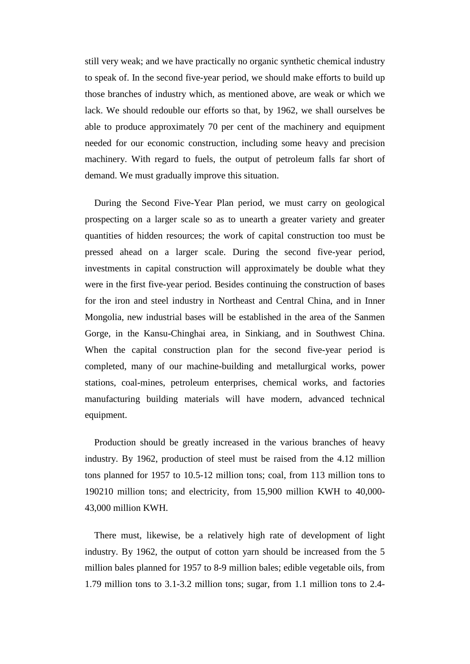still very weak; and we have practically no organic synthetic chemical industry to speak of. In the second five-year period, we should make efforts to build up those branches of industry which, as mentioned above, are weak or which we lack. We should redouble our efforts so that, by 1962, we shall ourselves be able to produce approximately 70 per cent of the machinery and equipment needed for our economic construction, including some heavy and precision machinery. With regard to fuels, the output of petroleum falls far short of demand. We must gradually improve this situation.

During the Second Five-Year Plan period, we must carry on geological prospecting on a larger scale so as to unearth a greater variety and greater quantities of hidden resources; the work of capital construction too must be pressed ahead on a larger scale. During the second five-year period, investments in capital construction will approximately be double what they were in the first five-year period. Besides continuing the construction of bases for the iron and steel industry in Northeast and Central China, and in Inner Mongolia, new industrial bases will be established in the area of the Sanmen Gorge, in the Kansu-Chinghai area, in Sinkiang, and in Southwest China. When the capital construction plan for the second five-year period is completed, many of our machine-building and metallurgical works, power stations, coal-mines, petroleum enterprises, chemical works, and factories manufacturing building materials will have modern, advanced technical equipment.

Production should be greatly increased in the various branches of heavy industry. By 1962, production of steel must be raised from the 4.12 million tons planned for 1957 to 10.5-12 million tons; coal, from 113 million tons to 190210 million tons; and electricity, from 15,900 million KWH to 40,000- 43,000 million KWH.

There must, likewise, be a relatively high rate of development of light industry. By 1962, the output of cotton yarn should be increased from the 5 million bales planned for 1957 to 8-9 million bales; edible vegetable oils, from 1.79 million tons to 3.1-3.2 million tons; sugar, from 1.1 million tons to 2.4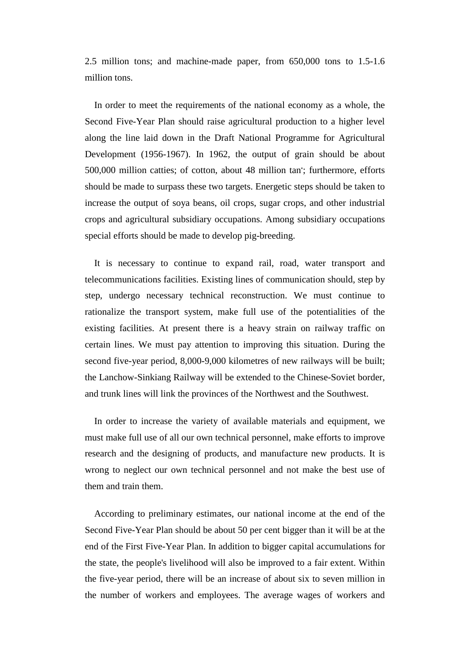2.5 million tons; and machine-made paper, from 650,000 tons to 1.5-1.6 million tons.

In order to meet the requirements of the national economy as a whole, the Second Five-Year Plan should raise agricultural production to a higher level along the line laid down in the Draft National Programme for Agricultural Development (1956-1967). In 1962, the output of grain should be about 500,000 million catties; of cotton, about 48 million tan'; furthermore, efforts should be made to surpass these two targets. Energetic steps should be taken to increase the output of soya beans, oil crops, sugar crops, and other industrial crops and agricultural subsidiary occupations. Among subsidiary occupations special efforts should be made to develop pig-breeding.

It is necessary to continue to expand rail, road, water transport and telecommunications facilities. Existing lines of communication should, step by step, undergo necessary technical reconstruction. We must continue to rationalize the transport system, make full use of the potentialities of the existing facilities. At present there is a heavy strain on railway traffic on certain lines. We must pay attention to improving this situation. During the second five-year period, 8,000-9,000 kilometres of new railways will be built; the Lanchow-Sinkiang Railway will be extended to the Chinese-Soviet border, and trunk lines will link the provinces of the Northwest and the Southwest.

In order to increase the variety of available materials and equipment, we must make full use of all our own technical personnel, make efforts to improve research and the designing of products, and manufacture new products. It is wrong to neglect our own technical personnel and not make the best use of them and train them.

According to preliminary estimates, our national income at the end of the Second Five-Year Plan should be about 50 per cent bigger than it will be at the end of the First Five-Year Plan. In addition to bigger capital accumulations for the state, the people's livelihood will also be improved to a fair extent. Within the five-year period, there will be an increase of about six to seven million in the number of workers and employees. The average wages of workers and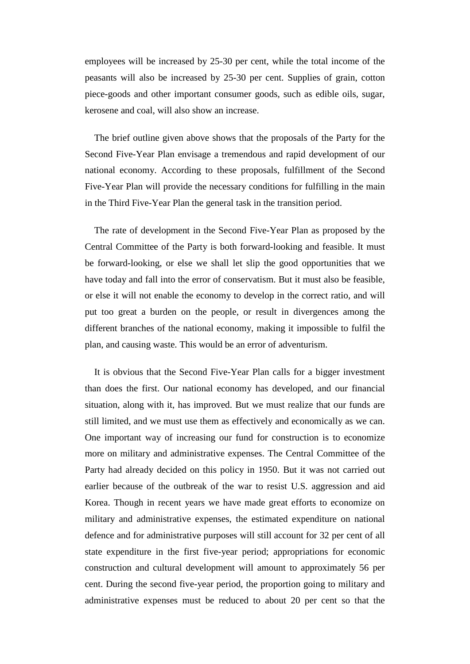employees will be increased by 25-30 per cent, while the total income of the peasants will also be increased by 25-30 per cent. Supplies of grain, cotton piece-goods and other important consumer goods, such as edible oils, sugar, kerosene and coal, will also show an increase.

The brief outline given above shows that the proposals of the Party for the Second Five-Year Plan envisage a tremendous and rapid development of our national economy. According to these proposals, fulfillment of the Second Five-Year Plan will provide the necessary conditions for fulfilling in the main in the Third Five-Year Plan the general task in the transition period.

The rate of development in the Second Five-Year Plan as proposed by the Central Committee of the Party is both forward-looking and feasible. It must be forward-looking, or else we shall let slip the good opportunities that we have today and fall into the error of conservatism. But it must also be feasible, or else it will not enable the economy to develop in the correct ratio, and will put too great a burden on the people, or result in divergences among the different branches of the national economy, making it impossible to fulfil the plan, and causing waste. This would be an error of adventurism.

It is obvious that the Second Five-Year Plan calls for a bigger investment than does the first. Our national economy has developed, and our financial situation, along with it, has improved. But we must realize that our funds are still limited, and we must use them as effectively and economically as we can. One important way of increasing our fund for construction is to economize more on military and administrative expenses. The Central Committee of the Party had already decided on this policy in 1950. But it was not carried out earlier because of the outbreak of the war to resist U.S. aggression and aid Korea. Though in recent years we have made great efforts to economize on military and administrative expenses, the estimated expenditure on national defence and for administrative purposes will still account for 32 per cent of all state expenditure in the first five-year period; appropriations for economic construction and cultural development will amount to approximately 56 per cent. During the second five-year period, the proportion going to military and administrative expenses must be reduced to about 20 per cent so that the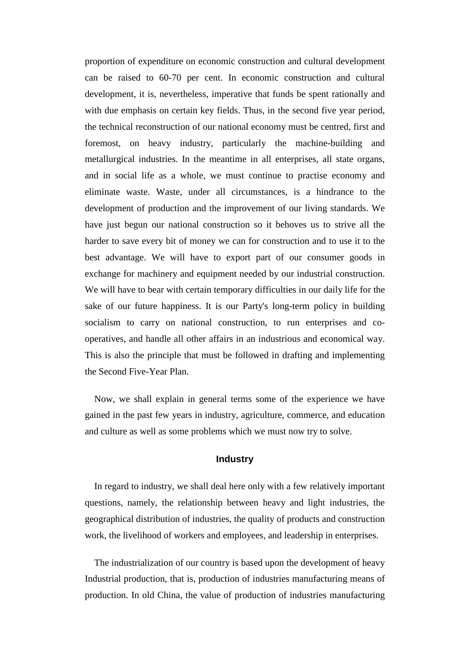proportion of expenditure on economic construction and cultural development can be raised to 60-70 per cent. In economic construction and cultural development, it is, nevertheless, imperative that funds be spent rationally and with due emphasis on certain key fields. Thus, in the second five year period, the technical reconstruction of our national economy must be centred, first and foremost, on heavy industry, particularly the machine-building and metallurgical industries. In the meantime in all enterprises, all state organs, and in social life as a whole, we must continue to practise economy and eliminate waste. Waste, under all circumstances, is a hindrance to the development of production and the improvement of our living standards. We have just begun our national construction so it behoves us to strive all the harder to save every bit of money we can for construction and to use it to the best advantage. We will have to export part of our consumer goods in exchange for machinery and equipment needed by our industrial construction. We will have to bear with certain temporary difficulties in our daily life for the sake of our future happiness. It is our Party's long-term policy in building socialism to carry on national construction, to run enterprises and cooperatives, and handle all other affairs in an industrious and economical way. This is also the principle that must be followed in drafting and implementing the Second Five-Year Plan.

Now, we shall explain in general terms some of the experience we have gained in the past few years in industry, agriculture, commerce, and education and culture as well as some problems which we must now try to solve.

#### **Industry**

In regard to industry, we shall deal here only with a few relatively important questions, namely, the relationship between heavy and light industries, the geographical distribution of industries, the quality of products and construction work, the livelihood of workers and employees, and leadership in enterprises.

The industrialization of our country is based upon the development of heavy Industrial production, that is, production of industries manufacturing means of production. In old China, the value of production of industries manufacturing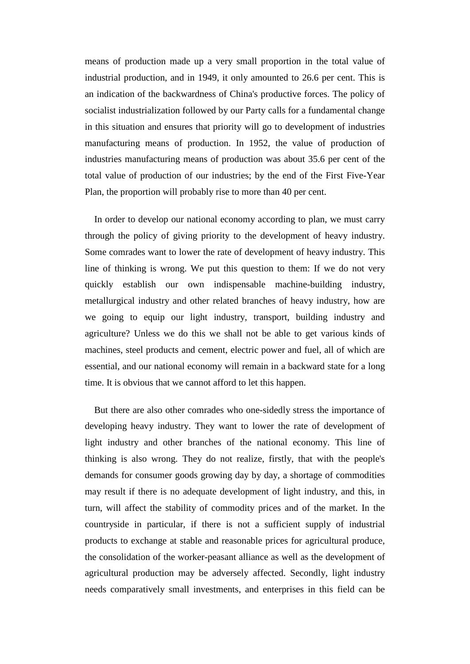means of production made up a very small proportion in the total value of industrial production, and in 1949, it only amounted to 26.6 per cent. This is an indication of the backwardness of China's productive forces. The policy of socialist industrialization followed by our Party calls for a fundamental change in this situation and ensures that priority will go to development of industries manufacturing means of production. In 1952, the value of production of industries manufacturing means of production was about 35.6 per cent of the total value of production of our industries; by the end of the First Five-Year Plan, the proportion will probably rise to more than 40 per cent.

In order to develop our national economy according to plan, we must carry through the policy of giving priority to the development of heavy industry. Some comrades want to lower the rate of development of heavy industry. This line of thinking is wrong. We put this question to them: If we do not very quickly establish our own indispensable machine-building industry, metallurgical industry and other related branches of heavy industry, how are we going to equip our light industry, transport, building industry and agriculture? Unless we do this we shall not be able to get various kinds of machines, steel products and cement, electric power and fuel, all of which are essential, and our national economy will remain in a backward state for a long time. It is obvious that we cannot afford to let this happen.

But there are also other comrades who one-sidedly stress the importance of developing heavy industry. They want to lower the rate of development of light industry and other branches of the national economy. This line of thinking is also wrong. They do not realize, firstly, that with the people's demands for consumer goods growing day by day, a shortage of commodities may result if there is no adequate development of light industry, and this, in turn, will affect the stability of commodity prices and of the market. In the countryside in particular, if there is not a sufficient supply of industrial products to exchange at stable and reasonable prices for agricultural produce, the consolidation of the worker-peasant alliance as well as the development of agricultural production may be adversely affected. Secondly, light industry needs comparatively small investments, and enterprises in this field can be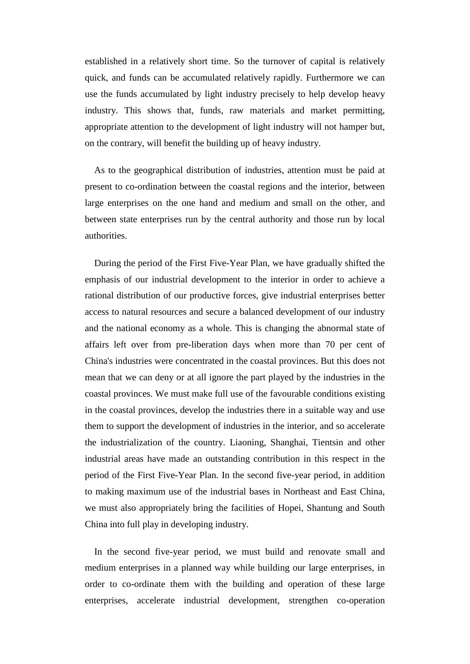established in a relatively short time. So the turnover of capital is relatively quick, and funds can be accumulated relatively rapidly. Furthermore we can use the funds accumulated by light industry precisely to help develop heavy industry. This shows that, funds, raw materials and market permitting, appropriate attention to the development of light industry will not hamper but, on the contrary, will benefit the building up of heavy industry.

As to the geographical distribution of industries, attention must be paid at present to co-ordination between the coastal regions and the interior, between large enterprises on the one hand and medium and small on the other, and between state enterprises run by the central authority and those run by local authorities.

During the period of the First Five-Year Plan, we have gradually shifted the emphasis of our industrial development to the interior in order to achieve a rational distribution of our productive forces, give industrial enterprises better access to natural resources and secure a balanced development of our industry and the national economy as a whole. This is changing the abnormal state of affairs left over from pre-liberation days when more than 70 per cent of China's industries were concentrated in the coastal provinces. But this does not mean that we can deny or at all ignore the part played by the industries in the coastal provinces. We must make full use of the favourable conditions existing in the coastal provinces, develop the industries there in a suitable way and use them to support the development of industries in the interior, and so accelerate the industrialization of the country. Liaoning, Shanghai, Tientsin and other industrial areas have made an outstanding contribution in this respect in the period of the First Five-Year Plan. In the second five-year period, in addition to making maximum use of the industrial bases in Northeast and East China, we must also appropriately bring the facilities of Hopei, Shantung and South China into full play in developing industry.

In the second five-year period, we must build and renovate small and medium enterprises in a planned way while building our large enterprises, in order to co-ordinate them with the building and operation of these large enterprises, accelerate industrial development, strengthen co-operation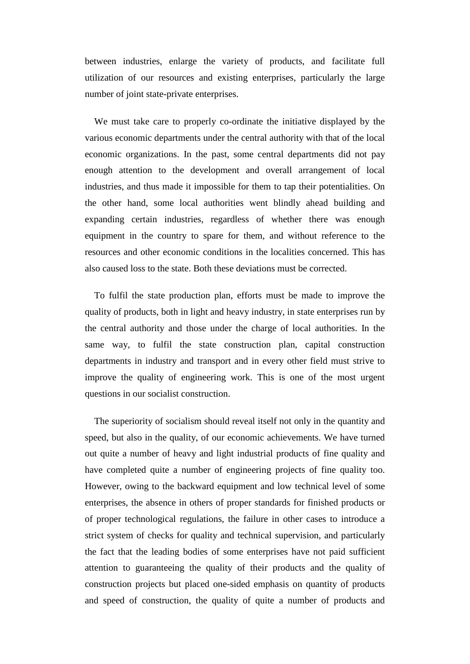between industries, enlarge the variety of products, and facilitate full utilization of our resources and existing enterprises, particularly the large number of joint state-private enterprises.

We must take care to properly co-ordinate the initiative displayed by the various economic departments under the central authority with that of the local economic organizations. In the past, some central departments did not pay enough attention to the development and overall arrangement of local industries, and thus made it impossible for them to tap their potentialities. On the other hand, some local authorities went blindly ahead building and expanding certain industries, regardless of whether there was enough equipment in the country to spare for them, and without reference to the resources and other economic conditions in the localities concerned. This has also caused loss to the state. Both these deviations must be corrected.

To fulfil the state production plan, efforts must be made to improve the quality of products, both in light and heavy industry, in state enterprises run by the central authority and those under the charge of local authorities. In the same way, to fulfil the state construction plan, capital construction departments in industry and transport and in every other field must strive to improve the quality of engineering work. This is one of the most urgent questions in our socialist construction.

The superiority of socialism should reveal itself not only in the quantity and speed, but also in the quality, of our economic achievements. We have turned out quite a number of heavy and light industrial products of fine quality and have completed quite a number of engineering projects of fine quality too. However, owing to the backward equipment and low technical level of some enterprises, the absence in others of proper standards for finished products or of proper technological regulations, the failure in other cases to introduce a strict system of checks for quality and technical supervision, and particularly the fact that the leading bodies of some enterprises have not paid sufficient attention to guaranteeing the quality of their products and the quality of construction projects but placed one-sided emphasis on quantity of products and speed of construction, the quality of quite a number of products and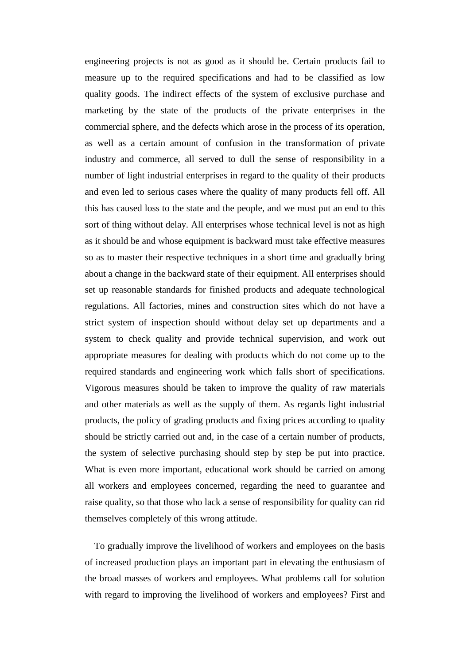engineering projects is not as good as it should be. Certain products fail to measure up to the required specifications and had to be classified as low quality goods. The indirect effects of the system of exclusive purchase and marketing by the state of the products of the private enterprises in the commercial sphere, and the defects which arose in the process of its operation, as well as a certain amount of confusion in the transformation of private industry and commerce, all served to dull the sense of responsibility in a number of light industrial enterprises in regard to the quality of their products and even led to serious cases where the quality of many products fell off. All this has caused loss to the state and the people, and we must put an end to this sort of thing without delay. All enterprises whose technical level is not as high as it should be and whose equipment is backward must take effective measures so as to master their respective techniques in a short time and gradually bring about a change in the backward state of their equipment. All enterprises should set up reasonable standards for finished products and adequate technological regulations. All factories, mines and construction sites which do not have a strict system of inspection should without delay set up departments and a system to check quality and provide technical supervision, and work out appropriate measures for dealing with products which do not come up to the required standards and engineering work which falls short of specifications. Vigorous measures should be taken to improve the quality of raw materials and other materials as well as the supply of them. As regards light industrial products, the policy of grading products and fixing prices according to quality should be strictly carried out and, in the case of a certain number of products, the system of selective purchasing should step by step be put into practice. What is even more important, educational work should be carried on among all workers and employees concerned, regarding the need to guarantee and raise quality, so that those who lack a sense of responsibility for quality can rid themselves completely of this wrong attitude.

To gradually improve the livelihood of workers and employees on the basis of increased production plays an important part in elevating the enthusiasm of the broad masses of workers and employees. What problems call for solution with regard to improving the livelihood of workers and employees? First and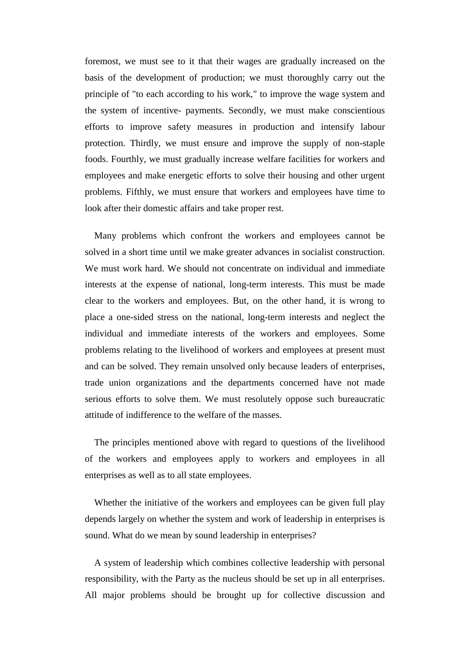foremost, we must see to it that their wages are gradually increased on the basis of the development of production; we must thoroughly carry out the principle of "to each according to his work," to improve the wage system and the system of incentive- payments. Secondly, we must make conscientious efforts to improve safety measures in production and intensify labour protection. Thirdly, we must ensure and improve the supply of non-staple foods. Fourthly, we must gradually increase welfare facilities for workers and employees and make energetic efforts to solve their housing and other urgent problems. Fifthly, we must ensure that workers and employees have time to look after their domestic affairs and take proper rest.

Many problems which confront the workers and employees cannot be solved in a short time until we make greater advances in socialist construction. We must work hard. We should not concentrate on individual and immediate interests at the expense of national, long-term interests. This must be made clear to the workers and employees. But, on the other hand, it is wrong to place a one-sided stress on the national, long-term interests and neglect the individual and immediate interests of the workers and employees. Some problems relating to the livelihood of workers and employees at present must and can be solved. They remain unsolved only because leaders of enterprises, trade union organizations and the departments concerned have not made serious efforts to solve them. We must resolutely oppose such bureaucratic attitude of indifference to the welfare of the masses.

The principles mentioned above with regard to questions of the livelihood of the workers and employees apply to workers and employees in all enterprises as well as to all state employees.

Whether the initiative of the workers and employees can be given full play depends largely on whether the system and work of leadership in enterprises is sound. What do we mean by sound leadership in enterprises?

A system of leadership which combines collective leadership with personal responsibility, with the Party as the nucleus should be set up in all enterprises. All major problems should be brought up for collective discussion and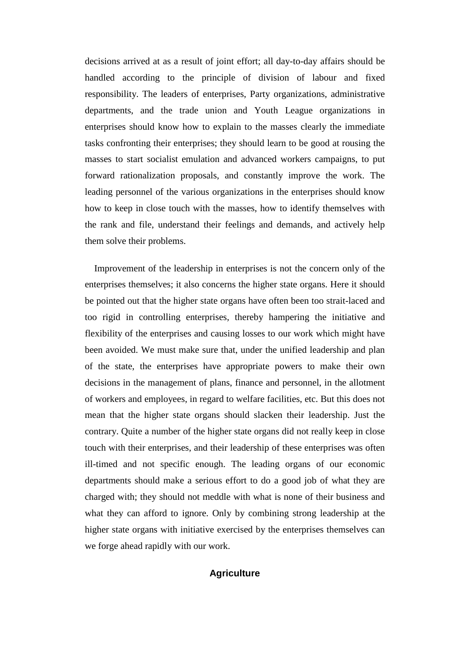decisions arrived at as a result of joint effort; all day-to-day affairs should be handled according to the principle of division of labour and fixed responsibility. The leaders of enterprises, Party organizations, administrative departments, and the trade union and Youth League organizations in enterprises should know how to explain to the masses clearly the immediate tasks confronting their enterprises; they should learn to be good at rousing the masses to start socialist emulation and advanced workers campaigns, to put forward rationalization proposals, and constantly improve the work. The leading personnel of the various organizations in the enterprises should know how to keep in close touch with the masses, how to identify themselves with the rank and file, understand their feelings and demands, and actively help them solve their problems.

Improvement of the leadership in enterprises is not the concern only of the enterprises themselves; it also concerns the higher state organs. Here it should be pointed out that the higher state organs have often been too strait-laced and too rigid in controlling enterprises, thereby hampering the initiative and flexibility of the enterprises and causing losses to our work which might have been avoided. We must make sure that, under the unified leadership and plan of the state, the enterprises have appropriate powers to make their own decisions in the management of plans, finance and personnel, in the allotment of workers and employees, in regard to welfare facilities, etc. But this does not mean that the higher state organs should slacken their leadership. Just the contrary. Quite a number of the higher state organs did not really keep in close touch with their enterprises, and their leadership of these enterprises was often ill-timed and not specific enough. The leading organs of our economic departments should make a serious effort to do a good job of what they are charged with; they should not meddle with what is none of their business and what they can afford to ignore. Only by combining strong leadership at the higher state organs with initiative exercised by the enterprises themselves can we forge ahead rapidly with our work.

## **Agriculture**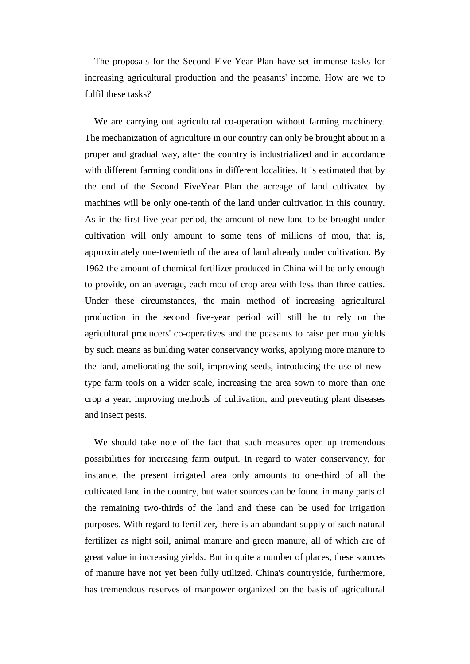The proposals for the Second Five-Year Plan have set immense tasks for increasing agricultural production and the peasants' income. How are we to fulfil these tasks?

We are carrying out agricultural co-operation without farming machinery. The mechanization of agriculture in our country can only be brought about in a proper and gradual way, after the country is industrialized and in accordance with different farming conditions in different localities. It is estimated that by the end of the Second FiveYear Plan the acreage of land cultivated by machines will be only one-tenth of the land under cultivation in this country. As in the first five-year period, the amount of new land to be brought under cultivation will only amount to some tens of millions of mou, that is, approximately one-twentieth of the area of land already under cultivation. By 1962 the amount of chemical fertilizer produced in China will be only enough to provide, on an average, each mou of crop area with less than three catties. Under these circumstances, the main method of increasing agricultural production in the second five-year period will still be to rely on the agricultural producers' co-operatives and the peasants to raise per mou yields by such means as building water conservancy works, applying more manure to the land, ameliorating the soil, improving seeds, introducing the use of newtype farm tools on a wider scale, increasing the area sown to more than one crop a year, improving methods of cultivation, and preventing plant diseases and insect pests.

We should take note of the fact that such measures open up tremendous possibilities for increasing farm output. In regard to water conservancy, for instance, the present irrigated area only amounts to one-third of all the cultivated land in the country, but water sources can be found in many parts of the remaining two-thirds of the land and these can be used for irrigation purposes. With regard to fertilizer, there is an abundant supply of such natural fertilizer as night soil, animal manure and green manure, all of which are of great value in increasing yields. But in quite a number of places, these sources of manure have not yet been fully utilized. China's countryside, furthermore, has tremendous reserves of manpower organized on the basis of agricultural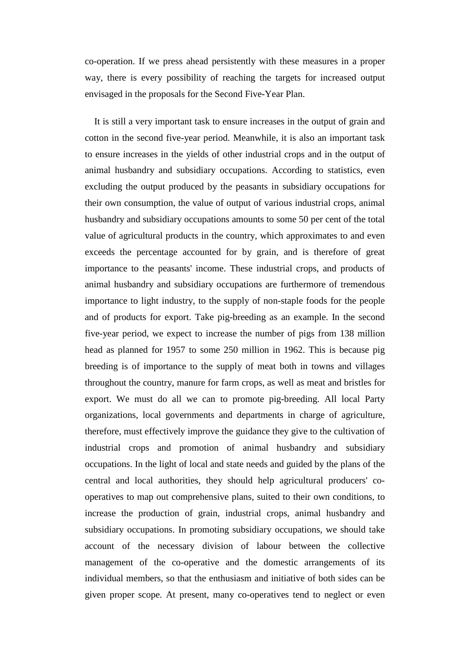co-operation. If we press ahead persistently with these measures in a proper way, there is every possibility of reaching the targets for increased output envisaged in the proposals for the Second Five-Year Plan.

It is still a very important task to ensure increases in the output of grain and cotton in the second five-year period. Meanwhile, it is also an important task to ensure increases in the yields of other industrial crops and in the output of animal husbandry and subsidiary occupations. According to statistics, even excluding the output produced by the peasants in subsidiary occupations for their own consumption, the value of output of various industrial crops, animal husbandry and subsidiary occupations amounts to some 50 per cent of the total value of agricultural products in the country, which approximates to and even exceeds the percentage accounted for by grain, and is therefore of great importance to the peasants' income. These industrial crops, and products of animal husbandry and subsidiary occupations are furthermore of tremendous importance to light industry, to the supply of non-staple foods for the people and of products for export. Take pig-breeding as an example. In the second five-year period, we expect to increase the number of pigs from 138 million head as planned for 1957 to some 250 million in 1962. This is because pig breeding is of importance to the supply of meat both in towns and villages throughout the country, manure for farm crops, as well as meat and bristles for export. We must do all we can to promote pig-breeding. All local Party organizations, local governments and departments in charge of agriculture, therefore, must effectively improve the guidance they give to the cultivation of industrial crops and promotion of animal husbandry and subsidiary occupations. In the light of local and state needs and guided by the plans of the central and local authorities, they should help agricultural producers' cooperatives to map out comprehensive plans, suited to their own conditions, to increase the production of grain, industrial crops, animal husbandry and subsidiary occupations. In promoting subsidiary occupations, we should take account of the necessary division of labour between the collective management of the co-operative and the domestic arrangements of its individual members, so that the enthusiasm and initiative of both sides can be given proper scope. At present, many co-operatives tend to neglect or even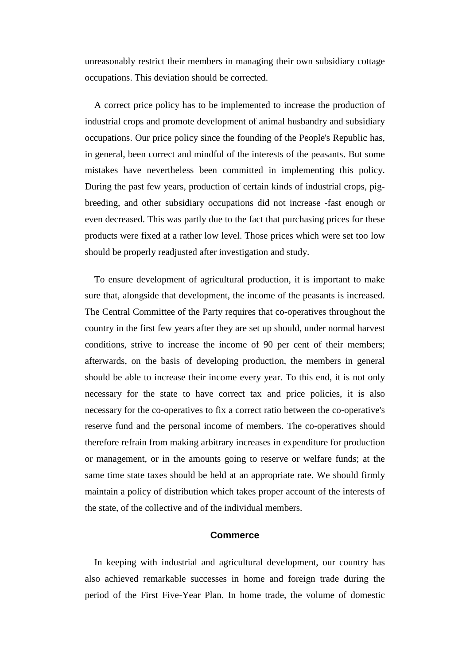unreasonably restrict their members in managing their own subsidiary cottage occupations. This deviation should be corrected.

A correct price policy has to be implemented to increase the production of industrial crops and promote development of animal husbandry and subsidiary occupations. Our price policy since the founding of the People's Republic has, in general, been correct and mindful of the interests of the peasants. But some mistakes have nevertheless been committed in implementing this policy. During the past few years, production of certain kinds of industrial crops, pigbreeding, and other subsidiary occupations did not increase -fast enough or even decreased. This was partly due to the fact that purchasing prices for these products were fixed at a rather low level. Those prices which were set too low should be properly readjusted after investigation and study.

To ensure development of agricultural production, it is important to make sure that, alongside that development, the income of the peasants is increased. The Central Committee of the Party requires that co-operatives throughout the country in the first few years after they are set up should, under normal harvest conditions, strive to increase the income of 90 per cent of their members; afterwards, on the basis of developing production, the members in general should be able to increase their income every year. To this end, it is not only necessary for the state to have correct tax and price policies, it is also necessary for the co-operatives to fix a correct ratio between the co-operative's reserve fund and the personal income of members. The co-operatives should therefore refrain from making arbitrary increases in expenditure for production or management, or in the amounts going to reserve or welfare funds; at the same time state taxes should be held at an appropriate rate. We should firmly maintain a policy of distribution which takes proper account of the interests of the state, of the collective and of the individual members.

#### **Commerce**

In keeping with industrial and agricultural development, our country has also achieved remarkable successes in home and foreign trade during the period of the First Five-Year Plan. In home trade, the volume of domestic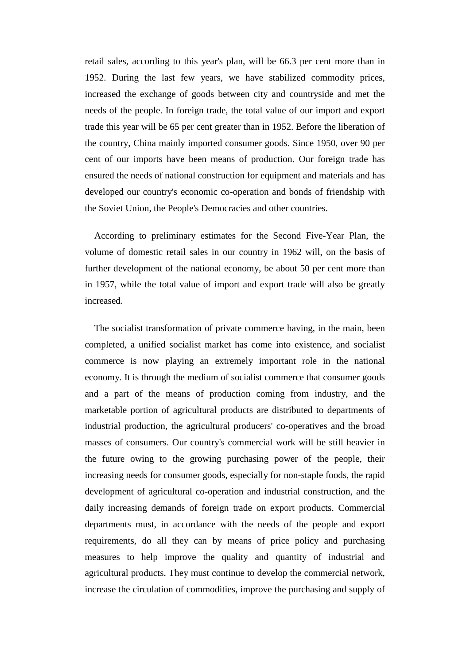retail sales, according to this year's plan, will be 66.3 per cent more than in 1952. During the last few years, we have stabilized commodity prices, increased the exchange of goods between city and countryside and met the needs of the people. In foreign trade, the total value of our import and export trade this year will be 65 per cent greater than in 1952. Before the liberation of the country, China mainly imported consumer goods. Since 1950, over 90 per cent of our imports have been means of production. Our foreign trade has ensured the needs of national construction for equipment and materials and has developed our country's economic co-operation and bonds of friendship with the Soviet Union, the People's Democracies and other countries.

According to preliminary estimates for the Second Five-Year Plan, the volume of domestic retail sales in our country in 1962 will, on the basis of further development of the national economy, be about 50 per cent more than in 1957, while the total value of import and export trade will also be greatly increased.

The socialist transformation of private commerce having, in the main, been completed, a unified socialist market has come into existence, and socialist commerce is now playing an extremely important role in the national economy. It is through the medium of socialist commerce that consumer goods and a part of the means of production coming from industry, and the marketable portion of agricultural products are distributed to departments of industrial production, the agricultural producers' co-operatives and the broad masses of consumers. Our country's commercial work will be still heavier in the future owing to the growing purchasing power of the people, their increasing needs for consumer goods, especially for non-staple foods, the rapid development of agricultural co-operation and industrial construction, and the daily increasing demands of foreign trade on export products. Commercial departments must, in accordance with the needs of the people and export requirements, do all they can by means of price policy and purchasing measures to help improve the quality and quantity of industrial and agricultural products. They must continue to develop the commercial network, increase the circulation of commodities, improve the purchasing and supply of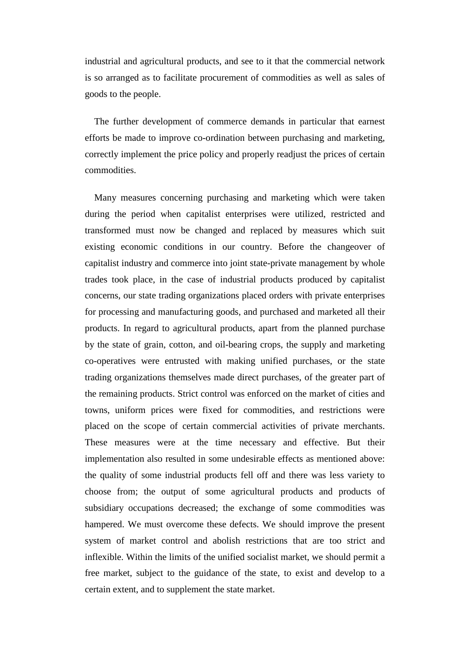industrial and agricultural products, and see to it that the commercial network is so arranged as to facilitate procurement of commodities as well as sales of goods to the people.

The further development of commerce demands in particular that earnest efforts be made to improve co-ordination between purchasing and marketing, correctly implement the price policy and properly readjust the prices of certain commodities.

Many measures concerning purchasing and marketing which were taken during the period when capitalist enterprises were utilized, restricted and transformed must now be changed and replaced by measures which suit existing economic conditions in our country. Before the changeover of capitalist industry and commerce into joint state-private management by whole trades took place, in the case of industrial products produced by capitalist concerns, our state trading organizations placed orders with private enterprises for processing and manufacturing goods, and purchased and marketed all their products. In regard to agricultural products, apart from the planned purchase by the state of grain, cotton, and oil-bearing crops, the supply and marketing co-operatives were entrusted with making unified purchases, or the state trading organizations themselves made direct purchases, of the greater part of the remaining products. Strict control was enforced on the market of cities and towns, uniform prices were fixed for commodities, and restrictions were placed on the scope of certain commercial activities of private merchants. These measures were at the time necessary and effective. But their implementation also resulted in some undesirable effects as mentioned above: the quality of some industrial products fell off and there was less variety to choose from; the output of some agricultural products and products of subsidiary occupations decreased; the exchange of some commodities was hampered. We must overcome these defects. We should improve the present system of market control and abolish restrictions that are too strict and inflexible. Within the limits of the unified socialist market, we should permit a free market, subject to the guidance of the state, to exist and develop to a certain extent, and to supplement the state market.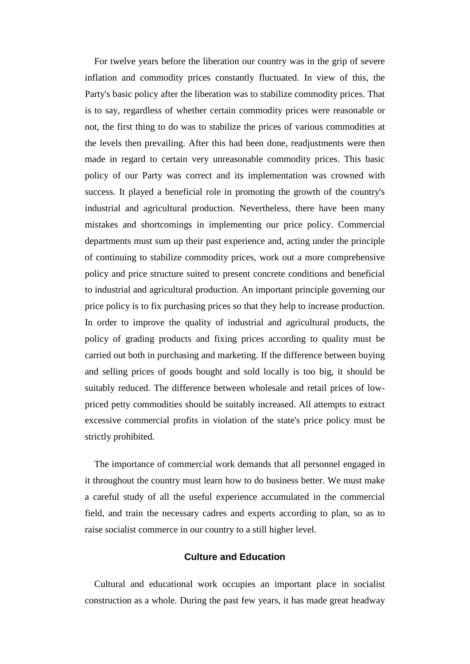For twelve years before the liberation our country was in the grip of severe inflation and commodity prices constantly fluctuated. In view of this, the Party's basic policy after the liberation was to stabilize commodity prices. That is to say, regardless of whether certain commodity prices were reasonable or not, the first thing to do was to stabilize the prices of various commodities at the levels then prevailing. After this had been done, readjustments were then made in regard to certain very unreasonable commodity prices. This basic policy of our Party was correct and its implementation was crowned with success. It played a beneficial role in promoting the growth of the country's industrial and agricultural production. Nevertheless, there have been many mistakes and shortcomings in implementing our price policy. Commercial departments must sum up their past experience and, acting under the principle of continuing to stabilize commodity prices, work out a more comprehensive policy and price structure suited to present concrete conditions and beneficial to industrial and agricultural production. An important principle governing our price policy is to fix purchasing prices so that they help to increase production. In order to improve the quality of industrial and agricultural products, the policy of grading products and fixing prices according to quality must be carried out both in purchasing and marketing. If the difference between buying and selling prices of goods bought and sold locally is too big, it should be suitably reduced. The difference between wholesale and retail prices of lowpriced petty commodities should be suitably increased. All attempts to extract excessive commercial profits in violation of the state's price policy must be strictly prohibited.

The importance of commercial work demands that all personnel engaged in it throughout the country must learn how to do business better. We must make a careful study of all the useful experience accumulated in the commercial field, and train the necessary cadres and experts according to plan, so as to raise socialist commerce in our country to a still higher level.

# **Culture and Education**

Cultural and educational work occupies an important place in socialist construction as a whole. During the past few years, it has made great headway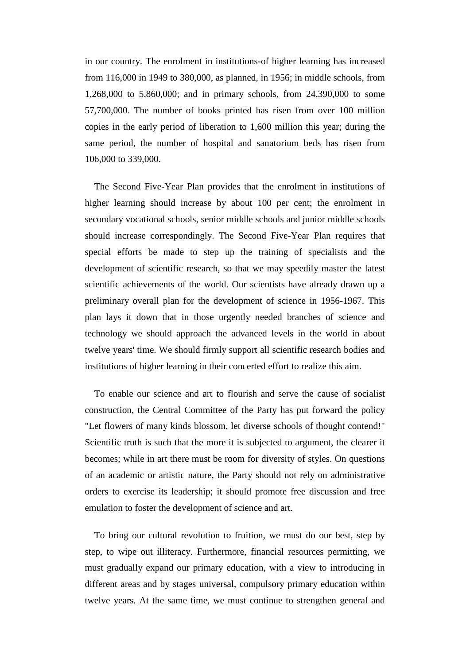in our country. The enrolment in institutions-of higher learning has increased from 116,000 in 1949 to 380,000, as planned, in 1956; in middle schools, from 1,268,000 to 5,860,000; and in primary schools, from 24,390,000 to some 57,700,000. The number of books printed has risen from over 100 million copies in the early period of liberation to 1,600 million this year; during the same period, the number of hospital and sanatorium beds has risen from 106,000 to 339,000.

The Second Five-Year Plan provides that the enrolment in institutions of higher learning should increase by about 100 per cent; the enrolment in secondary vocational schools, senior middle schools and junior middle schools should increase correspondingly. The Second Five-Year Plan requires that special efforts be made to step up the training of specialists and the development of scientific research, so that we may speedily master the latest scientific achievements of the world. Our scientists have already drawn up a preliminary overall plan for the development of science in 1956-1967. This plan lays it down that in those urgently needed branches of science and technology we should approach the advanced levels in the world in about twelve years' time. We should firmly support all scientific research bodies and institutions of higher learning in their concerted effort to realize this aim.

To enable our science and art to flourish and serve the cause of socialist construction, the Central Committee of the Party has put forward the policy "Let flowers of many kinds blossom, let diverse schools of thought contend!" Scientific truth is such that the more it is subjected to argument, the clearer it becomes; while in art there must be room for diversity of styles. On questions of an academic or artistic nature, the Party should not rely on administrative orders to exercise its leadership; it should promote free discussion and free emulation to foster the development of science and art.

To bring our cultural revolution to fruition, we must do our best, step by step, to wipe out illiteracy. Furthermore, financial resources permitting, we must gradually expand our primary education, with a view to introducing in different areas and by stages universal, compulsory primary education within twelve years. At the same time, we must continue to strengthen general and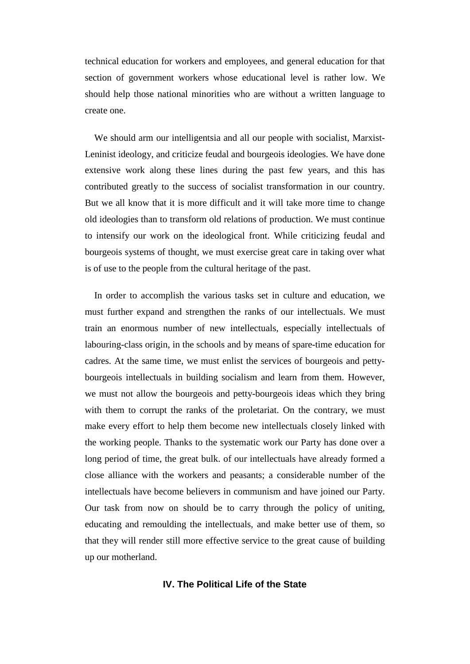technical education for workers and employees, and general education for that section of government workers whose educational level is rather low. We should help those national minorities who are without a written language to create one.

We should arm our intelligentsia and all our people with socialist, Marxist-Leninist ideology, and criticize feudal and bourgeois ideologies. We have done extensive work along these lines during the past few years, and this has contributed greatly to the success of socialist transformation in our country. But we all know that it is more difficult and it will take more time to change old ideologies than to transform old relations of production. We must continue to intensify our work on the ideological front. While criticizing feudal and bourgeois systems of thought, we must exercise great care in taking over what is of use to the people from the cultural heritage of the past.

In order to accomplish the various tasks set in culture and education, we must further expand and strengthen the ranks of our intellectuals. We must train an enormous number of new intellectuals, especially intellectuals of labouring-class origin, in the schools and by means of spare-time education for cadres. At the same time, we must enlist the services of bourgeois and pettybourgeois intellectuals in building socialism and learn from them. However, we must not allow the bourgeois and petty-bourgeois ideas which they bring with them to corrupt the ranks of the proletariat. On the contrary, we must make every effort to help them become new intellectuals closely linked with the working people. Thanks to the systematic work our Party has done over a long period of time, the great bulk. of our intellectuals have already formed a close alliance with the workers and peasants; a considerable number of the intellectuals have become believers in communism and have joined our Party. Our task from now on should be to carry through the policy of uniting, educating and remoulding the intellectuals, and make better use of them, so that they will render still more effective service to the great cause of building up our motherland.

### **IV. The Political Life of the State**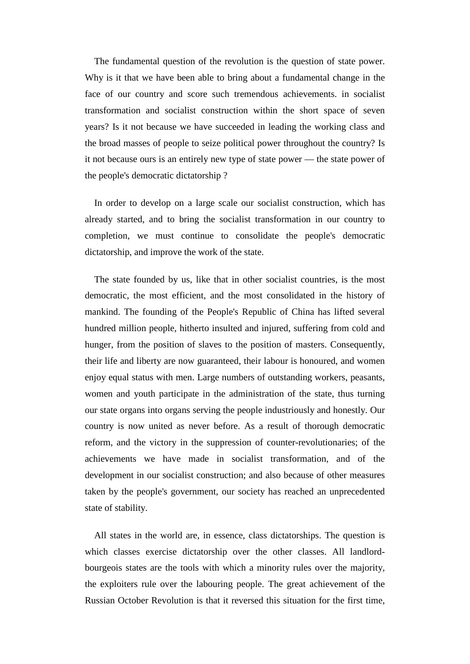The fundamental question of the revolution is the question of state power. Why is it that we have been able to bring about a fundamental change in the face of our country and score such tremendous achievements. in socialist transformation and socialist construction within the short space of seven years? Is it not because we have succeeded in leading the working class and the broad masses of people to seize political power throughout the country? Is it not because ours is an entirely new type of state power — the state power of the people's democratic dictatorship ?

In order to develop on a large scale our socialist construction, which has already started, and to bring the socialist transformation in our country to completion, we must continue to consolidate the people's democratic dictatorship, and improve the work of the state.

The state founded by us, like that in other socialist countries, is the most democratic, the most efficient, and the most consolidated in the history of mankind. The founding of the People's Republic of China has lifted several hundred million people, hitherto insulted and injured, suffering from cold and hunger, from the position of slaves to the position of masters. Consequently, their life and liberty are now guaranteed, their labour is honoured, and women enjoy equal status with men. Large numbers of outstanding workers, peasants, women and youth participate in the administration of the state, thus turning our state organs into organs serving the people industriously and honestly. Our country is now united as never before. As a result of thorough democratic reform, and the victory in the suppression of counter-revolutionaries; of the achievements we have made in socialist transformation, and of the development in our socialist construction; and also because of other measures taken by the people's government, our society has reached an unprecedented state of stability.

All states in the world are, in essence, class dictatorships. The question is which classes exercise dictatorship over the other classes. All landlordbourgeois states are the tools with which a minority rules over the majority, the exploiters rule over the labouring people. The great achievement of the Russian October Revolution is that it reversed this situation for the first time,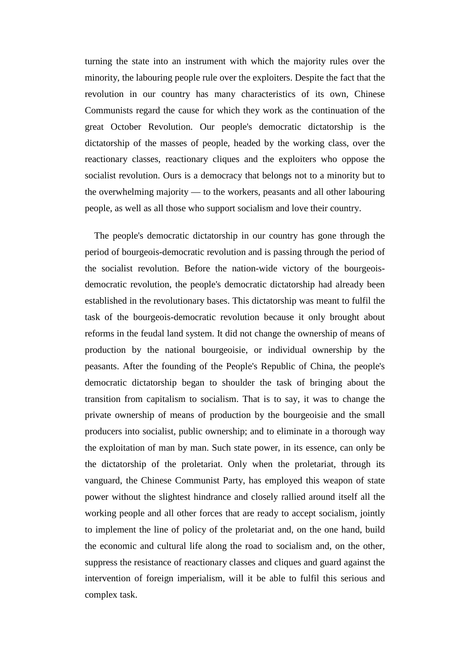turning the state into an instrument with which the majority rules over the minority, the labouring people rule over the exploiters. Despite the fact that the revolution in our country has many characteristics of its own, Chinese Communists regard the cause for which they work as the continuation of the great October Revolution. Our people's democratic dictatorship is the dictatorship of the masses of people, headed by the working class, over the reactionary classes, reactionary cliques and the exploiters who oppose the socialist revolution. Ours is a democracy that belongs not to a minority but to the overwhelming majority — to the workers, peasants and all other labouring people, as well as all those who support socialism and love their country.

The people's democratic dictatorship in our country has gone through the period of bourgeois-democratic revolution and is passing through the period of the socialist revolution. Before the nation-wide victory of the bourgeoisdemocratic revolution, the people's democratic dictatorship had already been established in the revolutionary bases. This dictatorship was meant to fulfil the task of the bourgeois-democratic revolution because it only brought about reforms in the feudal land system. It did not change the ownership of means of production by the national bourgeoisie, or individual ownership by the peasants. After the founding of the People's Republic of China, the people's democratic dictatorship began to shoulder the task of bringing about the transition from capitalism to socialism. That is to say, it was to change the private ownership of means of production by the bourgeoisie and the small producers into socialist, public ownership; and to eliminate in a thorough way the exploitation of man by man. Such state power, in its essence, can only be the dictatorship of the proletariat. Only when the proletariat, through its vanguard, the Chinese Communist Party, has employed this weapon of state power without the slightest hindrance and closely rallied around itself all the working people and all other forces that are ready to accept socialism, jointly to implement the line of policy of the proletariat and, on the one hand, build the economic and cultural life along the road to socialism and, on the other, suppress the resistance of reactionary classes and cliques and guard against the intervention of foreign imperialism, will it be able to fulfil this serious and complex task.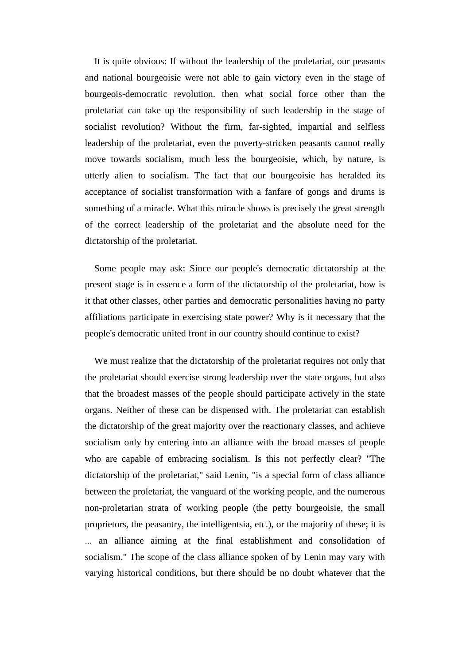It is quite obvious: If without the leadership of the proletariat, our peasants and national bourgeoisie were not able to gain victory even in the stage of bourgeois-democratic revolution. then what social force other than the proletariat can take up the responsibility of such leadership in the stage of socialist revolution? Without the firm, far-sighted, impartial and selfless leadership of the proletariat, even the poverty-stricken peasants cannot really move towards socialism, much less the bourgeoisie, which, by nature, is utterly alien to socialism. The fact that our bourgeoisie has heralded its acceptance of socialist transformation with a fanfare of gongs and drums is something of a miracle. What this miracle shows is precisely the great strength of the correct leadership of the proletariat and the absolute need for the dictatorship of the proletariat.

Some people may ask: Since our people's democratic dictatorship at the present stage is in essence a form of the dictatorship of the proletariat, how is it that other classes, other parties and democratic personalities having no party affiliations participate in exercising state power? Why is it necessary that the people's democratic united front in our country should continue to exist?

We must realize that the dictatorship of the proletariat requires not only that the proletariat should exercise strong leadership over the state organs, but also that the broadest masses of the people should participate actively in the state organs. Neither of these can be dispensed with. The proletariat can establish the dictatorship of the great majority over the reactionary classes, and achieve socialism only by entering into an alliance with the broad masses of people who are capable of embracing socialism. Is this not perfectly clear? "The dictatorship of the proletariat," said Lenin, "is a special form of class alliance between the proletariat, the vanguard of the working people, and the numerous non-proletarian strata of working people (the petty bourgeoisie, the small proprietors, the peasantry, the intelligentsia, etc.), or the majority of these; it is ... an alliance aiming at the final establishment and consolidation of socialism." The scope of the class alliance spoken of by Lenin may vary with varying historical conditions, but there should be no doubt whatever that the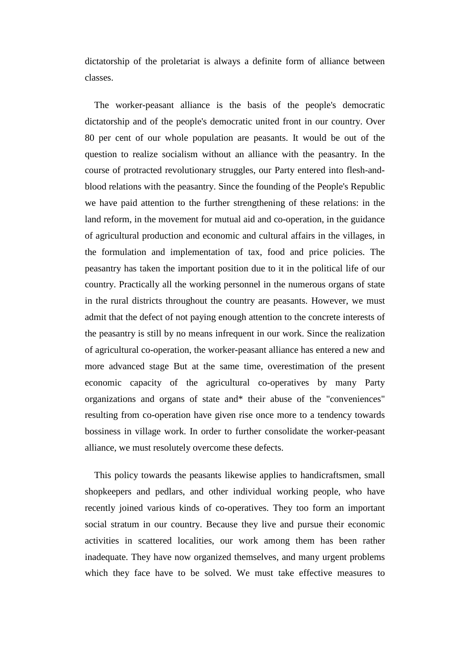dictatorship of the proletariat is always a definite form of alliance between classes.

The worker-peasant alliance is the basis of the people's democratic dictatorship and of the people's democratic united front in our country. Over 80 per cent of our whole population are peasants. It would be out of the question to realize socialism without an alliance with the peasantry. In the course of protracted revolutionary struggles, our Party entered into flesh-andblood relations with the peasantry. Since the founding of the People's Republic we have paid attention to the further strengthening of these relations: in the land reform, in the movement for mutual aid and co-operation, in the guidance of agricultural production and economic and cultural affairs in the villages, in the formulation and implementation of tax, food and price policies. The peasantry has taken the important position due to it in the political life of our country. Practically all the working personnel in the numerous organs of state in the rural districts throughout the country are peasants. However, we must admit that the defect of not paying enough attention to the concrete interests of the peasantry is still by no means infrequent in our work. Since the realization of agricultural co-operation, the worker-peasant alliance has entered a new and more advanced stage But at the same time, overestimation of the present economic capacity of the agricultural co-operatives by many Party organizations and organs of state and\* their abuse of the "conveniences" resulting from co-operation have given rise once more to a tendency towards bossiness in village work. In order to further consolidate the worker-peasant alliance, we must resolutely overcome these defects.

This policy towards the peasants likewise applies to handicraftsmen, small shopkeepers and pedlars, and other individual working people, who have recently joined various kinds of co-operatives. They too form an important social stratum in our country. Because they live and pursue their economic activities in scattered localities, our work among them has been rather inadequate. They have now organized themselves, and many urgent problems which they face have to be solved. We must take effective measures to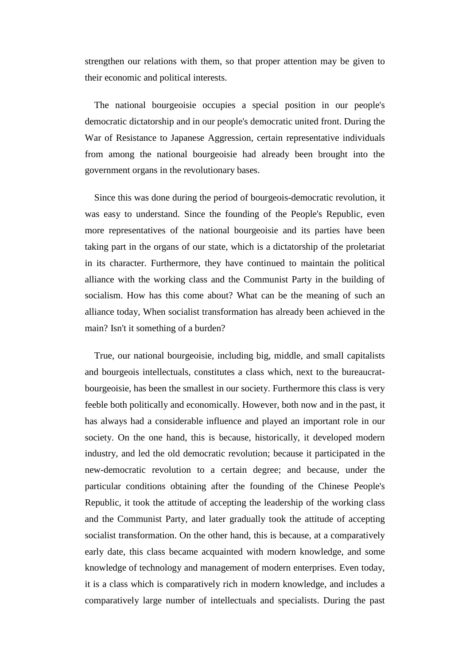strengthen our relations with them, so that proper attention may be given to their economic and political interests.

The national bourgeoisie occupies a special position in our people's democratic dictatorship and in our people's democratic united front. During the War of Resistance to Japanese Aggression, certain representative individuals from among the national bourgeoisie had already been brought into the government organs in the revolutionary bases.

Since this was done during the period of bourgeois-democratic revolution, it was easy to understand. Since the founding of the People's Republic, even more representatives of the national bourgeoisie and its parties have been taking part in the organs of our state, which is a dictatorship of the proletariat in its character. Furthermore, they have continued to maintain the political alliance with the working class and the Communist Party in the building of socialism. How has this come about? What can be the meaning of such an alliance today, When socialist transformation has already been achieved in the main? Isn't it something of a burden?

True, our national bourgeoisie, including big, middle, and small capitalists and bourgeois intellectuals, constitutes a class which, next to the bureaucratbourgeoisie, has been the smallest in our society. Furthermore this class is very feeble both politically and economically. However, both now and in the past, it has always had a considerable influence and played an important role in our society. On the one hand, this is because, historically, it developed modern industry, and led the old democratic revolution; because it participated in the new-democratic revolution to a certain degree; and because, under the particular conditions obtaining after the founding of the Chinese People's Republic, it took the attitude of accepting the leadership of the working class and the Communist Party, and later gradually took the attitude of accepting socialist transformation. On the other hand, this is because, at a comparatively early date, this class became acquainted with modern knowledge, and some knowledge of technology and management of modern enterprises. Even today, it is a class which is comparatively rich in modern knowledge, and includes a comparatively large number of intellectuals and specialists. During the past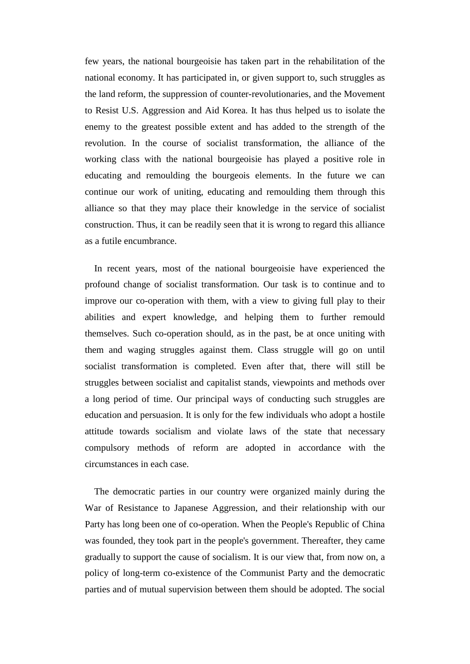few years, the national bourgeoisie has taken part in the rehabilitation of the national economy. It has participated in, or given support to, such struggles as the land reform, the suppression of counter-revolutionaries, and the Movement to Resist U.S. Aggression and Aid Korea. It has thus helped us to isolate the enemy to the greatest possible extent and has added to the strength of the revolution. In the course of socialist transformation, the alliance of the working class with the national bourgeoisie has played a positive role in educating and remoulding the bourgeois elements. In the future we can continue our work of uniting, educating and remoulding them through this alliance so that they may place their knowledge in the service of socialist construction. Thus, it can be readily seen that it is wrong to regard this alliance as a futile encumbrance.

In recent years, most of the national bourgeoisie have experienced the profound change of socialist transformation. Our task is to continue and to improve our co-operation with them, with a view to giving full play to their abilities and expert knowledge, and helping them to further remould themselves. Such co-operation should, as in the past, be at once uniting with them and waging struggles against them. Class struggle will go on until socialist transformation is completed. Even after that, there will still be struggles between socialist and capitalist stands, viewpoints and methods over a long period of time. Our principal ways of conducting such struggles are education and persuasion. It is only for the few individuals who adopt a hostile attitude towards socialism and violate laws of the state that necessary compulsory methods of reform are adopted in accordance with the circumstances in each case.

The democratic parties in our country were organized mainly during the War of Resistance to Japanese Aggression, and their relationship with our Party has long been one of co-operation. When the People's Republic of China was founded, they took part in the people's government. Thereafter, they came gradually to support the cause of socialism. It is our view that, from now on, a policy of long-term co-existence of the Communist Party and the democratic parties and of mutual supervision between them should be adopted. The social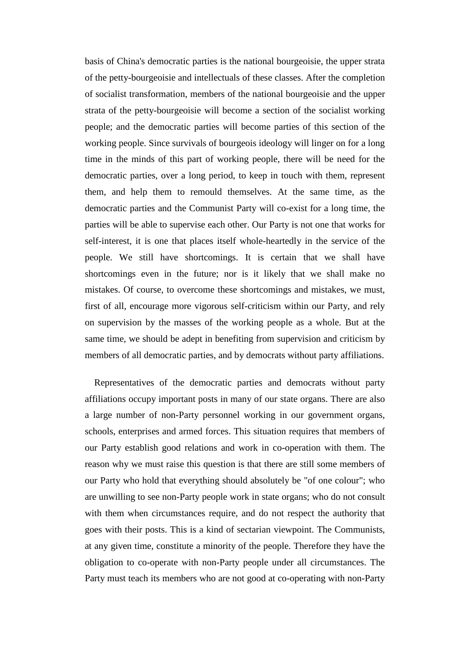basis of China's democratic parties is the national bourgeoisie, the upper strata of the petty-bourgeoisie and intellectuals of these classes. After the completion of socialist transformation, members of the national bourgeoisie and the upper strata of the petty-bourgeoisie will become a section of the socialist working people; and the democratic parties will become parties of this section of the working people. Since survivals of bourgeois ideology will linger on for a long time in the minds of this part of working people, there will be need for the democratic parties, over a long period, to keep in touch with them, represent them, and help them to remould themselves. At the same time, as the democratic parties and the Communist Party will co-exist for a long time, the parties will be able to supervise each other. Our Party is not one that works for self-interest, it is one that places itself whole-heartedly in the service of the people. We still have shortcomings. It is certain that we shall have shortcomings even in the future; nor is it likely that we shall make no mistakes. Of course, to overcome these shortcomings and mistakes, we must, first of all, encourage more vigorous self-criticism within our Party, and rely on supervision by the masses of the working people as a whole. But at the same time, we should be adept in benefiting from supervision and criticism by members of all democratic parties, and by democrats without party affiliations.

Representatives of the democratic parties and democrats without party affiliations occupy important posts in many of our state organs. There are also a large number of non-Party personnel working in our government organs, schools, enterprises and armed forces. This situation requires that members of our Party establish good relations and work in co-operation with them. The reason why we must raise this question is that there are still some members of our Party who hold that everything should absolutely be "of one colour"; who are unwilling to see non-Party people work in state organs; who do not consult with them when circumstances require, and do not respect the authority that goes with their posts. This is a kind of sectarian viewpoint. The Communists, at any given time, constitute a minority of the people. Therefore they have the obligation to co-operate with non-Party people under all circumstances. The Party must teach its members who are not good at co-operating with non-Party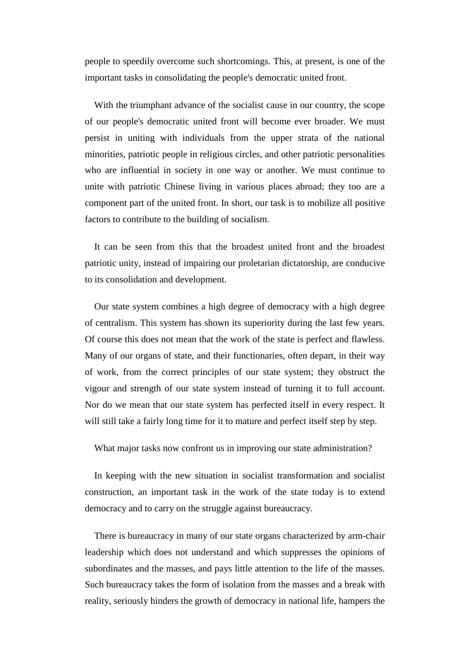people to speedily overcome such shortcomings. This, at present, is one of the important tasks in consolidating the people's democratic united front.

With the triumphant advance of the socialist cause in our country, the scope of our people's democratic united front will become ever broader. We must persist in uniting with individuals from the upper strata of the national minorities, patriotic people in religious circles, and other patriotic personalities who are influential in society in one way or another. We must continue to unite with patriotic Chinese living in various places abroad; they too are a component part of the united front. In short, our task is to mobilize all positive factors to contribute to the building of socialism.

It can be seen from this that the broadest united front and the broadest patriotic unity, instead of impairing our proletarian dictatorship, are conducive to its consolidation and development.

Our state system combines a high degree of democracy with a high degree of centralism. This system has shown its superiority during the last few years. Of course this does not mean that the work of the state is perfect and flawless. Many of our organs of state, and their functionaries, often depart, in their way of work, from the correct principles of our state system; they obstruct the vigour and strength of our state system instead of turning it to full account. Nor do we mean that our state system has perfected itself in every respect. It will still take a fairly long time for it to mature and perfect itself step by step.

What major tasks now confront us in improving our state administration?

In keeping with the new situation in socialist transformation and socialist construction, an important task in the work of the state today is to extend democracy and to carry on the struggle against bureaucracy.

There is bureaucracy in many of our state organs characterized by arm-chair leadership which does not understand and which suppresses the opinions of subordinates and the masses, and pays little attention to the life of the masses. Such bureaucracy takes the form of isolation from the masses and a break with reality, seriously hinders the growth of democracy in national life, hampers the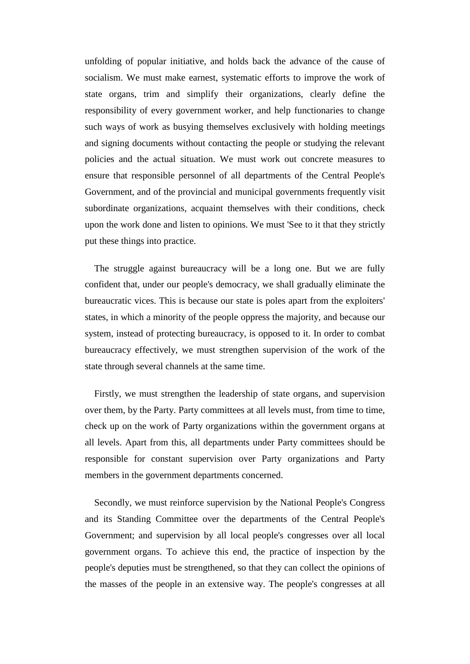unfolding of popular initiative, and holds back the advance of the cause of socialism. We must make earnest, systematic efforts to improve the work of state organs, trim and simplify their organizations, clearly define the responsibility of every government worker, and help functionaries to change such ways of work as busying themselves exclusively with holding meetings and signing documents without contacting the people or studying the relevant policies and the actual situation. We must work out concrete measures to ensure that responsible personnel of all departments of the Central People's Government, and of the provincial and municipal governments frequently visit subordinate organizations, acquaint themselves with their conditions, check upon the work done and listen to opinions. We must 'See to it that they strictly put these things into practice.

The struggle against bureaucracy will be a long one. But we are fully confident that, under our people's democracy, we shall gradually eliminate the bureaucratic vices. This is because our state is poles apart from the exploiters' states, in which a minority of the people oppress the majority, and because our system, instead of protecting bureaucracy, is opposed to it. In order to combat bureaucracy effectively, we must strengthen supervision of the work of the state through several channels at the same time.

Firstly, we must strengthen the leadership of state organs, and supervision over them, by the Party. Party committees at all levels must, from time to time, check up on the work of Party organizations within the government organs at all levels. Apart from this, all departments under Party committees should be responsible for constant supervision over Party organizations and Party members in the government departments concerned.

Secondly, we must reinforce supervision by the National People's Congress and its Standing Committee over the departments of the Central People's Government; and supervision by all local people's congresses over all local government organs. To achieve this end, the practice of inspection by the people's deputies must be strengthened, so that they can collect the opinions of the masses of the people in an extensive way. The people's congresses at all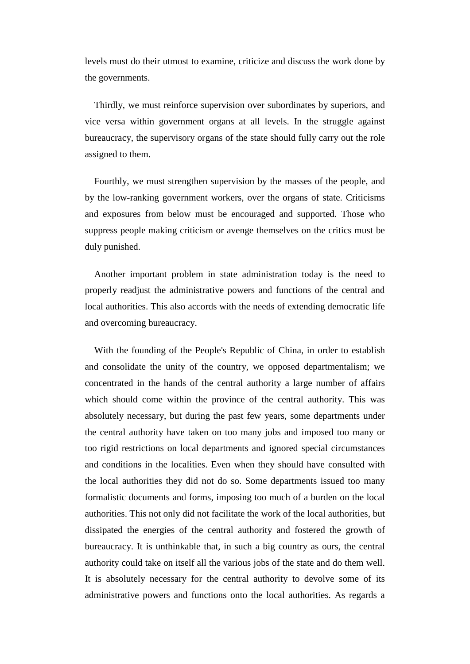levels must do their utmost to examine, criticize and discuss the work done by the governments.

Thirdly, we must reinforce supervision over subordinates by superiors, and vice versa within government organs at all levels. In the struggle against bureaucracy, the supervisory organs of the state should fully carry out the role assigned to them.

Fourthly, we must strengthen supervision by the masses of the people, and by the low-ranking government workers, over the organs of state. Criticisms and exposures from below must be encouraged and supported. Those who suppress people making criticism or avenge themselves on the critics must be duly punished.

Another important problem in state administration today is the need to properly readjust the administrative powers and functions of the central and local authorities. This also accords with the needs of extending democratic life and overcoming bureaucracy.

With the founding of the People's Republic of China, in order to establish and consolidate the unity of the country, we opposed departmentalism; we concentrated in the hands of the central authority a large number of affairs which should come within the province of the central authority. This was absolutely necessary, but during the past few years, some departments under the central authority have taken on too many jobs and imposed too many or too rigid restrictions on local departments and ignored special circumstances and conditions in the localities. Even when they should have consulted with the local authorities they did not do so. Some departments issued too many formalistic documents and forms, imposing too much of a burden on the local authorities. This not only did not facilitate the work of the local authorities, but dissipated the energies of the central authority and fostered the growth of bureaucracy. It is unthinkable that, in such a big country as ours, the central authority could take on itself all the various jobs of the state and do them well. It is absolutely necessary for the central authority to devolve some of its administrative powers and functions onto the local authorities. As regards a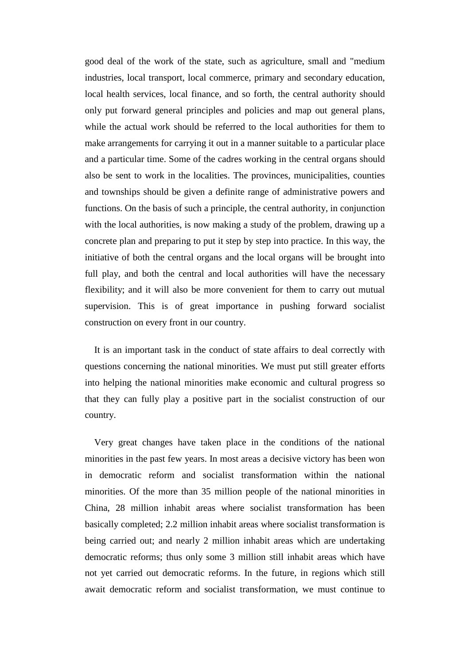good deal of the work of the state, such as agriculture, small and "medium industries, local transport, local commerce, primary and secondary education, local health services, local finance, and so forth, the central authority should only put forward general principles and policies and map out general plans, while the actual work should be referred to the local authorities for them to make arrangements for carrying it out in a manner suitable to a particular place and a particular time. Some of the cadres working in the central organs should also be sent to work in the localities. The provinces, municipalities, counties and townships should be given a definite range of administrative powers and functions. On the basis of such a principle, the central authority, in conjunction with the local authorities, is now making a study of the problem, drawing up a concrete plan and preparing to put it step by step into practice. In this way, the initiative of both the central organs and the local organs will be brought into full play, and both the central and local authorities will have the necessary flexibility; and it will also be more convenient for them to carry out mutual supervision. This is of great importance in pushing forward socialist construction on every front in our country.

It is an important task in the conduct of state affairs to deal correctly with questions concerning the national minorities. We must put still greater efforts into helping the national minorities make economic and cultural progress so that they can fully play a positive part in the socialist construction of our country.

Very great changes have taken place in the conditions of the national minorities in the past few years. In most areas a decisive victory has been won in democratic reform and socialist transformation within the national minorities. Of the more than 35 million people of the national minorities in China, 28 million inhabit areas where socialist transformation has been basically completed; 2.2 million inhabit areas where socialist transformation is being carried out; and nearly 2 million inhabit areas which are undertaking democratic reforms; thus only some 3 million still inhabit areas which have not yet carried out democratic reforms. In the future, in regions which still await democratic reform and socialist transformation, we must continue to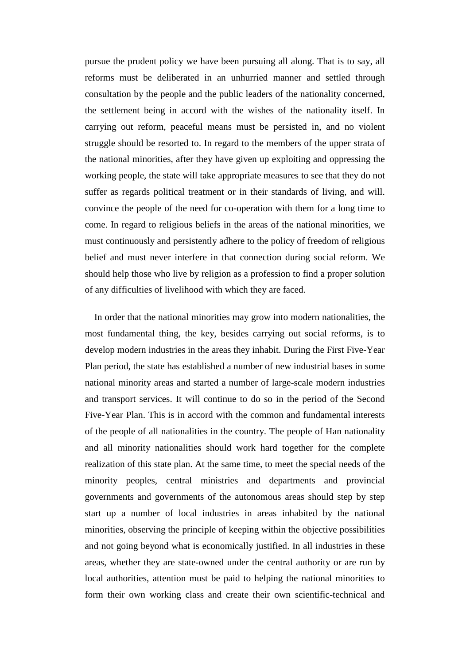pursue the prudent policy we have been pursuing all along. That is to say, all reforms must be deliberated in an unhurried manner and settled through consultation by the people and the public leaders of the nationality concerned, the settlement being in accord with the wishes of the nationality itself. In carrying out reform, peaceful means must be persisted in, and no violent struggle should be resorted to. In regard to the members of the upper strata of the national minorities, after they have given up exploiting and oppressing the working people, the state will take appropriate measures to see that they do not suffer as regards political treatment or in their standards of living, and will. convince the people of the need for co-operation with them for a long time to come. In regard to religious beliefs in the areas of the national minorities, we must continuously and persistently adhere to the policy of freedom of religious belief and must never interfere in that connection during social reform. We should help those who live by religion as a profession to find a proper solution of any difficulties of livelihood with which they are faced.

In order that the national minorities may grow into modern nationalities, the most fundamental thing, the key, besides carrying out social reforms, is to develop modern industries in the areas they inhabit. During the First Five-Year Plan period, the state has established a number of new industrial bases in some national minority areas and started a number of large-scale modern industries and transport services. It will continue to do so in the period of the Second Five-Year Plan. This is in accord with the common and fundamental interests of the people of all nationalities in the country. The people of Han nationality and all minority nationalities should work hard together for the complete realization of this state plan. At the same time, to meet the special needs of the minority peoples, central ministries and departments and provincial governments and governments of the autonomous areas should step by step start up a number of local industries in areas inhabited by the national minorities, observing the principle of keeping within the objective possibilities and not going beyond what is economically justified. In all industries in these areas, whether they are state-owned under the central authority or are run by local authorities, attention must be paid to helping the national minorities to form their own working class and create their own scientific-technical and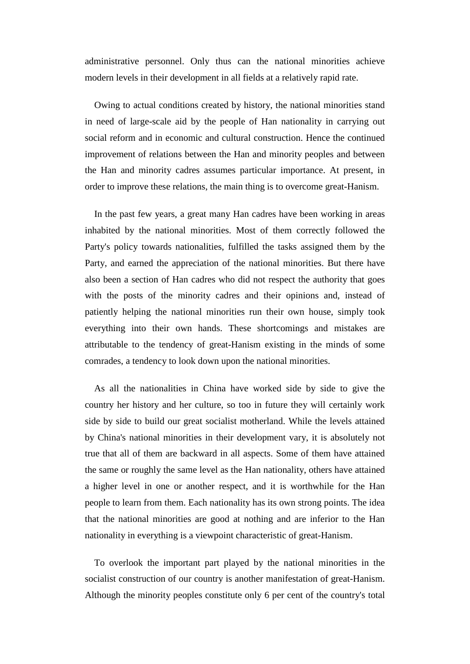administrative personnel. Only thus can the national minorities achieve modern levels in their development in all fields at a relatively rapid rate.

Owing to actual conditions created by history, the national minorities stand in need of large-scale aid by the people of Han nationality in carrying out social reform and in economic and cultural construction. Hence the continued improvement of relations between the Han and minority peoples and between the Han and minority cadres assumes particular importance. At present, in order to improve these relations, the main thing is to overcome great-Hanism.

In the past few years, a great many Han cadres have been working in areas inhabited by the national minorities. Most of them correctly followed the Party's policy towards nationalities, fulfilled the tasks assigned them by the Party, and earned the appreciation of the national minorities. But there have also been a section of Han cadres who did not respect the authority that goes with the posts of the minority cadres and their opinions and, instead of patiently helping the national minorities run their own house, simply took everything into their own hands. These shortcomings and mistakes are attributable to the tendency of great-Hanism existing in the minds of some comrades, a tendency to look down upon the national minorities.

As all the nationalities in China have worked side by side to give the country her history and her culture, so too in future they will certainly work side by side to build our great socialist motherland. While the levels attained by China's national minorities in their development vary, it is absolutely not true that all of them are backward in all aspects. Some of them have attained the same or roughly the same level as the Han nationality, others have attained a higher level in one or another respect, and it is worthwhile for the Han people to learn from them. Each nationality has its own strong points. The idea that the national minorities are good at nothing and are inferior to the Han nationality in everything is a viewpoint characteristic of great-Hanism.

To overlook the important part played by the national minorities in the socialist construction of our country is another manifestation of great-Hanism. Although the minority peoples constitute only 6 per cent of the country's total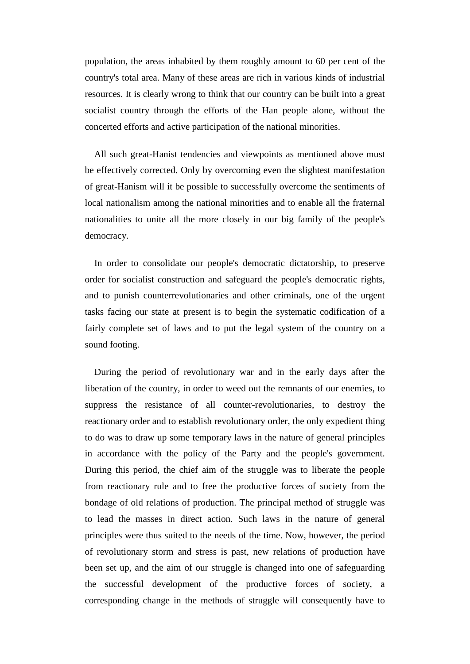population, the areas inhabited by them roughly amount to 60 per cent of the country's total area. Many of these areas are rich in various kinds of industrial resources. It is clearly wrong to think that our country can be built into a great socialist country through the efforts of the Han people alone, without the concerted efforts and active participation of the national minorities.

All such great-Hanist tendencies and viewpoints as mentioned above must be effectively corrected. Only by overcoming even the slightest manifestation of great-Hanism will it be possible to successfully overcome the sentiments of local nationalism among the national minorities and to enable all the fraternal nationalities to unite all the more closely in our big family of the people's democracy.

In order to consolidate our people's democratic dictatorship, to preserve order for socialist construction and safeguard the people's democratic rights, and to punish counterrevolutionaries and other criminals, one of the urgent tasks facing our state at present is to begin the systematic codification of a fairly complete set of laws and to put the legal system of the country on a sound footing.

During the period of revolutionary war and in the early days after the liberation of the country, in order to weed out the remnants of our enemies, to suppress the resistance of all counter-revolutionaries, to destroy the reactionary order and to establish revolutionary order, the only expedient thing to do was to draw up some temporary laws in the nature of general principles in accordance with the policy of the Party and the people's government. During this period, the chief aim of the struggle was to liberate the people from reactionary rule and to free the productive forces of society from the bondage of old relations of production. The principal method of struggle was to lead the masses in direct action. Such laws in the nature of general principles were thus suited to the needs of the time. Now, however, the period of revolutionary storm and stress is past, new relations of production have been set up, and the aim of our struggle is changed into one of safeguarding the successful development of the productive forces of society, a corresponding change in the methods of struggle will consequently have to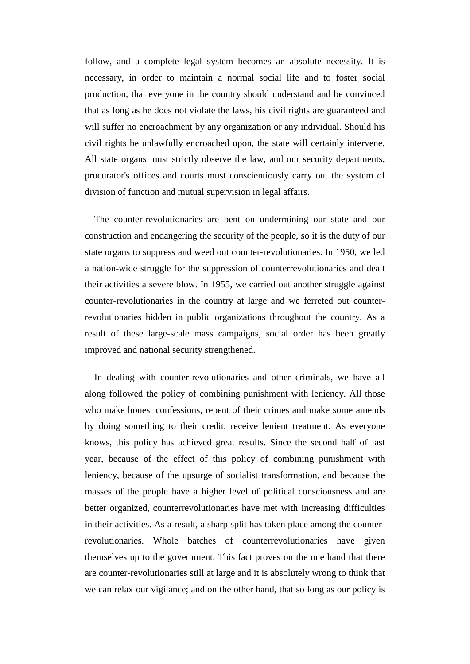follow, and a complete legal system becomes an absolute necessity. It is necessary, in order to maintain a normal social life and to foster social production, that everyone in the country should understand and be convinced that as long as he does not violate the laws, his civil rights are guaranteed and will suffer no encroachment by any organization or any individual. Should his civil rights be unlawfully encroached upon, the state will certainly intervene. All state organs must strictly observe the law, and our security departments, procurator's offices and courts must conscientiously carry out the system of division of function and mutual supervision in legal affairs.

The counter-revolutionaries are bent on undermining our state and our construction and endangering the security of the people, so it is the duty of our state organs to suppress and weed out counter-revolutionaries. In 1950, we led a nation-wide struggle for the suppression of counterrevolutionaries and dealt their activities a severe blow. In 1955, we carried out another struggle against counter-revolutionaries in the country at large and we ferreted out counterrevolutionaries hidden in public organizations throughout the country. As a result of these large-scale mass campaigns, social order has been greatly improved and national security strengthened.

In dealing with counter-revolutionaries and other criminals, we have all along followed the policy of combining punishment with leniency. All those who make honest confessions, repent of their crimes and make some amends by doing something to their credit, receive lenient treatment. As everyone knows, this policy has achieved great results. Since the second half of last year, because of the effect of this policy of combining punishment with leniency, because of the upsurge of socialist transformation, and because the masses of the people have a higher level of political consciousness and are better organized, counterrevolutionaries have met with increasing difficulties in their activities. As a result, a sharp split has taken place among the counterrevolutionaries. Whole batches of counterrevolutionaries have given themselves up to the government. This fact proves on the one hand that there are counter-revolutionaries still at large and it is absolutely wrong to think that we can relax our vigilance; and on the other hand, that so long as our policy is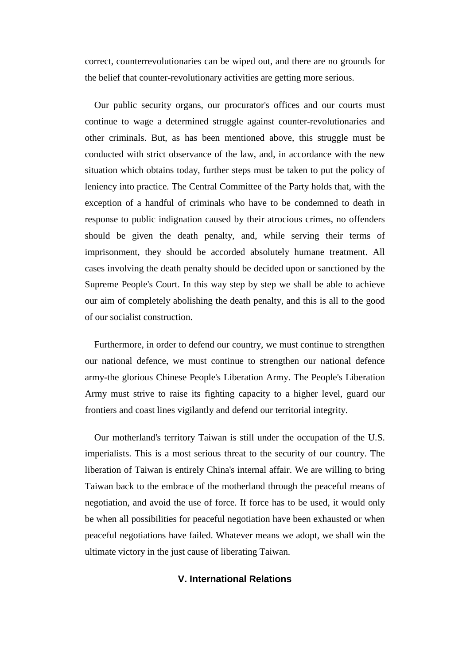correct, counterrevolutionaries can be wiped out, and there are no grounds for the belief that counter-revolutionary activities are getting more serious.

Our public security organs, our procurator's offices and our courts must continue to wage a determined struggle against counter-revolutionaries and other criminals. But, as has been mentioned above, this struggle must be conducted with strict observance of the law, and, in accordance with the new situation which obtains today, further steps must be taken to put the policy of leniency into practice. The Central Committee of the Party holds that, with the exception of a handful of criminals who have to be condemned to death in response to public indignation caused by their atrocious crimes, no offenders should be given the death penalty, and, while serving their terms of imprisonment, they should be accorded absolutely humane treatment. All cases involving the death penalty should be decided upon or sanctioned by the Supreme People's Court. In this way step by step we shall be able to achieve our aim of completely abolishing the death penalty, and this is all to the good of our socialist construction.

Furthermore, in order to defend our country, we must continue to strengthen our national defence, we must continue to strengthen our national defence army-the glorious Chinese People's Liberation Army. The People's Liberation Army must strive to raise its fighting capacity to a higher level, guard our frontiers and coast lines vigilantly and defend our territorial integrity.

Our motherland's territory Taiwan is still under the occupation of the U.S. imperialists. This is a most serious threat to the security of our country. The liberation of Taiwan is entirely China's internal affair. We are willing to bring Taiwan back to the embrace of the motherland through the peaceful means of negotiation, and avoid the use of force. If force has to be used, it would only be when all possibilities for peaceful negotiation have been exhausted or when peaceful negotiations have failed. Whatever means we adopt, we shall win the ultimate victory in the just cause of liberating Taiwan.

## **V. International Relations**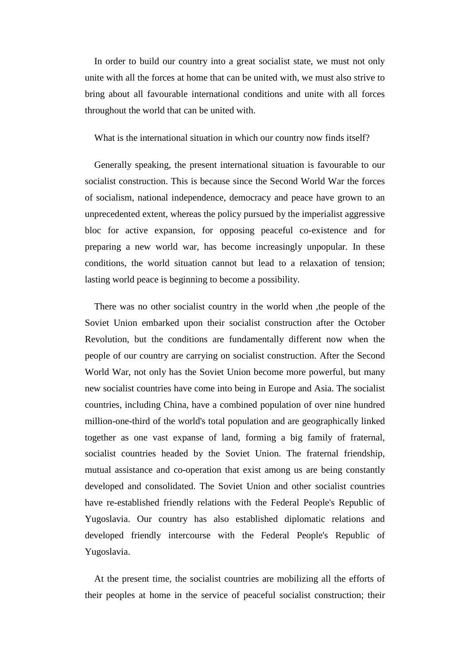In order to build our country into a great socialist state, we must not only unite with all the forces at home that can be united with, we must also strive to bring about all favourable international conditions and unite with all forces throughout the world that can be united with.

What is the international situation in which our country now finds itself?

Generally speaking, the present international situation is favourable to our socialist construction. This is because since the Second World War the forces of socialism, national independence, democracy and peace have grown to an unprecedented extent, whereas the policy pursued by the imperialist aggressive bloc for active expansion, for opposing peaceful co-existence and for preparing a new world war, has become increasingly unpopular. In these conditions, the world situation cannot but lead to a relaxation of tension; lasting world peace is beginning to become a possibility.

There was no other socialist country in the world when ,the people of the Soviet Union embarked upon their socialist construction after the October Revolution, but the conditions are fundamentally different now when the people of our country are carrying on socialist construction. After the Second World War, not only has the Soviet Union become more powerful, but many new socialist countries have come into being in Europe and Asia. The socialist countries, including China, have a combined population of over nine hundred million-one-third of the world's total population and are geographically linked together as one vast expanse of land, forming a big family of fraternal, socialist countries headed by the Soviet Union. The fraternal friendship, mutual assistance and co-operation that exist among us are being constantly developed and consolidated. The Soviet Union and other socialist countries have re-established friendly relations with the Federal People's Republic of Yugoslavia. Our country has also established diplomatic relations and developed friendly intercourse with the Federal People's Republic of Yugoslavia.

At the present time, the socialist countries are mobilizing all the efforts of their peoples at home in the service of peaceful socialist construction; their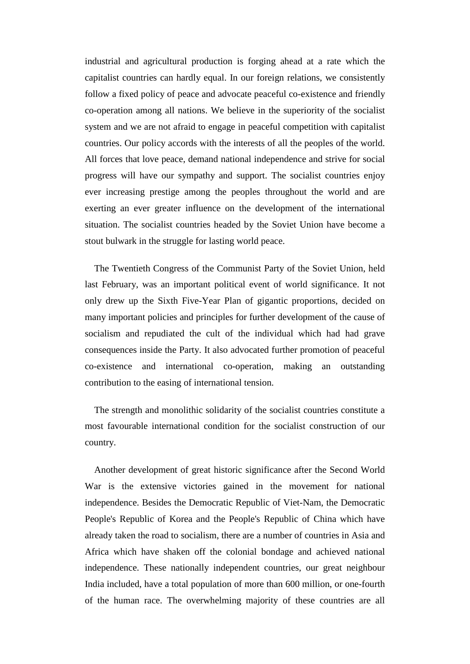industrial and agricultural production is forging ahead at a rate which the capitalist countries can hardly equal. In our foreign relations, we consistently follow a fixed policy of peace and advocate peaceful co-existence and friendly co-operation among all nations. We believe in the superiority of the socialist system and we are not afraid to engage in peaceful competition with capitalist countries. Our policy accords with the interests of all the peoples of the world. All forces that love peace, demand national independence and strive for social progress will have our sympathy and support. The socialist countries enjoy ever increasing prestige among the peoples throughout the world and are exerting an ever greater influence on the development of the international situation. The socialist countries headed by the Soviet Union have become a stout bulwark in the struggle for lasting world peace.

The Twentieth Congress of the Communist Party of the Soviet Union, held last February, was an important political event of world significance. It not only drew up the Sixth Five-Year Plan of gigantic proportions, decided on many important policies and principles for further development of the cause of socialism and repudiated the cult of the individual which had had grave consequences inside the Party. It also advocated further promotion of peaceful co-existence and international co-operation, making an outstanding contribution to the easing of international tension.

The strength and monolithic solidarity of the socialist countries constitute a most favourable international condition for the socialist construction of our country.

Another development of great historic significance after the Second World War is the extensive victories gained in the movement for national independence. Besides the Democratic Republic of Viet-Nam, the Democratic People's Republic of Korea and the People's Republic of China which have already taken the road to socialism, there are a number of countries in Asia and Africa which have shaken off the colonial bondage and achieved national independence. These nationally independent countries, our great neighbour India included, have a total population of more than 600 million, or one-fourth of the human race. The overwhelming majority of these countries are all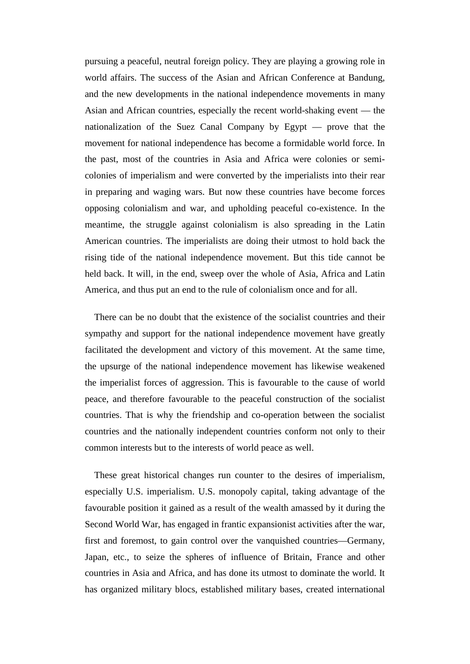pursuing a peaceful, neutral foreign policy. They are playing a growing role in world affairs. The success of the Asian and African Conference at Bandung, and the new developments in the national independence movements in many Asian and African countries, especially the recent world-shaking event — the nationalization of the Suez Canal Company by Egypt — prove that the movement for national independence has become a formidable world force. In the past, most of the countries in Asia and Africa were colonies or semicolonies of imperialism and were converted by the imperialists into their rear in preparing and waging wars. But now these countries have become forces opposing colonialism and war, and upholding peaceful co-existence. In the meantime, the struggle against colonialism is also spreading in the Latin American countries. The imperialists are doing their utmost to hold back the rising tide of the national independence movement. But this tide cannot be held back. It will, in the end, sweep over the whole of Asia, Africa and Latin America, and thus put an end to the rule of colonialism once and for all.

There can be no doubt that the existence of the socialist countries and their sympathy and support for the national independence movement have greatly facilitated the development and victory of this movement. At the same time, the upsurge of the national independence movement has likewise weakened the imperialist forces of aggression. This is favourable to the cause of world peace, and therefore favourable to the peaceful construction of the socialist countries. That is why the friendship and co-operation between the socialist countries and the nationally independent countries conform not only to their common interests but to the interests of world peace as well.

These great historical changes run counter to the desires of imperialism, especially U.S. imperialism. U.S. monopoly capital, taking advantage of the favourable position it gained as a result of the wealth amassed by it during the Second World War, has engaged in frantic expansionist activities after the war, first and foremost, to gain control over the vanquished countries—Germany, Japan, etc., to seize the spheres of influence of Britain, France and other countries in Asia and Africa, and has done its utmost to dominate the world. It has organized military blocs, established military bases, created international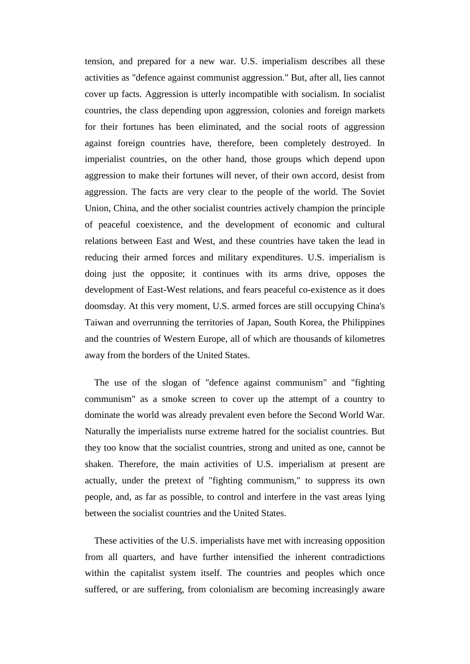tension, and prepared for a new war. U.S. imperialism describes all these activities as "defence against communist aggression." But, after all, lies cannot cover up facts. Aggression is utterly incompatible with socialism. In socialist countries, the class depending upon aggression, colonies and foreign markets for their fortunes has been eliminated, and the social roots of aggression against foreign countries have, therefore, been completely destroyed. In imperialist countries, on the other hand, those groups which depend upon aggression to make their fortunes will never, of their own accord, desist from aggression. The facts are very clear to the people of the world. The Soviet Union, China, and the other socialist countries actively champion the principle of peaceful coexistence, and the development of economic and cultural relations between East and West, and these countries have taken the lead in reducing their armed forces and military expenditures. U.S. imperialism is doing just the opposite; it continues with its arms drive, opposes the development of East-West relations, and fears peaceful co-existence as it does doomsday. At this very moment, U.S. armed forces are still occupying China's Taiwan and overrunning the territories of Japan, South Korea, the Philippines and the countries of Western Europe, all of which are thousands of kilometres away from the borders of the United States.

The use of the slogan of "defence against communism" and "fighting communism" as a smoke screen to cover up the attempt of a country to dominate the world was already prevalent even before the Second World War. Naturally the imperialists nurse extreme hatred for the socialist countries. But they too know that the socialist countries, strong and united as one, cannot be shaken. Therefore, the main activities of U.S. imperialism at present are actually, under the pretext of "fighting communism," to suppress its own people, and, as far as possible, to control and interfere in the vast areas lying between the socialist countries and the United States.

These activities of the U.S. imperialists have met with increasing opposition from all quarters, and have further intensified the inherent contradictions within the capitalist system itself. The countries and peoples which once suffered, or are suffering, from colonialism are becoming increasingly aware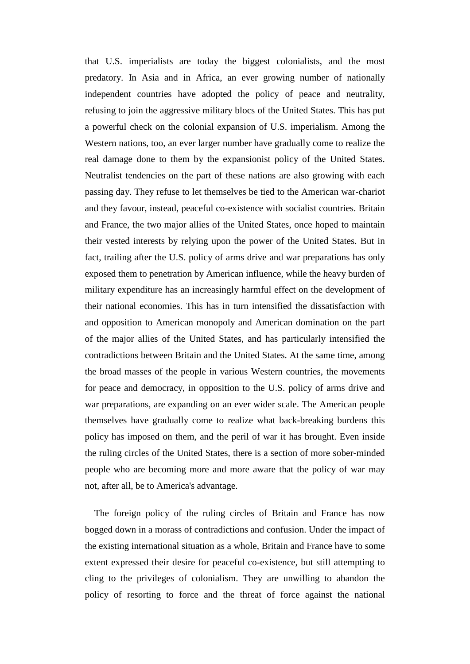that U.S. imperialists are today the biggest colonialists, and the most predatory. In Asia and in Africa, an ever growing number of nationally independent countries have adopted the policy of peace and neutrality, refusing to join the aggressive military blocs of the United States. This has put a powerful check on the colonial expansion of U.S. imperialism. Among the Western nations, too, an ever larger number have gradually come to realize the real damage done to them by the expansionist policy of the United States. Neutralist tendencies on the part of these nations are also growing with each passing day. They refuse to let themselves be tied to the American war-chariot and they favour, instead, peaceful co-existence with socialist countries. Britain and France, the two major allies of the United States, once hoped to maintain their vested interests by relying upon the power of the United States. But in fact, trailing after the U.S. policy of arms drive and war preparations has only exposed them to penetration by American influence, while the heavy burden of military expenditure has an increasingly harmful effect on the development of their national economies. This has in turn intensified the dissatisfaction with and opposition to American monopoly and American domination on the part of the major allies of the United States, and has particularly intensified the contradictions between Britain and the United States. At the same time, among the broad masses of the people in various Western countries, the movements for peace and democracy, in opposition to the U.S. policy of arms drive and war preparations, are expanding on an ever wider scale. The American people themselves have gradually come to realize what back-breaking burdens this policy has imposed on them, and the peril of war it has brought. Even inside the ruling circles of the United States, there is a section of more sober-minded people who are becoming more and more aware that the policy of war may not, after all, be to America's advantage.

The foreign policy of the ruling circles of Britain and France has now bogged down in a morass of contradictions and confusion. Under the impact of the existing international situation as a whole, Britain and France have to some extent expressed their desire for peaceful co-existence, but still attempting to cling to the privileges of colonialism. They are unwilling to abandon the policy of resorting to force and the threat of force against the national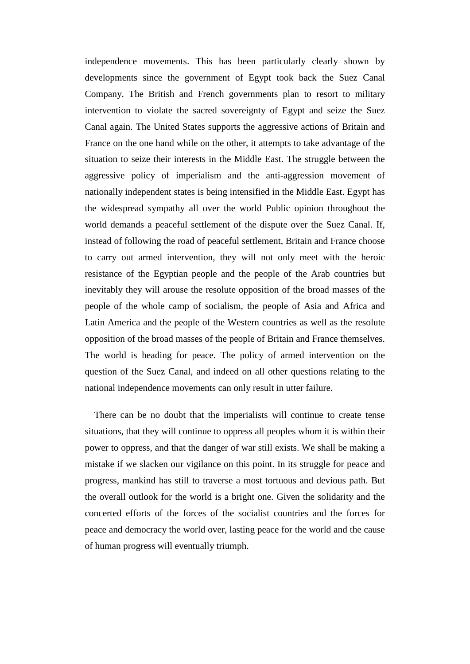independence movements. This has been particularly clearly shown by developments since the government of Egypt took back the Suez Canal Company. The British and French governments plan to resort to military intervention to violate the sacred sovereignty of Egypt and seize the Suez Canal again. The United States supports the aggressive actions of Britain and France on the one hand while on the other, it attempts to take advantage of the situation to seize their interests in the Middle East. The struggle between the aggressive policy of imperialism and the anti-aggression movement of nationally independent states is being intensified in the Middle East. Egypt has the widespread sympathy all over the world Public opinion throughout the world demands a peaceful settlement of the dispute over the Suez Canal. If, instead of following the road of peaceful settlement, Britain and France choose to carry out armed intervention, they will not only meet with the heroic resistance of the Egyptian people and the people of the Arab countries but inevitably they will arouse the resolute opposition of the broad masses of the people of the whole camp of socialism, the people of Asia and Africa and Latin America and the people of the Western countries as well as the resolute opposition of the broad masses of the people of Britain and France themselves. The world is heading for peace. The policy of armed intervention on the question of the Suez Canal, and indeed on all other questions relating to the national independence movements can only result in utter failure.

There can be no doubt that the imperialists will continue to create tense situations, that they will continue to oppress all peoples whom it is within their power to oppress, and that the danger of war still exists. We shall be making a mistake if we slacken our vigilance on this point. In its struggle for peace and progress, mankind has still to traverse a most tortuous and devious path. But the overall outlook for the world is a bright one. Given the solidarity and the concerted efforts of the forces of the socialist countries and the forces for peace and democracy the world over, lasting peace for the world and the cause of human progress will eventually triumph.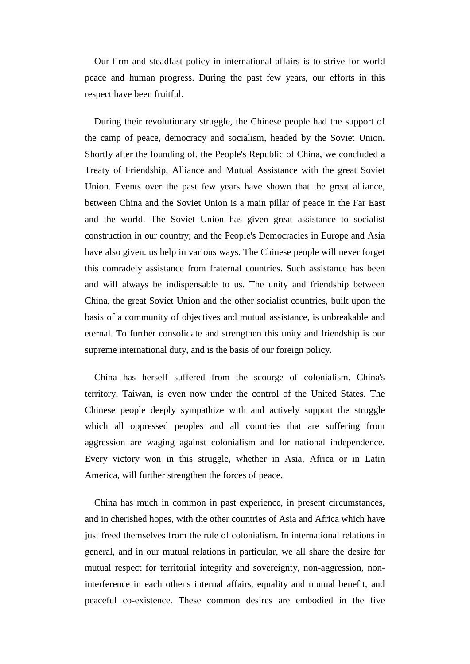Our firm and steadfast policy in international affairs is to strive for world peace and human progress. During the past few years, our efforts in this respect have been fruitful.

During their revolutionary struggle, the Chinese people had the support of the camp of peace, democracy and socialism, headed by the Soviet Union. Shortly after the founding of. the People's Republic of China, we concluded a Treaty of Friendship, Alliance and Mutual Assistance with the great Soviet Union. Events over the past few years have shown that the great alliance, between China and the Soviet Union is a main pillar of peace in the Far East and the world. The Soviet Union has given great assistance to socialist construction in our country; and the People's Democracies in Europe and Asia have also given. us help in various ways. The Chinese people will never forget this comradely assistance from fraternal countries. Such assistance has been and will always be indispensable to us. The unity and friendship between China, the great Soviet Union and the other socialist countries, built upon the basis of a community of objectives and mutual assistance, is unbreakable and eternal. To further consolidate and strengthen this unity and friendship is our supreme international duty, and is the basis of our foreign policy.

China has herself suffered from the scourge of colonialism. China's territory, Taiwan, is even now under the control of the United States. The Chinese people deeply sympathize with and actively support the struggle which all oppressed peoples and all countries that are suffering from aggression are waging against colonialism and for national independence. Every victory won in this struggle, whether in Asia, Africa or in Latin America, will further strengthen the forces of peace.

China has much in common in past experience, in present circumstances, and in cherished hopes, with the other countries of Asia and Africa which have just freed themselves from the rule of colonialism. In international relations in general, and in our mutual relations in particular, we all share the desire for mutual respect for territorial integrity and sovereignty, non-aggression, noninterference in each other's internal affairs, equality and mutual benefit, and peaceful co-existence. These common desires are embodied in the five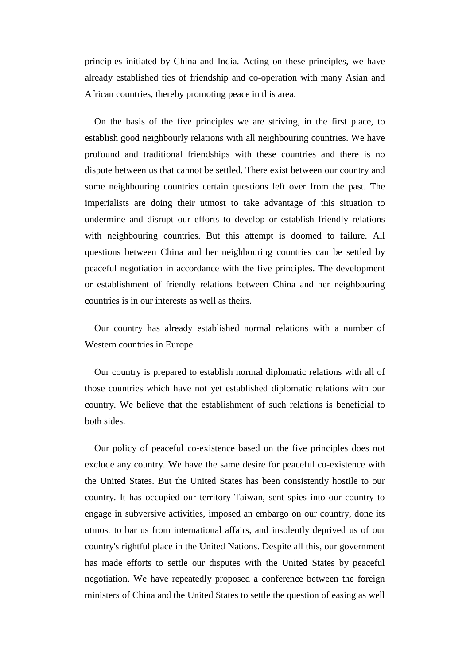principles initiated by China and India. Acting on these principles, we have already established ties of friendship and co-operation with many Asian and African countries, thereby promoting peace in this area.

On the basis of the five principles we are striving, in the first place, to establish good neighbourly relations with all neighbouring countries. We have profound and traditional friendships with these countries and there is no dispute between us that cannot be settled. There exist between our country and some neighbouring countries certain questions left over from the past. The imperialists are doing their utmost to take advantage of this situation to undermine and disrupt our efforts to develop or establish friendly relations with neighbouring countries. But this attempt is doomed to failure. All questions between China and her neighbouring countries can be settled by peaceful negotiation in accordance with the five principles. The development or establishment of friendly relations between China and her neighbouring countries is in our interests as well as theirs.

Our country has already established normal relations with a number of Western countries in Europe.

Our country is prepared to establish normal diplomatic relations with all of those countries which have not yet established diplomatic relations with our country. We believe that the establishment of such relations is beneficial to both sides.

Our policy of peaceful co-existence based on the five principles does not exclude any country. We have the same desire for peaceful co-existence with the United States. But the United States has been consistently hostile to our country. It has occupied our territory Taiwan, sent spies into our country to engage in subversive activities, imposed an embargo on our country, done its utmost to bar us from international affairs, and insolently deprived us of our country's rightful place in the United Nations. Despite all this, our government has made efforts to settle our disputes with the United States by peaceful negotiation. We have repeatedly proposed a conference between the foreign ministers of China and the United States to settle the question of easing as well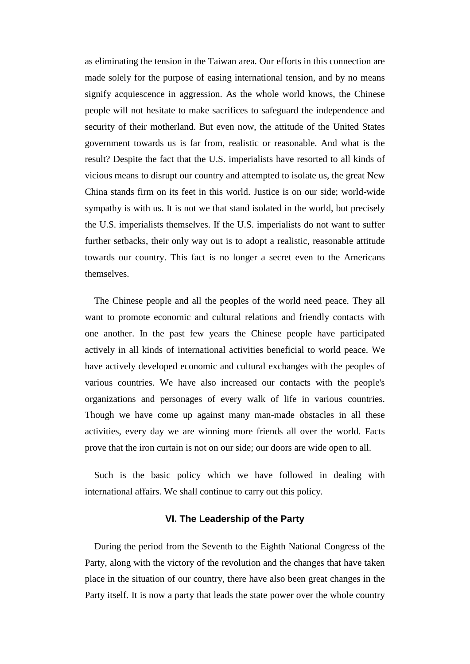as eliminating the tension in the Taiwan area. Our efforts in this connection are made solely for the purpose of easing international tension, and by no means signify acquiescence in aggression. As the whole world knows, the Chinese people will not hesitate to make sacrifices to safeguard the independence and security of their motherland. But even now, the attitude of the United States government towards us is far from, realistic or reasonable. And what is the result? Despite the fact that the U.S. imperialists have resorted to all kinds of vicious means to disrupt our country and attempted to isolate us, the great New China stands firm on its feet in this world. Justice is on our side; world-wide sympathy is with us. It is not we that stand isolated in the world, but precisely the U.S. imperialists themselves. If the U.S. imperialists do not want to suffer further setbacks, their only way out is to adopt a realistic, reasonable attitude towards our country. This fact is no longer a secret even to the Americans themselves.

The Chinese people and all the peoples of the world need peace. They all want to promote economic and cultural relations and friendly contacts with one another. In the past few years the Chinese people have participated actively in all kinds of international activities beneficial to world peace. We have actively developed economic and cultural exchanges with the peoples of various countries. We have also increased our contacts with the people's organizations and personages of every walk of life in various countries. Though we have come up against many man-made obstacles in all these activities, every day we are winning more friends all over the world. Facts prove that the iron curtain is not on our side; our doors are wide open to all.

Such is the basic policy which we have followed in dealing with international affairs. We shall continue to carry out this policy.

#### **VI. The Leadership of the Party**

During the period from the Seventh to the Eighth National Congress of the Party, along with the victory of the revolution and the changes that have taken place in the situation of our country, there have also been great changes in the Party itself. It is now a party that leads the state power over the whole country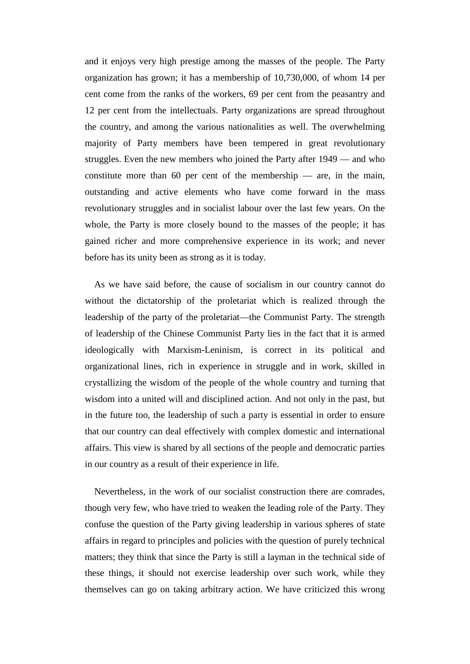and it enjoys very high prestige among the masses of the people. The Party organization has grown; it has a membership of 10,730,000, of whom 14 per cent come from the ranks of the workers, 69 per cent from the peasantry and 12 per cent from the intellectuals. Party organizations are spread throughout the country, and among the various nationalities as well. The overwhelming majority of Party members have been tempered in great revolutionary struggles. Even the new members who joined the Party after 1949 — and who constitute more than 60 per cent of the membership — are, in the main, outstanding and active elements who have come forward in the mass revolutionary struggles and in socialist labour over the last few years. On the whole, the Party is more closely bound to the masses of the people; it has gained richer and more comprehensive experience in its work; and never before has its unity been as strong as it is today.

As we have said before, the cause of socialism in our country cannot do without the dictatorship of the proletariat which is realized through the leadership of the party of the proletariat—the Communist Party. The strength of leadership of the Chinese Communist Party lies in the fact that it is armed ideologically with Marxism-Leninism, is correct in its political and organizational lines, rich in experience in struggle and in work, skilled in crystallizing the wisdom of the people of the whole country and turning that wisdom into a united will and disciplined action. And not only in the past, but in the future too, the leadership of such a party is essential in order to ensure that our country can deal effectively with complex domestic and international affairs. This view is shared by all sections of the people and democratic parties in our country as a result of their experience in life.

Nevertheless, in the work of our socialist construction there are comrades, though very few, who have tried to weaken the leading role of the Party. They confuse the question of the Party giving leadership in various spheres of state affairs in regard to principles and policies with the question of purely technical matters; they think that since the Party is still a layman in the technical side of these things, it should not exercise leadership over such work, while they themselves can go on taking arbitrary action. We have criticized this wrong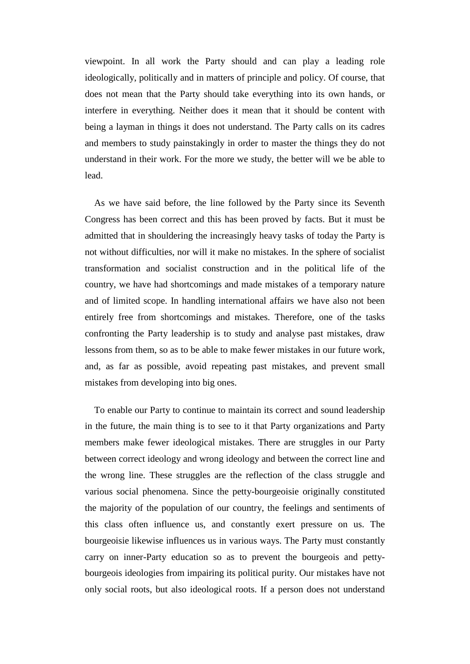viewpoint. In all work the Party should and can play a leading role ideologically, politically and in matters of principle and policy. Of course, that does not mean that the Party should take everything into its own hands, or interfere in everything. Neither does it mean that it should be content with being a layman in things it does not understand. The Party calls on its cadres and members to study painstakingly in order to master the things they do not understand in their work. For the more we study, the better will we be able to lead.

As we have said before, the line followed by the Party since its Seventh Congress has been correct and this has been proved by facts. But it must be admitted that in shouldering the increasingly heavy tasks of today the Party is not without difficulties, nor will it make no mistakes. In the sphere of socialist transformation and socialist construction and in the political life of the country, we have had shortcomings and made mistakes of a temporary nature and of limited scope. In handling international affairs we have also not been entirely free from shortcomings and mistakes. Therefore, one of the tasks confronting the Party leadership is to study and analyse past mistakes, draw lessons from them, so as to be able to make fewer mistakes in our future work, and, as far as possible, avoid repeating past mistakes, and prevent small mistakes from developing into big ones.

To enable our Party to continue to maintain its correct and sound leadership in the future, the main thing is to see to it that Party organizations and Party members make fewer ideological mistakes. There are struggles in our Party between correct ideology and wrong ideology and between the correct line and the wrong line. These struggles are the reflection of the class struggle and various social phenomena. Since the petty-bourgeoisie originally constituted the majority of the population of our country, the feelings and sentiments of this class often influence us, and constantly exert pressure on us. The bourgeoisie likewise influences us in various ways. The Party must constantly carry on inner-Party education so as to prevent the bourgeois and pettybourgeois ideologies from impairing its political purity. Our mistakes have not only social roots, but also ideological roots. If a person does not understand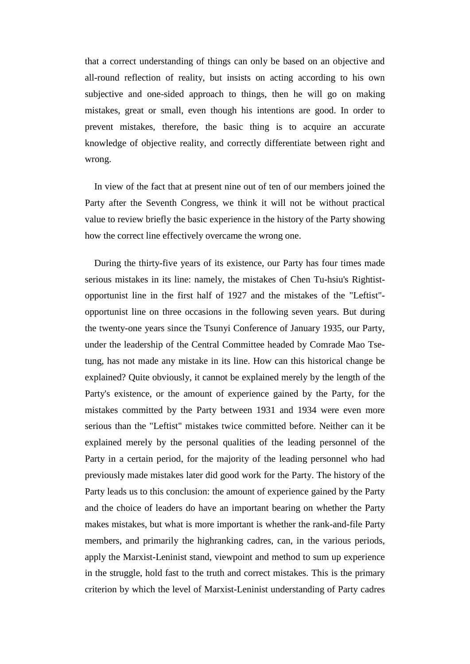that a correct understanding of things can only be based on an objective and all-round reflection of reality, but insists on acting according to his own subjective and one-sided approach to things, then he will go on making mistakes, great or small, even though his intentions are good. In order to prevent mistakes, therefore, the basic thing is to acquire an accurate knowledge of objective reality, and correctly differentiate between right and wrong.

In view of the fact that at present nine out of ten of our members joined the Party after the Seventh Congress, we think it will not be without practical value to review briefly the basic experience in the history of the Party showing how the correct line effectively overcame the wrong one.

During the thirty-five years of its existence, our Party has four times made serious mistakes in its line: namely, the mistakes of Chen Tu-hsiu's Rightistopportunist line in the first half of 1927 and the mistakes of the "Leftist" opportunist line on three occasions in the following seven years. But during the twenty-one years since the Tsunyi Conference of January 1935, our Party, under the leadership of the Central Committee headed by Comrade Mao Tsetung, has not made any mistake in its line. How can this historical change be explained? Quite obviously, it cannot be explained merely by the length of the Party's existence, or the amount of experience gained by the Party, for the mistakes committed by the Party between 1931 and 1934 were even more serious than the "Leftist" mistakes twice committed before. Neither can it be explained merely by the personal qualities of the leading personnel of the Party in a certain period, for the majority of the leading personnel who had previously made mistakes later did good work for the Party. The history of the Party leads us to this conclusion: the amount of experience gained by the Party and the choice of leaders do have an important bearing on whether the Party makes mistakes, but what is more important is whether the rank-and-file Party members, and primarily the highranking cadres, can, in the various periods, apply the Marxist-Leninist stand, viewpoint and method to sum up experience in the struggle, hold fast to the truth and correct mistakes. This is the primary criterion by which the level of Marxist-Leninist understanding of Party cadres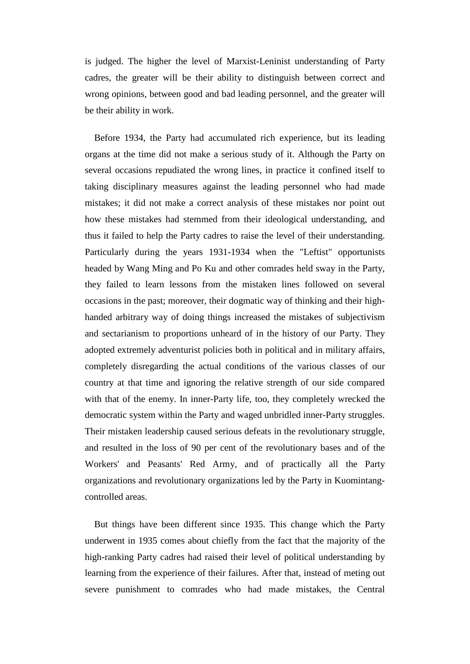is judged. The higher the level of Marxist-Leninist understanding of Party cadres, the greater will be their ability to distinguish between correct and wrong opinions, between good and bad leading personnel, and the greater will be their ability in work.

Before 1934, the Party had accumulated rich experience, but its leading organs at the time did not make a serious study of it. Although the Party on several occasions repudiated the wrong lines, in practice it confined itself to taking disciplinary measures against the leading personnel who had made mistakes; it did not make a correct analysis of these mistakes nor point out how these mistakes had stemmed from their ideological understanding, and thus it failed to help the Party cadres to raise the level of their understanding. Particularly during the years 1931-1934 when the "Leftist" opportunists headed by Wang Ming and Po Ku and other comrades held sway in the Party, they failed to learn lessons from the mistaken lines followed on several occasions in the past; moreover, their dogmatic way of thinking and their highhanded arbitrary way of doing things increased the mistakes of subjectivism and sectarianism to proportions unheard of in the history of our Party. They adopted extremely adventurist policies both in political and in military affairs, completely disregarding the actual conditions of the various classes of our country at that time and ignoring the relative strength of our side compared with that of the enemy. In inner-Party life, too, they completely wrecked the democratic system within the Party and waged unbridled inner-Party struggles. Their mistaken leadership caused serious defeats in the revolutionary struggle, and resulted in the loss of 90 per cent of the revolutionary bases and of the Workers' and Peasants' Red Army, and of practically all the Party organizations and revolutionary organizations led by the Party in Kuomintangcontrolled areas.

But things have been different since 1935. This change which the Party underwent in 1935 comes about chiefly from the fact that the majority of the high-ranking Party cadres had raised their level of political understanding by learning from the experience of their failures. After that, instead of meting out severe punishment to comrades who had made mistakes, the Central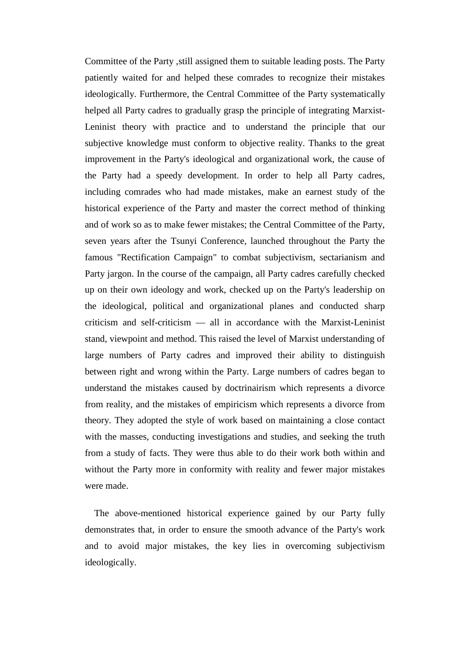Committee of the Party ,still assigned them to suitable leading posts. The Party patiently waited for and helped these comrades to recognize their mistakes ideologically. Furthermore, the Central Committee of the Party systematically helped all Party cadres to gradually grasp the principle of integrating Marxist-Leninist theory with practice and to understand the principle that our subjective knowledge must conform to objective reality. Thanks to the great improvement in the Party's ideological and organizational work, the cause of the Party had a speedy development. In order to help all Party cadres, including comrades who had made mistakes, make an earnest study of the historical experience of the Party and master the correct method of thinking and of work so as to make fewer mistakes; the Central Committee of the Party, seven years after the Tsunyi Conference, launched throughout the Party the famous "Rectification Campaign" to combat subjectivism, sectarianism and Party jargon. In the course of the campaign, all Party cadres carefully checked up on their own ideology and work, checked up on the Party's leadership on the ideological, political and organizational planes and conducted sharp criticism and self-criticism — all in accordance with the Marxist-Leninist stand, viewpoint and method. This raised the level of Marxist understanding of large numbers of Party cadres and improved their ability to distinguish between right and wrong within the Party. Large numbers of cadres began to understand the mistakes caused by doctrinairism which represents a divorce from reality, and the mistakes of empiricism which represents a divorce from theory. They adopted the style of work based on maintaining a close contact with the masses, conducting investigations and studies, and seeking the truth from a study of facts. They were thus able to do their work both within and without the Party more in conformity with reality and fewer major mistakes were made.

The above-mentioned historical experience gained by our Party fully demonstrates that, in order to ensure the smooth advance of the Party's work and to avoid major mistakes, the key lies in overcoming subjectivism ideologically.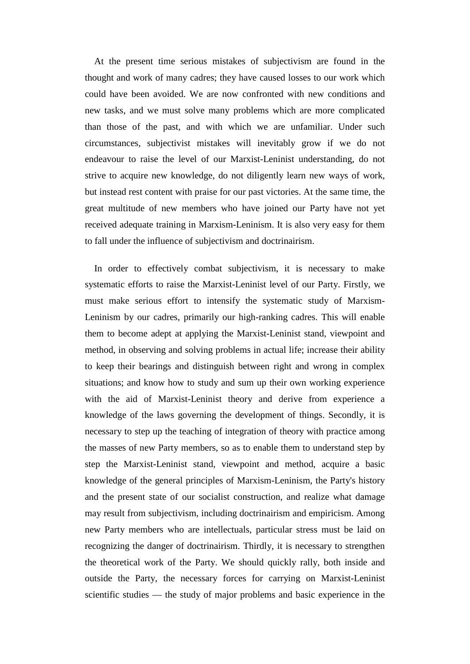At the present time serious mistakes of subjectivism are found in the thought and work of many cadres; they have caused losses to our work which could have been avoided. We are now confronted with new conditions and new tasks, and we must solve many problems which are more complicated than those of the past, and with which we are unfamiliar. Under such circumstances, subjectivist mistakes will inevitably grow if we do not endeavour to raise the level of our Marxist-Leninist understanding, do not strive to acquire new knowledge, do not diligently learn new ways of work, but instead rest content with praise for our past victories. At the same time, the great multitude of new members who have joined our Party have not yet received adequate training in Marxism-Leninism. It is also very easy for them to fall under the influence of subjectivism and doctrinairism.

In order to effectively combat subjectivism, it is necessary to make systematic efforts to raise the Marxist-Leninist level of our Party. Firstly, we must make serious effort to intensify the systematic study of Marxism-Leninism by our cadres, primarily our high-ranking cadres. This will enable them to become adept at applying the Marxist-Leninist stand, viewpoint and method, in observing and solving problems in actual life; increase their ability to keep their bearings and distinguish between right and wrong in complex situations; and know how to study and sum up their own working experience with the aid of Marxist-Leninist theory and derive from experience a knowledge of the laws governing the development of things. Secondly, it is necessary to step up the teaching of integration of theory with practice among the masses of new Party members, so as to enable them to understand step by step the Marxist-Leninist stand, viewpoint and method, acquire a basic knowledge of the general principles of Marxism-Leninism, the Party's history and the present state of our socialist construction, and realize what damage may result from subjectivism, including doctrinairism and empiricism. Among new Party members who are intellectuals, particular stress must be laid on recognizing the danger of doctrinairism. Thirdly, it is necessary to strengthen the theoretical work of the Party. We should quickly rally, both inside and outside the Party, the necessary forces for carrying on Marxist-Leninist scientific studies — the study of major problems and basic experience in the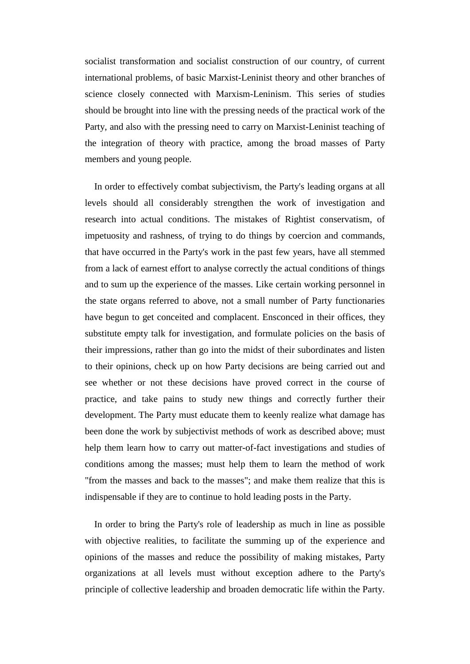socialist transformation and socialist construction of our country, of current international problems, of basic Marxist-Leninist theory and other branches of science closely connected with Marxism-Leninism. This series of studies should be brought into line with the pressing needs of the practical work of the Party, and also with the pressing need to carry on Marxist-Leninist teaching of the integration of theory with practice, among the broad masses of Party members and young people.

In order to effectively combat subjectivism, the Party's leading organs at all levels should all considerably strengthen the work of investigation and research into actual conditions. The mistakes of Rightist conservatism, of impetuosity and rashness, of trying to do things by coercion and commands, that have occurred in the Party's work in the past few years, have all stemmed from a lack of earnest effort to analyse correctly the actual conditions of things and to sum up the experience of the masses. Like certain working personnel in the state organs referred to above, not a small number of Party functionaries have begun to get conceited and complacent. Ensconced in their offices, they substitute empty talk for investigation, and formulate policies on the basis of their impressions, rather than go into the midst of their subordinates and listen to their opinions, check up on how Party decisions are being carried out and see whether or not these decisions have proved correct in the course of practice, and take pains to study new things and correctly further their development. The Party must educate them to keenly realize what damage has been done the work by subjectivist methods of work as described above; must help them learn how to carry out matter-of-fact investigations and studies of conditions among the masses; must help them to learn the method of work "from the masses and back to the masses"; and make them realize that this is indispensable if they are to continue to hold leading posts in the Party.

In order to bring the Party's role of leadership as much in line as possible with objective realities, to facilitate the summing up of the experience and opinions of the masses and reduce the possibility of making mistakes, Party organizations at all levels must without exception adhere to the Party's principle of collective leadership and broaden democratic life within the Party.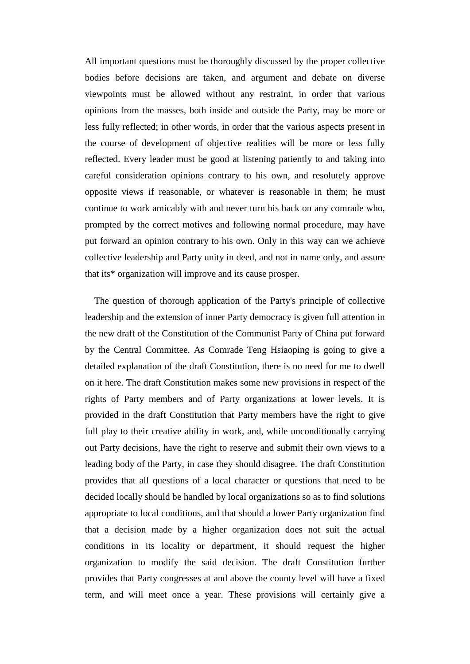All important questions must be thoroughly discussed by the proper collective bodies before decisions are taken, and argument and debate on diverse viewpoints must be allowed without any restraint, in order that various opinions from the masses, both inside and outside the Party, may be more or less fully reflected; in other words, in order that the various aspects present in the course of development of objective realities will be more or less fully reflected. Every leader must be good at listening patiently to and taking into careful consideration opinions contrary to his own, and resolutely approve opposite views if reasonable, or whatever is reasonable in them; he must continue to work amicably with and never turn his back on any comrade who, prompted by the correct motives and following normal procedure, may have put forward an opinion contrary to his own. Only in this way can we achieve collective leadership and Party unity in deed, and not in name only, and assure that its\* organization will improve and its cause prosper.

The question of thorough application of the Party's principle of collective leadership and the extension of inner Party democracy is given full attention in the new draft of the Constitution of the Communist Party of China put forward by the Central Committee. As Comrade Teng Hsiaoping is going to give a detailed explanation of the draft Constitution, there is no need for me to dwell on it here. The draft Constitution makes some new provisions in respect of the rights of Party members and of Party organizations at lower levels. It is provided in the draft Constitution that Party members have the right to give full play to their creative ability in work, and, while unconditionally carrying out Party decisions, have the right to reserve and submit their own views to a leading body of the Party, in case they should disagree. The draft Constitution provides that all questions of a local character or questions that need to be decided locally should be handled by local organizations so as to find solutions appropriate to local conditions, and that should a lower Party organization find that a decision made by a higher organization does not suit the actual conditions in its locality or department, it should request the higher organization to modify the said decision. The draft Constitution further provides that Party congresses at and above the county level will have a fixed term, and will meet once a year. These provisions will certainly give a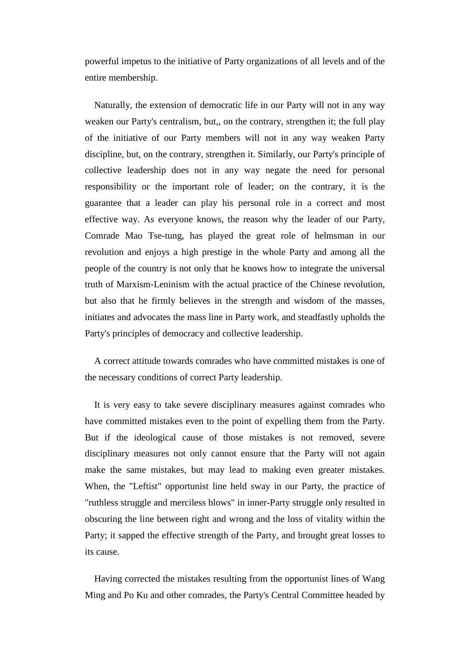powerful impetus to the initiative of Party organizations of all levels and of the entire membership.

Naturally, the extension of democratic life in our Party will not in any way weaken our Party's centralism, but,, on the contrary, strengthen it; the full play of the initiative of our Party members will not in any way weaken Party discipline, but, on the contrary, strengthen it. Similarly, our Party's principle of collective leadership does not in any way negate the need for personal responsibility or the important role of leader; on the contrary, it is the guarantee that a leader can play his personal role in a correct and most effective way. As everyone knows, the reason why the leader of our Party, Comrade Mao Tse-tung, has played the great role of helmsman in our revolution and enjoys a high prestige in the whole Party and among all the people of the country is not only that he knows how to integrate the universal truth of Marxism-Leninism with the actual practice of the Chinese revolution, but also that he firmly believes in the strength and wisdom of the masses, initiates and advocates the mass line in Party work, and steadfastly upholds the Party's principles of democracy and collective leadership.

A correct attitude towards comrades who have committed mistakes is one of the necessary conditions of correct Party leadership.

It is very easy to take severe disciplinary measures against comrades who have committed mistakes even to the point of expelling them from the Party. But if the ideological cause of those mistakes is not removed, severe disciplinary measures not only cannot ensure that the Party will not again make the same mistakes, but may lead to making even greater mistakes. When, the "Leftist" opportunist line held sway in our Party, the practice of "ruthless struggle and merciless blows" in inner-Party struggle only resulted in obscuring the line between right and wrong and the loss of vitality within the Party; it sapped the effective strength of the Party, and brought great losses to its cause.

Having corrected the mistakes resulting from the opportunist lines of Wang Ming and Po Ku and other comrades, the Party's Central Committee headed by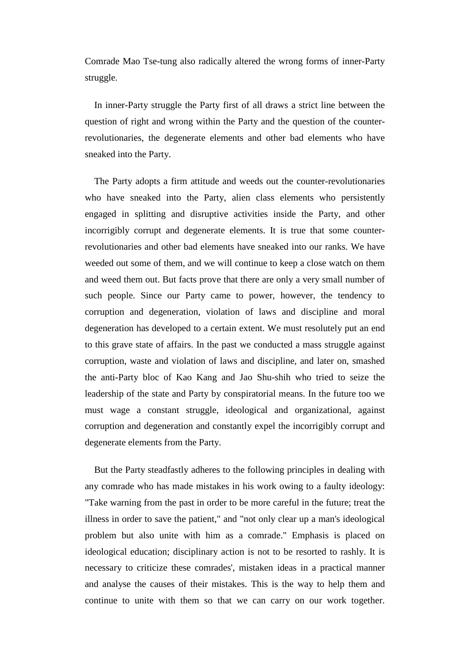Comrade Mao Tse-tung also radically altered the wrong forms of inner-Party struggle.

In inner-Party struggle the Party first of all draws a strict line between the question of right and wrong within the Party and the question of the counterrevolutionaries, the degenerate elements and other bad elements who have sneaked into the Party.

The Party adopts a firm attitude and weeds out the counter-revolutionaries who have sneaked into the Party, alien class elements who persistently engaged in splitting and disruptive activities inside the Party, and other incorrigibly corrupt and degenerate elements. It is true that some counterrevolutionaries and other bad elements have sneaked into our ranks. We have weeded out some of them, and we will continue to keep a close watch on them and weed them out. But facts prove that there are only a very small number of such people. Since our Party came to power, however, the tendency to corruption and degeneration, violation of laws and discipline and moral degeneration has developed to a certain extent. We must resolutely put an end to this grave state of affairs. In the past we conducted a mass struggle against corruption, waste and violation of laws and discipline, and later on, smashed the anti-Party bloc of Kao Kang and Jao Shu-shih who tried to seize the leadership of the state and Party by conspiratorial means. In the future too we must wage a constant struggle, ideological and organizational, against corruption and degeneration and constantly expel the incorrigibly corrupt and degenerate elements from the Party.

But the Party steadfastly adheres to the following principles in dealing with any comrade who has made mistakes in his work owing to a faulty ideology: "Take warning from the past in order to be more careful in the future; treat the illness in order to save the patient," and "not only clear up a man's ideological problem but also unite with him as a comrade." Emphasis is placed on ideological education; disciplinary action is not to be resorted to rashly. It is necessary to criticize these comrades', mistaken ideas in a practical manner and analyse the causes of their mistakes. This is the way to help them and continue to unite with them so that we can carry on our work together.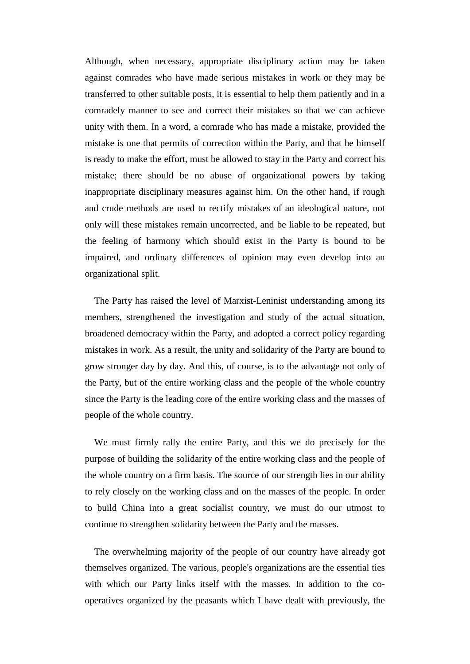Although, when necessary, appropriate disciplinary action may be taken against comrades who have made serious mistakes in work or they may be transferred to other suitable posts, it is essential to help them patiently and in a comradely manner to see and correct their mistakes so that we can achieve unity with them. In a word, a comrade who has made a mistake, provided the mistake is one that permits of correction within the Party, and that he himself is ready to make the effort, must be allowed to stay in the Party and correct his mistake; there should be no abuse of organizational powers by taking inappropriate disciplinary measures against him. On the other hand, if rough and crude methods are used to rectify mistakes of an ideological nature, not only will these mistakes remain uncorrected, and be liable to be repeated, but the feeling of harmony which should exist in the Party is bound to be impaired, and ordinary differences of opinion may even develop into an organizational split.

The Party has raised the level of Marxist-Leninist understanding among its members, strengthened the investigation and study of the actual situation, broadened democracy within the Party, and adopted a correct policy regarding mistakes in work. As a result, the unity and solidarity of the Party are bound to grow stronger day by day. And this, of course, is to the advantage not only of the Party, but of the entire working class and the people of the whole country since the Party is the leading core of the entire working class and the masses of people of the whole country.

We must firmly rally the entire Party, and this we do precisely for the purpose of building the solidarity of the entire working class and the people of the whole country on a firm basis. The source of our strength lies in our ability to rely closely on the working class and on the masses of the people. In order to build China into a great socialist country, we must do our utmost to continue to strengthen solidarity between the Party and the masses.

The overwhelming majority of the people of our country have already got themselves organized. The various, people's organizations are the essential ties with which our Party links itself with the masses. In addition to the cooperatives organized by the peasants which I have dealt with previously, the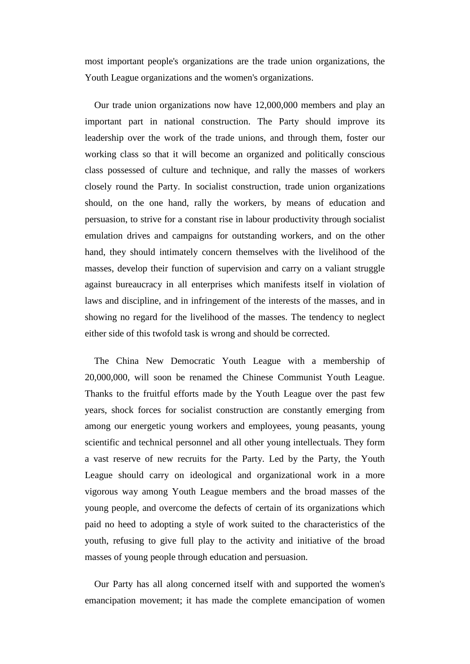most important people's organizations are the trade union organizations, the Youth League organizations and the women's organizations.

Our trade union organizations now have 12,000,000 members and play an important part in national construction. The Party should improve its leadership over the work of the trade unions, and through them, foster our working class so that it will become an organized and politically conscious class possessed of culture and technique, and rally the masses of workers closely round the Party. In socialist construction, trade union organizations should, on the one hand, rally the workers, by means of education and persuasion, to strive for a constant rise in labour productivity through socialist emulation drives and campaigns for outstanding workers, and on the other hand, they should intimately concern themselves with the livelihood of the masses, develop their function of supervision and carry on a valiant struggle against bureaucracy in all enterprises which manifests itself in violation of laws and discipline, and in infringement of the interests of the masses, and in showing no regard for the livelihood of the masses. The tendency to neglect either side of this twofold task is wrong and should be corrected.

The China New Democratic Youth League with a membership of 20,000,000, will soon be renamed the Chinese Communist Youth League. Thanks to the fruitful efforts made by the Youth League over the past few years, shock forces for socialist construction are constantly emerging from among our energetic young workers and employees, young peasants, young scientific and technical personnel and all other young intellectuals. They form a vast reserve of new recruits for the Party. Led by the Party, the Youth League should carry on ideological and organizational work in a more vigorous way among Youth League members and the broad masses of the young people, and overcome the defects of certain of its organizations which paid no heed to adopting a style of work suited to the characteristics of the youth, refusing to give full play to the activity and initiative of the broad masses of young people through education and persuasion.

Our Party has all along concerned itself with and supported the women's emancipation movement; it has made the complete emancipation of women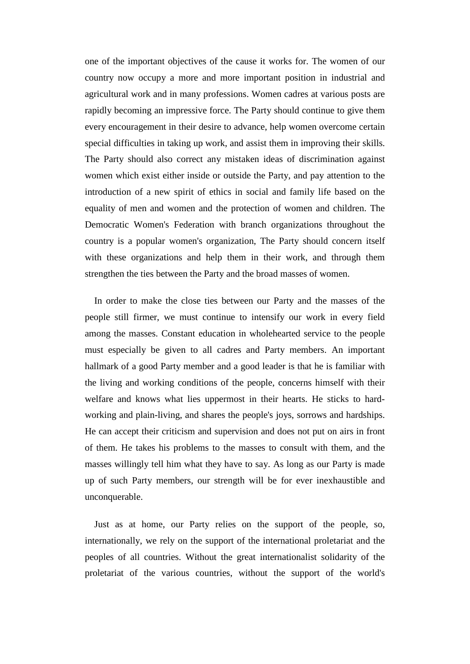one of the important objectives of the cause it works for. The women of our country now occupy a more and more important position in industrial and agricultural work and in many professions. Women cadres at various posts are rapidly becoming an impressive force. The Party should continue to give them every encouragement in their desire to advance, help women overcome certain special difficulties in taking up work, and assist them in improving their skills. The Party should also correct any mistaken ideas of discrimination against women which exist either inside or outside the Party, and pay attention to the introduction of a new spirit of ethics in social and family life based on the equality of men and women and the protection of women and children. The Democratic Women's Federation with branch organizations throughout the country is a popular women's organization, The Party should concern itself with these organizations and help them in their work, and through them strengthen the ties between the Party and the broad masses of women.

In order to make the close ties between our Party and the masses of the people still firmer, we must continue to intensify our work in every field among the masses. Constant education in wholehearted service to the people must especially be given to all cadres and Party members. An important hallmark of a good Party member and a good leader is that he is familiar with the living and working conditions of the people, concerns himself with their welfare and knows what lies uppermost in their hearts. He sticks to hardworking and plain-living, and shares the people's joys, sorrows and hardships. He can accept their criticism and supervision and does not put on airs in front of them. He takes his problems to the masses to consult with them, and the masses willingly tell him what they have to say. As long as our Party is made up of such Party members, our strength will be for ever inexhaustible and unconquerable.

Just as at home, our Party relies on the support of the people, so, internationally, we rely on the support of the international proletariat and the peoples of all countries. Without the great internationalist solidarity of the proletariat of the various countries, without the support of the world's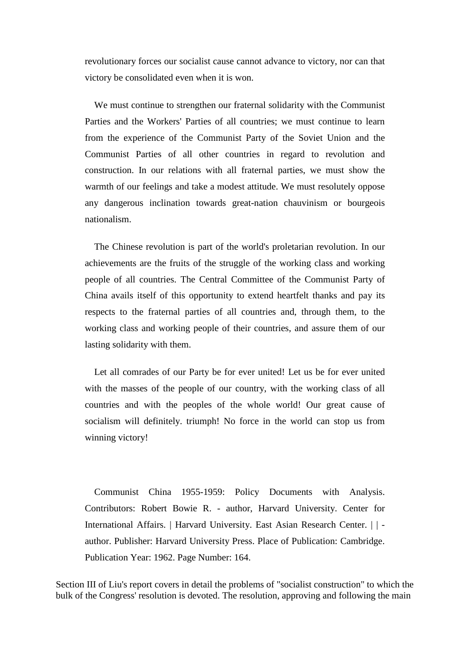revolutionary forces our socialist cause cannot advance to victory, nor can that victory be consolidated even when it is won.

We must continue to strengthen our fraternal solidarity with the Communist Parties and the Workers' Parties of all countries; we must continue to learn from the experience of the Communist Party of the Soviet Union and the Communist Parties of all other countries in regard to revolution and construction. In our relations with all fraternal parties, we must show the warmth of our feelings and take a modest attitude. We must resolutely oppose any dangerous inclination towards great-nation chauvinism or bourgeois nationalism.

The Chinese revolution is part of the world's proletarian revolution. In our achievements are the fruits of the struggle of the working class and working people of all countries. The Central Committee of the Communist Party of China avails itself of this opportunity to extend heartfelt thanks and pay its respects to the fraternal parties of all countries and, through them, to the working class and working people of their countries, and assure them of our lasting solidarity with them.

Let all comrades of our Party be for ever united! Let us be for ever united with the masses of the people of our country, with the working class of all countries and with the peoples of the whole world! Our great cause of socialism will definitely. triumph! No force in the world can stop us from winning victory!

Communist China 1955-1959: Policy Documents with Analysis. Contributors: Robert Bowie R. - author, Harvard University. Center for International Affairs. | Harvard University. East Asian Research Center. | | author. Publisher: Harvard University Press. Place of Publication: Cambridge. Publication Year: 1962. Page Number: 164.

Section III of Liu's report covers in detail the problems of "socialist construction" to which the bulk of the Congress' resolution is devoted. The resolution, approving and following the main